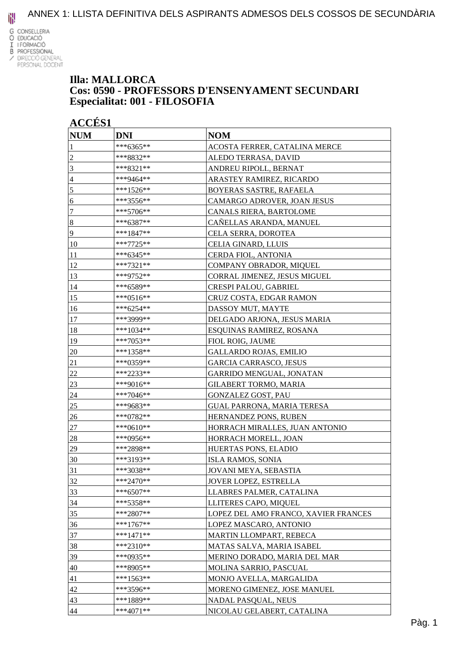

#### **Illa: MALLORCA Cos: 0590 - PROFESSORS D'ENSENYAMENT SECUNDARI Especialitat: 001 - FILOSOFIA**

| <b>ACCÉS 1</b>   |             |                                      |
|------------------|-------------|--------------------------------------|
| <b>NUM</b>       | <b>DNI</b>  | <b>NOM</b>                           |
|                  | ***6365**   | ACOSTA FERRER, CATALINA MERCE        |
| $\boldsymbol{2}$ | ***8832**   | ALEDO TERRASA, DAVID                 |
| 3                | ***8321**   | ANDREU RIPOLL, BERNAT                |
| 4                | ***9464**   | ARASTEY RAMIREZ, RICARDO             |
| 5                | $***1526**$ | BOYERAS SASTRE, RAFAELA              |
| 6                | ***3556**   | CAMARGO ADROVER, JOAN JESUS          |
| 7                | ***5706**   | CANALS RIERA, BARTOLOME              |
| $\boldsymbol{8}$ | ***6387**   | CAÑELLAS ARANDA, MANUEL              |
| 9                | ***1847**   | CELA SERRA, DOROTEA                  |
| 10               | ***7725**   | CELIA GINARD, LLUIS                  |
| 11               | ***6345**   | CERDA FIOL, ANTONIA                  |
| 12               | ***7321**   | COMPANY OBRADOR, MIQUEL              |
| 13               | ***9752**   | CORRAL JIMENEZ, JESUS MIGUEL         |
| 14               | ***6589**   | CRESPI PALOU, GABRIEL                |
| 15               | ***0516**   | CRUZ COSTA, EDGAR RAMON              |
| 16               | ***6254**   | DASSOY MUT, MAYTE                    |
| 17               | ***3999**   | DELGADO ARJONA, JESUS MARIA          |
| 18               | ***1034**   | ESQUINAS RAMIREZ, ROSANA             |
| 19               | ***7053**   | FIOL ROIG, JAUME                     |
| 20               | ***1358**   | GALLARDO ROJAS, EMILIO               |
| 21               | ***0359**   | GARCIA CARRASCO, JESUS               |
| 22               | ***2233**   | GARRIDO MENGUAL, JONATAN             |
| 23               | ***9016**   | <b>GILABERT TORMO, MARIA</b>         |
| 24               | ***7046**   | GONZALEZ GOST, PAU                   |
| 25               | ***9683**   | <b>GUAL PARRONA, MARIA TERESA</b>    |
| 26               | ***0782**   | HERNANDEZ PONS, RUBEN                |
| 27               | ***0610**   | HORRACH MIRALLES, JUAN ANTONIO       |
| 28               | ***0956**   | HORRACH MORELL, JOAN                 |
| 29               | ***2898**   | HUERTAS PONS, ELADIO                 |
| 30               | ***3193**   | ISLA RAMOS. SONIA                    |
| 31               | ***3038**   | JOVANI MEYA, SEBASTIA                |
| 32               | ***2470**   | JOVER LOPEZ, ESTRELLA                |
| 33               | ***6507**   | LLABRES PALMER, CATALINA             |
| 34               | ***5358**   | LLITERES CAPO, MIQUEL                |
| 35               | ***2807**   | LOPEZ DEL AMO FRANCO, XAVIER FRANCES |
| 36               | ***1767**   | LOPEZ MASCARO, ANTONIO               |
| 37               | ***1471**   | MARTIN LLOMPART, REBECA              |
| 38               | ***2310**   | MATAS SALVA, MARIA ISABEL            |
| 39               | $***0935**$ | MERINO DORADO, MARIA DEL MAR         |
| 40               | ***8905**   | MOLINA SARRIO, PASCUAL               |
| 41               | $***1563**$ | MONJO AVELLA, MARGALIDA              |
| 42               | ***3596**   | MORENO GIMENEZ, JOSE MANUEL          |
| 43               | ***1889**   | NADAL PASQUAL, NEUS                  |
| 44               | $***4071**$ | NICOLAU GELABERT, CATALINA           |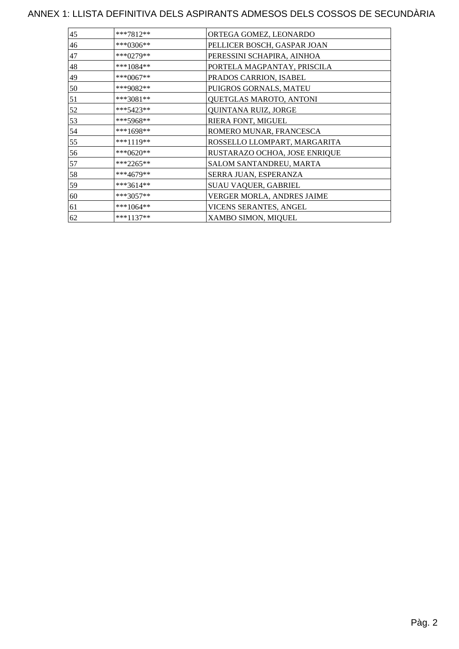| 45 | ***7812**   | ORTEGA GOMEZ, LEONARDO        |
|----|-------------|-------------------------------|
| 46 | ***0306**   | PELLICER BOSCH, GASPAR JOAN   |
| 47 | ***0279**   | PERESSINI SCHAPIRA, AINHOA    |
| 48 | ***1084**   | PORTELA MAGPANTAY, PRISCILA   |
| 49 | ***0067**   | PRADOS CARRION, ISABEL        |
| 50 | ***9082**   | PUIGROS GORNALS, MATEU        |
| 51 | ***3081**   | QUETGLAS MAROTO, ANTONI       |
| 52 | $***5423**$ | QUINTANA RUIZ, JORGE          |
| 53 | ***5968**   | RIERA FONT, MIGUEL            |
| 54 | $***1698**$ | ROMERO MUNAR, FRANCESCA       |
| 55 | ***1119**   | ROSSELLO LLOMPART, MARGARITA  |
| 56 | ***0620**   | RUSTARAZO OCHOA, JOSE ENRIQUE |
| 57 | $***2265**$ | SALOM SANTANDREU, MARTA       |
| 58 | ***4679**   | SERRA JUAN, ESPERANZA         |
| 59 | ***3614**   | SUAU VAQUER, GABRIEL          |
| 60 | $***3057**$ | VERGER MORLA, ANDRES JAIME    |
| 61 | $***1064**$ | VICENS SERANTES, ANGEL        |
| 62 | $***1137**$ | XAMBO SIMON, MIQUEL           |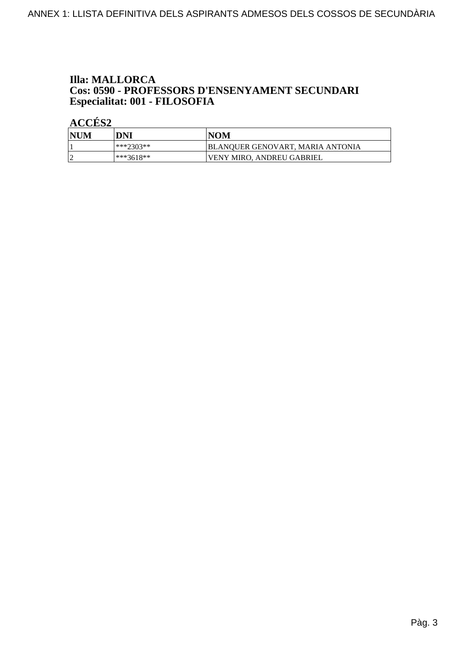# **Illa: MALLORCA Cos: 0590 - PROFESSORS D'ENSENYAMENT SECUNDARI<br>Especialitat: 001 - FILOSOFIA**

| NUM | DNI         | <b>NOM</b>                       |
|-----|-------------|----------------------------------|
|     | ***?303**   | BLANQUER GENOVART, MARIA ANTONIA |
|     | $***3618**$ | <b>VENY MIRO. ANDREU GABRIEL</b> |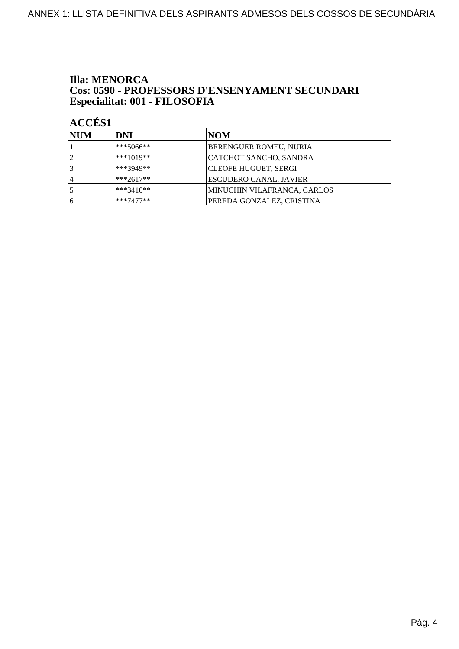#### **Illa: MENORCA** Cos: 0590 - PROFESSORS D'ENSENYAMENT SECUNDARI Especialitat: 001 - FILOSOFIA

| <b>NUM</b> | DNI         | NOM                         |
|------------|-------------|-----------------------------|
|            | $***5066**$ | BERENGUER ROMEU, NURIA      |
| ◯          | $***1019**$ | CATCHOT SANCHO, SANDRA      |
|            | ***3949**   | CLEOFE HUGUET, SERGI        |
| ا 4        | $***2617**$ | ESCUDERO CANAL, JAVIER      |
|            | ***3410**   | MINUCHIN VILAFRANCA, CARLOS |
| 16         | $***7477**$ | PEREDA GONZALEZ, CRISTINA   |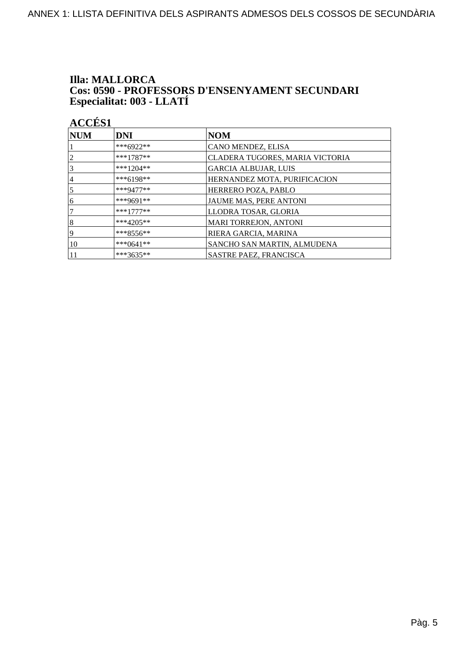# **Illa: MALLORCA Cos: 0590 - PROFESSORS D'ENSENYAMENT SECUNDARI<br>Especialitat: 003 - LLATÍ**

| <b>NUM</b>      | <b>DNI</b>   | <b>NOM</b>                      |
|-----------------|--------------|---------------------------------|
|                 | ***6922**    | CANO MENDEZ, ELISA              |
| $\overline{2}$  | $***1787**$  | CLADERA TUGORES, MARIA VICTORIA |
| $\vert 3 \vert$ | ***1204**    | <b>GARCIA ALBUJAR, LUIS</b>     |
| 14              | $***6198**$  | HERNANDEZ MOTA, PURIFICACION    |
| $\overline{5}$  | $***9477**$  | HERRERO POZA, PABLO             |
| 16              | ***9691**    | JAUME MAS, PERE ANTONI          |
| 17              | $***1777***$ | LLODRA TOSAR, GLORIA            |
| 8               | $***4205**$  | <b>MARI TORREJON, ANTONI</b>    |
| 19              | $***8556**$  | RIERA GARCIA, MARINA            |
| 10              | $***0641**$  | SANCHO SAN MARTIN, ALMUDENA     |
| 11              | ***3635**    | SASTRE PAEZ, FRANCISCA          |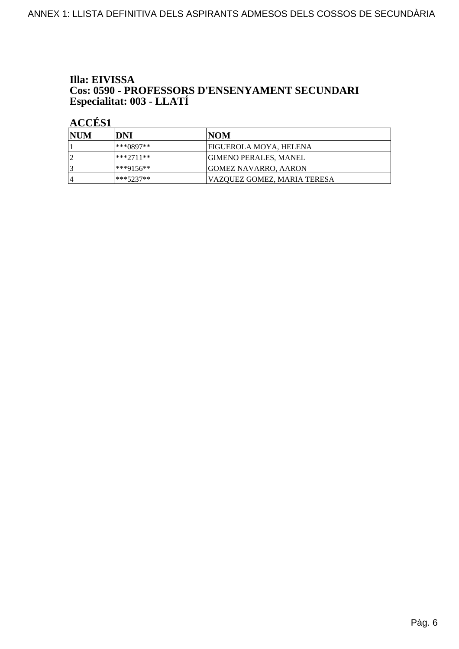# Illa: EIVISSA **Cos: 0590 - PROFESSORS D'ENSENYAMENT SECUNDARI<br>Especialitat: 003 - LLATÍ**

| <b>INUM</b> | DNI         | INOM                         |
|-------------|-------------|------------------------------|
|             | ***0897**   | FIGUEROLA MOYA, HELENA       |
| $\sqrt{ }$  | ***2711**   | <b>GIMENO PERALES, MANEL</b> |
|             | ***9156**   | <b>GOMEZ NAVARRO, AARON</b>  |
| 4           | $***5237**$ | VAZOUEZ GOMEZ. MARIA TERESA  |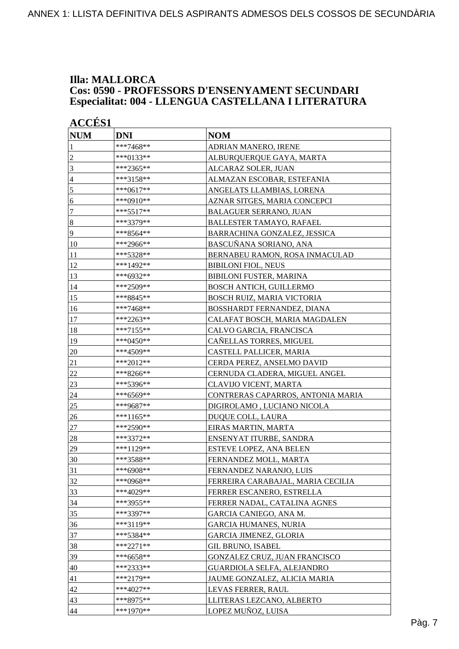#### **Illa: MALLORCA Cos: 0590 - PROFESSORS D'ENSENYAMENT SECUNDARI Especialitat: 004 - LLENGUA CASTELLANA I LITERATURA**

| <b>ACCÉS 1</b>   |             |                                   |
|------------------|-------------|-----------------------------------|
| <b>NUM</b>       | <b>DNI</b>  | <b>NOM</b>                        |
| 1                | ***7468**   | ADRIAN MANERO, IRENE              |
| $\overline{c}$   | ***0133**   | ALBURQUERQUE GAYA, MARTA          |
| 3                | ***2365**   | ALCARAZ SOLER, JUAN               |
| $\overline{4}$   | ***3158**   | ALMAZAN ESCOBAR, ESTEFANIA        |
| 5                | ***0617**   | ANGELATS LLAMBIAS, LORENA         |
| 6                | ***0910**   | AZNAR SITGES, MARIA CONCEPCI      |
| $\boldsymbol{7}$ | $***5517**$ | <b>BALAGUER SERRANO, JUAN</b>     |
| $\boldsymbol{8}$ | ***3379**   | BALLESTER TAMAYO, RAFAEL          |
| 9                | ***8564**   | BARRACHINA GONZALEZ, JESSICA      |
| 10               | ***2966**   | BASCUÑANA SORIANO, ANA            |
| 11               | ***5328**   | BERNABEU RAMON, ROSA INMACULAD    |
| 12               | ***1492**   | <b>BIBILONI FIOL, NEUS</b>        |
| 13               | ***6932**   | BIBILONI FUSTER, MARINA           |
| 14               | ***2509**   | <b>BOSCH ANTICH, GUILLERMO</b>    |
| 15               | ***8845**   | BOSCH RUIZ, MARIA VICTORIA        |
| 16               | ***7468**   | BOSSHARDT FERNANDEZ, DIANA        |
| 17               | ***2263**   | CALAFAT BOSCH, MARIA MAGDALEN     |
| 18               | ***7155**   | CALVO GARCIA, FRANCISCA           |
| 19               | ***0450**   | CAÑELLAS TORRES, MIGUEL           |
| 20               | ***4509**   | CASTELL PALLICER, MARIA           |
| 21               | ***2012**   | CERDA PEREZ, ANSELMO DAVID        |
| 22               | ***8266**   | CERNUDA CLADERA, MIGUEL ANGEL     |
| 23               | ***5396**   | <b>CLAVIJO VICENT, MARTA</b>      |
| 24               | ***6569**   | CONTRERAS CAPARROS, ANTONIA MARIA |
| 25               | ***9687**   | DIGIROLAMO, LUCIANO NICOLA        |
| 26               | ***1165**   | DUQUE COLL, LAURA                 |
| 27               | ***2590**   | EIRAS MARTIN, MARTA               |
| 28               | ***3372**   | ENSENYAT ITURBE, SANDRA           |
| 29               | ***1129**   | ESTEVE LOPEZ, ANA BELEN           |
| 30               | ***3588**   | FERNANDEZ MOLL, MARTA             |
| 31               | ***6908**   | FERNANDEZ NARANJO, LUIS           |
| 32               | ***0968**   | FERREIRA CARABAJAL, MARIA CECILIA |
| 33               | ***4029**   | FERRER ESCANERO, ESTRELLA         |
| 34               | ***3955**   | FERRER NADAL, CATALINA AGNES      |
| 35               | ***3397**   | GARCIA CANIEGO, ANA M.            |
| 36               | ***3119**   | <b>GARCIA HUMANES, NURIA</b>      |
| 37               | ***5384**   | <b>GARCIA JIMENEZ, GLORIA</b>     |
| 38               | $***2271**$ | <b>GIL BRUNO, ISABEL</b>          |
| 39               | ***6658**   | GONZALEZ CRUZ, JUAN FRANCISCO     |
| 40               | ***2333**   | GUARDIOLA SELFA, ALEJANDRO        |
| 41               | ***2179**   | JAUME GONZALEZ, ALICIA MARIA      |
| 42               | $***4027**$ | LEVAS FERRER, RAUL                |
| 43               | ***8975**   | LLITERAS LEZCANO, ALBERTO         |
| 44               | ***1970**   | LOPEZ MUÑOZ, LUISA                |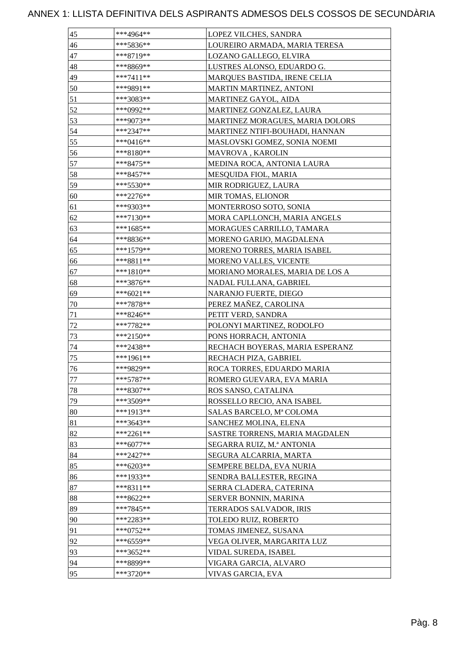| 45     | ***4964**   | LOPEZ VILCHES, SANDRA               |
|--------|-------------|-------------------------------------|
| $46\,$ | ***5836**   | LOUREIRO ARMADA, MARIA TERESA       |
| 47     | ***8719**   | LOZANO GALLEGO, ELVIRA              |
| 48     | ***8869**   | LUSTRES ALONSO, EDUARDO G.          |
| 49     | ***7411**   | <b>MARQUES BASTIDA, IRENE CELIA</b> |
| 50     | ***9891**   | <b>MARTIN MARTINEZ, ANTONI</b>      |
| 51     | ***3083**   | MARTINEZ GAYOL, AIDA                |
| 52     | ***0992**   | MARTINEZ GONZALEZ, LAURA            |
| 53     | ***9073**   | MARTINEZ MORAGUES, MARIA DOLORS     |
| 54     | ***2347**   | MARTINEZ NTIFI-BOUHADI, HANNAN      |
| 55     | ***0416**   | MASLOVSKI GOMEZ, SONIA NOEMI        |
| 56     | ***8180**   | MAVROVA , KAROLIN                   |
| 57     | ***8475**   | MEDINA ROCA, ANTONIA LAURA          |
| 58     | ***8457**   | MESQUIDA FIOL, MARIA                |
| 59     | ***5530**   | MIR RODRIGUEZ, LAURA                |
| 60     | ***2276**   | MIR TOMAS, ELIONOR                  |
| 61     | ***9303**   | MONTERROSO SOTO, SONIA              |
| 62     | ***7130**   | MORA CAPLLONCH, MARIA ANGELS        |
| 63     | ***1685**   | MORAGUES CARRILLO, TAMARA           |
| 64     | ***8836**   | MORENO GARIJO, MAGDALENA            |
| 65     | ***1579**   | MORENO TORRES, MARIA ISABEL         |
| 66     | ***8811**   | MORENO VALLES, VICENTE              |
| 67     | ***1810**   | MORIANO MORALES, MARIA DE LOS A     |
| 68     | ***3876**   | NADAL FULLANA, GABRIEL              |
| 69     | ***6021**   | NARANJO FUERTE, DIEGO               |
| 70     | ***7878**   | PEREZ MAÑEZ, CAROLINA               |
| 71     | ***8246**   | PETIT VERD, SANDRA                  |
| 72     | ***7782**   | POLONYI MARTINEZ, RODOLFO           |
| 73     | ***2150**   | PONS HORRACH, ANTONIA               |
| 74     | ***2438**   | RECHACH BOYERAS, MARIA ESPERANZ     |
| 75     | ***1961**   | RECHACH PIZA, GABRIEL               |
| 76     | ***9829**   | ROCA TORRES, EDUARDO MARIA          |
| 77     | ***5787**   | ROMERO GUEVARA, EVA MARIA           |
| 78     | $***8307**$ | ROS SANSO, CATALINA                 |
| 79     | $***3509**$ | ROSSELLO RECIO, ANA ISABEL          |
| 80     | ***1913**   | SALAS BARCELO, Mª COLOMA            |
| 81     | ***3643**   | SANCHEZ MOLINA, ELENA               |
| 82     | $***2261**$ | SASTRE TORRENS, MARIA MAGDALEN      |
| 83     | $***6077**$ | SEGARRA RUIZ, M.ª ANTONIA           |
| 84     | $***2427**$ | SEGURA ALCARRIA, MARTA              |
| 85     | ***6203**   | SEMPERE BELDA, EVA NURIA            |
| 86     | ***1933**   | SENDRA BALLESTER, REGINA            |
| 87     | $***8311**$ | SERRA CLADERA, CATERINA             |
| 88     | ***8622**   | SERVER BONNIN, MARINA               |
| 89     | ***7845**   | TERRADOS SALVADOR, IRIS             |
| 90     | ***2283**   | TOLEDO RUIZ, ROBERTO                |
| 91     | ***0752**   | TOMAS JIMENEZ, SUSANA               |
| 92     | ***6559**   | VEGA OLIVER, MARGARITA LUZ          |
| 93     | ***3652**   | VIDAL SUREDA, ISABEL                |
| 94     | ***8899**   | VIGARA GARCIA, ALVARO               |
| 95     | ***3720**   | VIVAS GARCIA, EVA                   |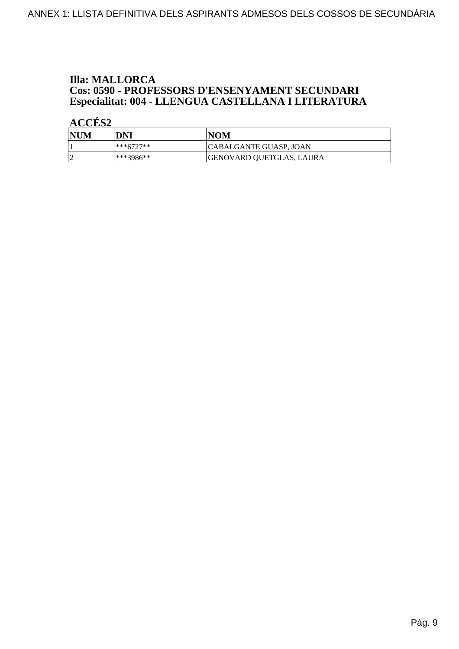# **Illa: MALLORCA Cos: 0590 - PROFESSORS D'ENSENYAMENT SECUNDARI<br>Especialitat: 004 - LLENGUA CASTELLANA I LITERATURA**

| <b>NUM</b> | DNI       | INOM                          |
|------------|-----------|-------------------------------|
|            | ***6727** | <b>CABALGANTE GUASP, JOAN</b> |
|            | ***3986** | GENOVARD QUETGLAS, LAURA      |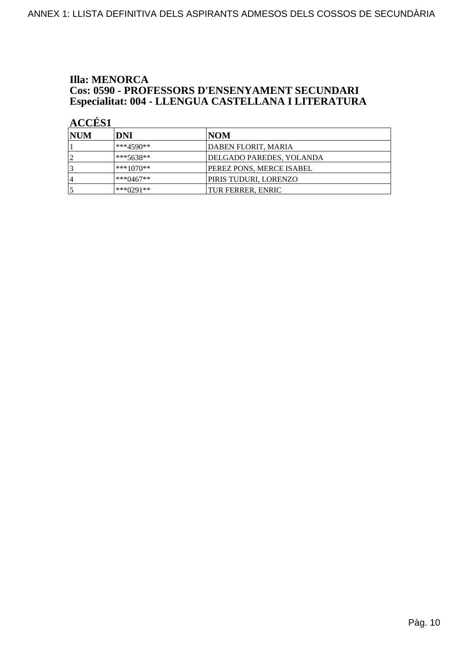# **Illa: MENORCA Cos: 0590 - PROFESSORS D'ENSENYAMENT SECUNDARI<br>Especialitat: 004 - LLENGUA CASTELLANA I LITERATURA**

| <b>INUM</b>    | DNI          | NOM                      |
|----------------|--------------|--------------------------|
|                | ***4590**    | DABEN FLORIT, MARIA      |
|                | $***5638**$  | DELGADO PAREDES, YOLANDA |
|                | $***1070**$  | PEREZ PONS, MERCE ISABEL |
| $\overline{4}$ | *** $0467**$ | PIRIS TUDURI, LORENZO    |
|                | *** $0291**$ | TUR FERRER, ENRIC        |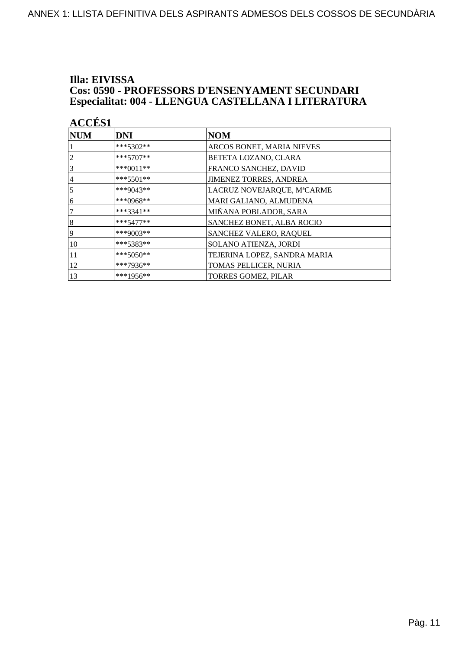#### Illa: EIVISSA **Cos: 0590 - PROFESSORS D'ENSENYAMENT SECUNDARI** Especialitat: 004 - LLENGUA CASTELLANA I LITERATURA

| <b>ACCÉS 1</b> |             |                               |
|----------------|-------------|-------------------------------|
| <b>NUM</b>     | <b>DNI</b>  | <b>NOM</b>                    |
|                | ***5302**   | ARCOS BONET, MARIA NIEVES     |
| $\overline{c}$ | $***5707**$ | <b>BETETA LOZANO, CLARA</b>   |
| 3              | ***0011**   | FRANCO SANCHEZ, DAVID         |
| 4              | ***5501**   | <b>JIMENEZ TORRES, ANDREA</b> |
| $\overline{5}$ | ***9043**   | LACRUZ NOVEJARQUE, MªCARME    |
| 6              | ***0968**   | MARI GALIANO, ALMUDENA        |
| 7              | $***3341**$ | MIÑANA POBLADOR, SARA         |
| $\vert 8$      | $***5477**$ | SANCHEZ BONET, ALBA ROCIO     |
| 19             | $***9003**$ | <b>SANCHEZ VALERO, RAQUEL</b> |
| 10             | $***5383**$ | <b>SOLANO ATIENZA, JORDI</b>  |
| 11             | ***5050**   | TEJERINA LOPEZ, SANDRA MARIA  |
| 12             | ***7936**   | TOMAS PELLICER, NURIA         |
| 13             | ***1956**   | <b>TORRES GOMEZ, PILAR</b>    |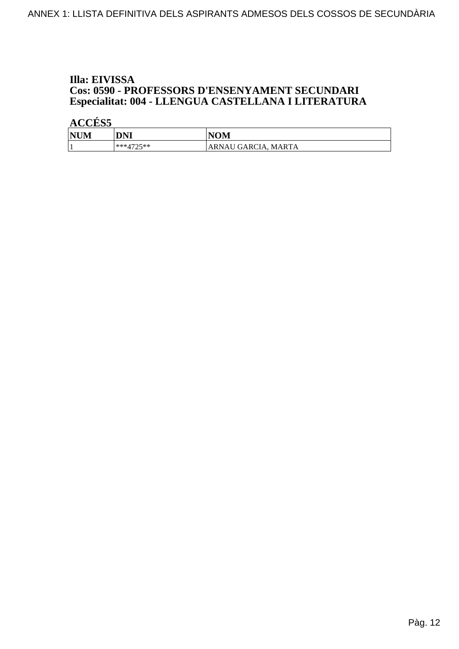#### Illa: EIVISSA **Cos: 0590 - PROFESSORS D'ENSENYAMENT SECUNDARI** Especialitat: 004 - LLENGUA CASTELLANA I LITERATURA

| <b>NUM</b> | DNI                    | <b>NOM</b>           |
|------------|------------------------|----------------------|
|            | ***/1725**<br><u>_</u> | 'ARNAU GARCIA. MARTA |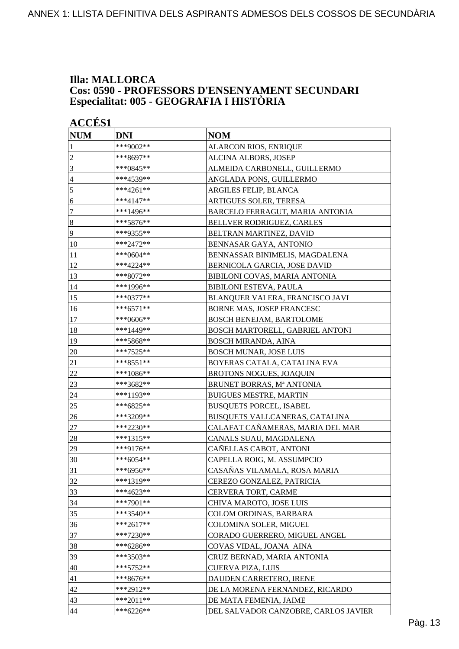#### **Illa: MALLORCA Cos: 0590 - PROFESSORS D'ENSENYAMENT SECUNDARI Especialitat: 005 - GEOGRAFIA I HISTÒRIA**

| <b>ACCÉS 1</b>   |             |                                      |  |
|------------------|-------------|--------------------------------------|--|
| <b>NUM</b>       | <b>DNI</b>  | <b>NOM</b>                           |  |
| 1                | ***9002**   | ALARCON RIOS, ENRIQUE                |  |
| $\overline{c}$   | ***8697**   | ALCINA ALBORS, JOSEP                 |  |
| 3                | ***0845**   | ALMEIDA CARBONELL, GUILLERMO         |  |
| $\overline{4}$   | ***4539**   | ANGLADA PONS, GUILLERMO              |  |
| $\sqrt{5}$       | ***4261**   | ARGILES FELIP, BLANCA                |  |
| 6                | ***4147**   | ARTIGUES SOLER, TERESA               |  |
| $\tau$           | ***1496**   | BARCELO FERRAGUT, MARIA ANTONIA      |  |
| $\boldsymbol{8}$ | ***5876**   | BELLVER RODRIGUEZ, CARLES            |  |
| 9                | ***9355**   | BELTRAN MARTINEZ, DAVID              |  |
| 10               | ***2472**   | BENNASAR GAYA, ANTONIO               |  |
| 11               | ***0604**   | BENNASSAR BINIMELIS, MAGDALENA       |  |
| 12               | ***4224**   | BERNICOLA GARCIA, JOSE DAVID         |  |
| 13               | ***8072**   | BIBILONI COVAS, MARIA ANTONIA        |  |
| 14               | ***1996**   | <b>BIBILONI ESTEVA, PAULA</b>        |  |
| 15               | ***0377**   | BLANQUER VALERA, FRANCISCO JAVI      |  |
| 16               | $***6571**$ | <b>BORNE MAS, JOSEP FRANCESC</b>     |  |
| 17               | ***0606**   | <b>BOSCH BENEJAM, BARTOLOME</b>      |  |
| 18               | ***1449**   | BOSCH MARTORELL, GABRIEL ANTONI      |  |
| 19               | ***5868**   | <b>BOSCH MIRANDA, AINA</b>           |  |
| 20               | ***7525**   | <b>BOSCH MUNAR, JOSE LUIS</b>        |  |
| 21               | ***8551**   | BOYERAS CATALA, CATALINA EVA         |  |
| 22               | ***1086**   | <b>BROTONS NOGUES, JOAQUIN</b>       |  |
| 23               | ***3682**   | BRUNET BORRAS, Mª ANTONIA            |  |
| 24               | ***1193**   | <b>BUIGUES MESTRE, MARTIN</b>        |  |
| 25               | ***6825**   | <b>BUSQUETS PORCEL, ISABEL</b>       |  |
| 26               | ***3209**   | BUSQUETS VALLCANERAS, CATALINA       |  |
| 27               | ***2230**   | CALAFAT CAÑAMERAS, MARIA DEL MAR     |  |
| 28               | ***1315**   | CANALS SUAU, MAGDALENA               |  |
| 29               | ***9176**   | CAÑELLAS CABOT, ANTONI               |  |
| 30               | $***6054**$ | CAPELLA ROIG, M. ASSUMPCIO           |  |
| 31               | ***6956**   | CASAÑAS VILAMALA, ROSA MARIA         |  |
| 32               | ***1319**   | CEREZO GONZALEZ, PATRICIA            |  |
| 33               | ***4623**   | CERVERA TORT, CARME                  |  |
| 34               | ***7901**   | CHIVA MAROTO, JOSE LUIS              |  |
| 35               | ***3540**   | COLOM ORDINAS, BARBARA               |  |
| 36               | ***2617**   | COLOMINA SOLER, MIGUEL               |  |
| 37               | ***7230**   | CORADO GUERRERO, MIGUEL ANGEL        |  |
| 38               | ***6286**   | COVAS VIDAL, JOANA AINA              |  |
| 39               | ***3503**   | CRUZ BERNAD, MARIA ANTONIA           |  |
| 40               | ***5752**   | CUERVA PIZA, LUIS                    |  |
| 41               | ***8676**   | DAUDEN CARRETERO, IRENE              |  |
| 42               | ***2912**   | DE LA MORENA FERNANDEZ, RICARDO      |  |
| 43               | ***2011**   | DE MATA FEMENIA, JAIME               |  |
| 44               | $***6226**$ | DEL SALVADOR CANZOBRE, CARLOS JAVIER |  |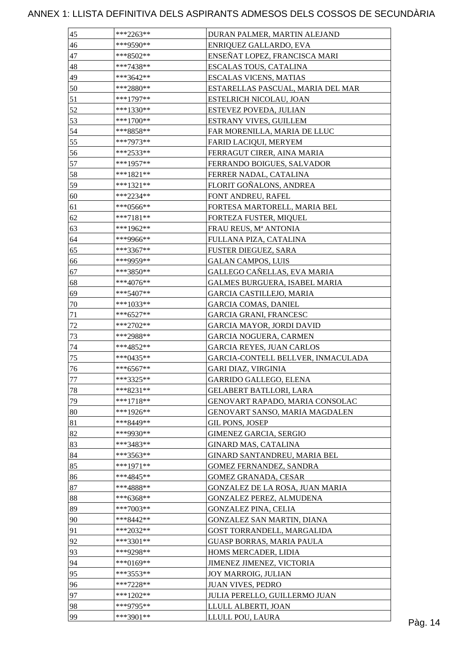| 45     | $***2263**$              | DURAN PALMER, MARTIN ALEJAND       |         |
|--------|--------------------------|------------------------------------|---------|
| 46     | ***9590**                | ENRIQUEZ GALLARDO, EVA             |         |
| 47     | ***8502**                | ENSEÑAT LOPEZ, FRANCISCA MARI      |         |
| 48     | ***7438**                | ESCALAS TOUS, CATALINA             |         |
| 49     | $***3642**$              | <b>ESCALAS VICENS, MATIAS</b>      |         |
| 50     | ***2880**                | ESTARELLAS PASCUAL, MARIA DEL MAR  |         |
| 51     | ***1797**                | ESTELRICH NICOLAU, JOAN            |         |
| 52     | $***1330**$              | ESTEVEZ POVEDA, JULIAN             |         |
| 53     | $***1700**$              | ESTRANY VIVES, GUILLEM             |         |
| 54     | ***8858**                | FAR MORENILLA, MARIA DE LLUC       |         |
| 55     | ***7973**                | FARID LACIQUI, MERYEM              |         |
| 56     | ***2533**                | FERRAGUT CIRER, AINA MARIA         |         |
| 57     | ***1957**                | FERRANDO BOIGUES, SALVADOR         |         |
| 58     | $***1821**$              | FERRER NADAL, CATALINA             |         |
| 59     | ***1321**                | FLORIT GOÑALONS, ANDREA            |         |
| 60     | ***2234**                | FONT ANDREU, RAFEL                 |         |
| 61     | $***0566**$              | FORTESA MARTORELL, MARIA BEL       |         |
| 62     | ***7181**                | FORTEZA FUSTER, MIQUEL             |         |
| 63     | ***1962**                | FRAU REUS, Mª ANTONIA              |         |
| 64     | ***9966**                | FULLANA PIZA, CATALINA             |         |
| 65     | ***3367**                | FUSTER DIEGUEZ, SARA               |         |
| 66     | ***9959**                | <b>GALAN CAMPOS, LUIS</b>          |         |
| 67     | ***3850**                | GALLEGO CAÑELLAS, EVA MARIA        |         |
| 68     | ***4076**                | GALMES BURGUERA, ISABEL MARIA      |         |
| 69     | $***5407**$              | <b>GARCIA CASTILLEJO, MARIA</b>    |         |
| 70     | $***1033**$              | <b>GARCIA COMAS, DANIEL</b>        |         |
| $71\,$ | $***6527**$              | <b>GARCIA GRANI, FRANCESC</b>      |         |
| $72\,$ | $***2702**$              | <b>GARCIA MAYOR, JORDI DAVID</b>   |         |
| 73     | ***2988**                | <b>GARCIA NOGUERA, CARMEN</b>      |         |
|        | ***4852**                | <b>GARCIA REYES, JUAN CARLOS</b>   |         |
| 74     | ***0435**                |                                    |         |
| 75     |                          | GARCIA-CONTELL BELLVER, INMACULADA |         |
| 76     | $***6567**$<br>***3325** | <b>GARI DIAZ, VIRGINIA</b>         |         |
| 77     | ***8231**                | <b>GARRIDO GALLEGO, ELENA</b>      |         |
| $78\,$ |                          | <b>GELABERT BATLLORI, LARA</b>     |         |
| 79     | $***1718**$              | GENOVART RAPADO, MARIA CONSOLAC    |         |
| 80     | ***1926**                | GENOVART SANSO, MARIA MAGDALEN     |         |
| 81     | ***8449**                | GIL PONS, JOSEP                    |         |
| 82     | ***9930**                | <b>GIMENEZ GARCIA, SERGIO</b>      |         |
| 83     | ***3483**                | <b>GINARD MAS, CATALINA</b>        |         |
| 84     | ***3563**                | GINARD SANTANDREU, MARIA BEL       |         |
| 85     | ***1971**                | GOMEZ FERNANDEZ, SANDRA            |         |
| 86     | ***4845**                | GOMEZ GRANADA, CESAR               |         |
| 87     | ***4888**                | GONZALEZ DE LA ROSA, JUAN MARIA    |         |
| 88     | $***6368**$              | GONZALEZ PEREZ, ALMUDENA           |         |
| 89     | ***7003**                | <b>GONZALEZ PINA, CELIA</b>        |         |
| 90     | ***8442**                | GONZALEZ SAN MARTIN, DIANA         |         |
| 91     | ***2032**                | GOST TORRANDELL, MARGALIDA         |         |
| 92     | ***3301**                | <b>GUASP BORRAS, MARIA PAULA</b>   |         |
| 93     | ***9298**                | HOMS MERCADER, LIDIA               |         |
| 94     | ***0169**                | JIMENEZ JIMENEZ, VICTORIA          |         |
| 95     | ***3553**                | JOY MARROIG, JULIAN                |         |
| 96     | ***7228**                | <b>JUAN VIVES, PEDRO</b>           |         |
| 97     | $***1202**$              | JULIA PERELLO, GUILLERMO JUAN      |         |
| 98     | ***9795**                | LLULL ALBERTI, JOAN                |         |
| 99     | ***3901**                | LLULL POU, LAURA                   | Pàg. 14 |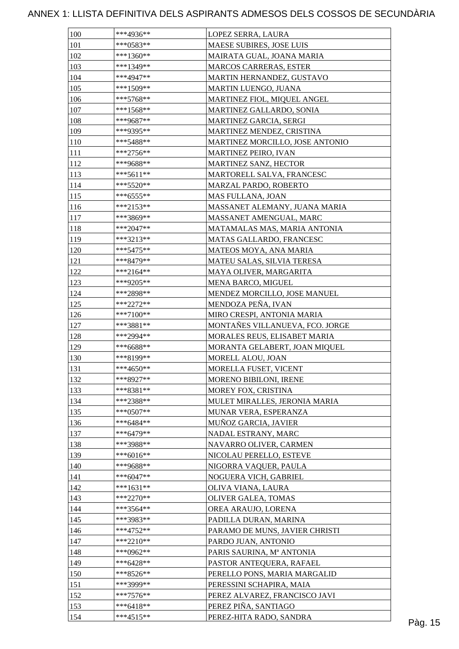| 100 | ***4936**   | LOPEZ SERRA, LAURA              |         |
|-----|-------------|---------------------------------|---------|
| 101 | $***0583**$ | MAESE SUBIRES, JOSE LUIS        |         |
| 102 | ***1360**   | MAIRATA GUAL, JOANA MARIA       |         |
| 103 | ***1349**   | <b>MARCOS CARRERAS, ESTER</b>   |         |
| 104 | ***4947**   | MARTIN HERNANDEZ, GUSTAVO       |         |
| 105 | ***1509**   | <b>MARTIN LUENGO, JUANA</b>     |         |
| 106 | ***5768**   | MARTINEZ FIOL, MIQUEL ANGEL     |         |
| 107 | $***1568**$ | MARTINEZ GALLARDO, SONIA        |         |
| 108 | ***9687**   | MARTINEZ GARCIA, SERGI          |         |
| 109 | ***9395**   | MARTINEZ MENDEZ, CRISTINA       |         |
| 110 | ***5488**   | MARTINEZ MORCILLO, JOSE ANTONIO |         |
| 111 | $***2756**$ | <b>MARTINEZ PEIRO, IVAN</b>     |         |
| 112 | ***9688**   | <b>MARTINEZ SANZ, HECTOR</b>    |         |
| 113 | $***5611**$ | MARTORELL SALVA, FRANCESC       |         |
| 114 | *** 5520**  | MARZAL PARDO, ROBERTO           |         |
| 115 | ***6555**   | <b>MAS FULLANA, JOAN</b>        |         |
| 116 | $***2153**$ | MASSANET ALEMANY, JUANA MARIA   |         |
| 117 | ***3869**   | MASSANET AMENGUAL, MARC         |         |
| 118 | $***2047**$ | MATAMALAS MAS, MARIA ANTONIA    |         |
| 119 | $***3213**$ | MATAS GALLARDO, FRANCESC        |         |
| 120 | ***5475**   | MATEOS MOYA, ANA MARIA          |         |
| 121 | ***8479**   | MATEU SALAS, SILVIA TERESA      |         |
| 122 | ***2164**   | MAYA OLIVER, MARGARITA          |         |
| 123 | ***9205**   | MENA BARCO, MIGUEL              |         |
| 124 | ***2898**   | MENDEZ MORCILLO, JOSE MANUEL    |         |
| 125 | $***2272**$ | MENDOZA PEÑA, IVAN              |         |
| 126 | $***7100**$ | MIRO CRESPI, ANTONIA MARIA      |         |
| 127 | $***3881**$ | MONTAÑES VILLANUEVA, FCO. JORGE |         |
| 128 | ***2994**   | MORALES REUS, ELISABET MARIA    |         |
| 129 | ***6688**   | MORANTA GELABERT, JOAN MIQUEL   |         |
| 130 | ***8199**   | MORELL ALOU, JOAN               |         |
| 131 | ***4650**   | MORELLA FUSET, VICENT           |         |
|     | ***8927**   |                                 |         |
| 132 | ***8381**   | MORENO BIBILONI, IRENE          |         |
| 133 |             | MOREY FOX, CRISTINA             |         |
| 134 | ***2388**   | MULET MIRALLES, JERONIA MARIA   |         |
| 135 | $***0507**$ | MUNAR VERA, ESPERANZA           |         |
| 136 | $***6484**$ | MUÑOZ GARCIA, JAVIER            |         |
| 137 | ***6479**   | NADAL ESTRANY, MARC             |         |
| 138 | ***3988**   | NAVARRO OLIVER, CARMEN          |         |
| 139 | $***6016**$ | NICOLAU PERELLO, ESTEVE         |         |
| 140 | ***9688**   | NIGORRA VAQUER, PAULA           |         |
| 141 | $***6047**$ | NOGUERA VICH, GABRIEL           |         |
| 142 | $***1631**$ | OLIVA VIANA, LAURA              |         |
| 143 | $***2270**$ | OLIVER GALEA, TOMAS             |         |
| 144 | ***3564**   | OREA ARAUJO, LORENA             |         |
| 145 | ***3983**   | PADILLA DURAN, MARINA           |         |
| 146 | $***4752**$ | PARAMO DE MUNS, JAVIER CHRISTI  |         |
| 147 | $***2210**$ | PARDO JUAN, ANTONIO             |         |
| 148 | ***0962**   | PARIS SAURINA, Mª ANTONIA       |         |
| 149 | $***6428**$ | PASTOR ANTEQUERA, RAFAEL        |         |
| 150 | ***8526**   | PERELLO PONS, MARIA MARGALID    |         |
| 151 | ***3999**   | PERESSINI SCHAPIRA, MAIA        |         |
| 152 | $***7576**$ | PEREZ ALVAREZ, FRANCISCO JAVI   |         |
| 153 | $***6418**$ | PEREZ PIÑA, SANTIAGO            |         |
| 154 | $***4515**$ | PEREZ-HITA RADO, SANDRA         | Pàg. 15 |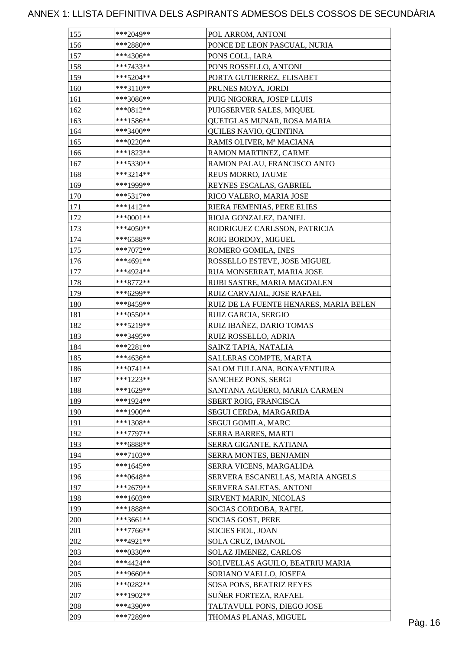| 155 | ***2049**                | POL ARROM, ANTONI                      |         |
|-----|--------------------------|----------------------------------------|---------|
| 156 | $***2880**$              | PONCE DE LEON PASCUAL, NURIA           |         |
| 157 | ***4306**                | PONS COLL, IARA                        |         |
| 158 | $***7433**$              | PONS ROSSELLO, ANTONI                  |         |
| 159 | $***5204**$              | PORTA GUTIERREZ, ELISABET              |         |
| 160 | ***3110**                | PRUNES MOYA, JORDI                     |         |
| 161 | ***3086**                | PUIG NIGORRA, JOSEP LLUIS              |         |
| 162 | $***0812**$              | PUIGSERVER SALES, MIQUEL               |         |
| 163 | ***1586**                | QUETGLAS MUNAR, ROSA MARIA             |         |
| 164 | ***3400**                | QUILES NAVIO, QUINTINA                 |         |
| 165 | ***0220**                | RAMIS OLIVER, Mª MACIANA               |         |
| 166 | ***1823**                | RAMON MARTINEZ, CARME                  |         |
| 167 | $***5330**$              | RAMON PALAU, FRANCISCO ANTO            |         |
| 168 | $***3214**$              | REUS MORRO, JAUME                      |         |
| 169 | ***1999**                | REYNES ESCALAS, GABRIEL                |         |
| 170 | $***5317**$              | RICO VALERO, MARIA JOSE                |         |
| 171 | $***1412**$              | RIERA FEMENIAS, PERE ELIES             |         |
| 172 | ***0001**                | RIOJA GONZALEZ, DANIEL                 |         |
| 173 | ***4050**                | RODRIGUEZ CARLSSON, PATRICIA           |         |
| 174 | $***6588**$              | ROIG BORDOY, MIGUEL                    |         |
| 175 | $***7072**$              | ROMERO GOMILA, INES                    |         |
| 176 | ***4691**                | ROSSELLO ESTEVE, JOSE MIGUEL           |         |
| 177 | ***4924**                | RUA MONSERRAT, MARIA JOSE              |         |
| 178 | ***8772**                | RUBI SASTRE, MARIA MAGDALEN            |         |
| 179 | ***6299**                | RUIZ CARVAJAL, JOSE RAFAEL             |         |
| 180 | ***8459**                |                                        |         |
|     |                          | RUIZ DE LA FUENTE HENARES, MARIA BELEN |         |
| 181 | ***0550**<br>$***5219**$ | RUIZ GARCIA, SERGIO                    |         |
| 182 | ***3495**                | RUIZ IBAÑEZ, DARIO TOMAS               |         |
| 183 |                          | RUIZ ROSSELLO, ADRIA                   |         |
| 184 | $***2281**$              | SAINZ TAPIA, NATALIA                   |         |
| 185 | ***4636**                | SALLERAS COMPTE, MARTA                 |         |
| 186 | $***0741**$              | SALOM FULLANA, BONAVENTURA             |         |
| 187 | $***1223**$              | SANCHEZ PONS, SERGI                    |         |
| 188 | ***1629**                | SANTANA AGÜERO, MARIA CARMEN           |         |
| 189 | ***1924**                | SBERT ROIG, FRANCISCA                  |         |
| 190 | ***1900**                | SEGUI CERDA, MARGARIDA                 |         |
| 191 | $***1308**$              | SEGUI GOMILA, MARC                     |         |
| 192 | ***7797**                | SERRA BARRES, MARTI                    |         |
| 193 | ***6888**                | SERRA GIGANTE, KATIANA                 |         |
| 194 | ***7103**                | <b>SERRA MONTES, BENJAMIN</b>          |         |
| 195 | $***1645**$              | SERRA VICENS, MARGALIDA                |         |
| 196 | ***0648**                | SERVERA ESCANELLAS, MARIA ANGELS       |         |
| 197 | ***2679**                | SERVERA SALETAS, ANTONI                |         |
| 198 | ***1603**                | SIRVENT MARIN, NICOLAS                 |         |
| 199 | ***1888**                | SOCIAS CORDOBA, RAFEL                  |         |
| 200 | ***3661**                | SOCIAS GOST, PERE                      |         |
| 201 | $***7766**$              | SOCIES FIOL, JOAN                      |         |
| 202 | ***4921**                | SOLA CRUZ, IMANOL                      |         |
| 203 | ***0330**                | SOLAZ JIMENEZ, CARLOS                  |         |
| 204 | ***4424**                | SOLIVELLAS AGUILO, BEATRIU MARIA       |         |
| 205 | ***9660**                | SORIANO VAELLO, JOSEFA                 |         |
| 206 | $***0282**$              | SOSA PONS, BEATRIZ REYES               |         |
| 207 | ***1902**                | SUÑER FORTEZA, RAFAEL                  |         |
| 208 | ***4390**                | TALTAVULL PONS, DIEGO JOSE             |         |
| 209 | ***7289**                | THOMAS PLANAS, MIGUEL                  | Pàg. 16 |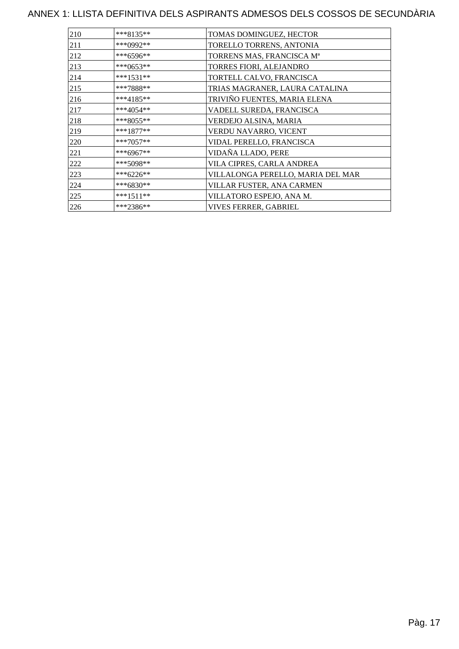| 210 | $***8135**$ | TOMAS DOMINGUEZ, HECTOR           |
|-----|-------------|-----------------------------------|
| 211 | ***0992**   | TORELLO TORRENS, ANTONIA          |
| 212 | ***6596**   | TORRENS MAS, FRANCISCA Mª         |
| 213 | ***0653**   | TORRES FIORI, ALEJANDRO           |
| 214 | $***1531**$ | TORTELL CALVO, FRANCISCA          |
| 215 | ***7888**   | TRIAS MAGRANER, LAURA CATALINA    |
| 216 | ***4185**   | TRIVIÑO FUENTES, MARIA ELENA      |
| 217 | $***4054**$ | VADELL SUREDA, FRANCISCA          |
| 218 | $***8055**$ | VERDEJO ALSINA, MARIA             |
| 219 | $***1877**$ | VERDU NAVARRO, VICENT             |
| 220 | $***7057**$ | VIDAL PERELLO, FRANCISCA          |
| 221 | ***6967**   | VIDAÑA LLADO, PERE                |
| 222 | ***5098**   | VILA CIPRES, CARLA ANDREA         |
| 223 | ***6226**   | VILLALONGA PERELLO, MARIA DEL MAR |
| 224 | ***6830**   | VILLAR FUSTER, ANA CARMEN         |
| 225 | $***1511**$ | VILLATORO ESPEJO, ANA M.          |
| 226 | ***2386**   | <b>VIVES FERRER, GABRIEL</b>      |
|     |             |                                   |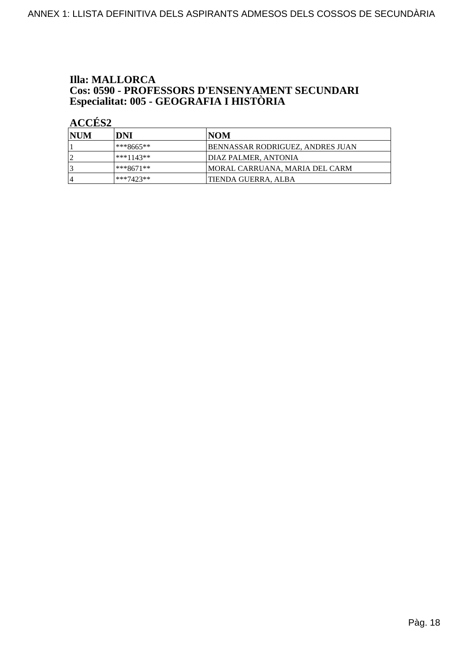# **Illa: MALLORCA Cos: 0590 - PROFESSORS D'ENSENYAMENT SECUNDARI<br>Especialitat: 005 - GEOGRAFIA I HISTÒRIA**

| <b>NUM</b>     | DNI         | INOM                                    |
|----------------|-------------|-----------------------------------------|
|                | ***8665**   | <b>BENNASSAR RODRIGUEZ, ANDRES JUAN</b> |
|                | ***1143**   | <b>DIAZ PALMER, ANTONIA</b>             |
|                | ***8671**   | MORAL CARRUANA, MARIA DEL CARM          |
| $\overline{4}$ | $***7423**$ | ITIENDA GUERRA. ALBA                    |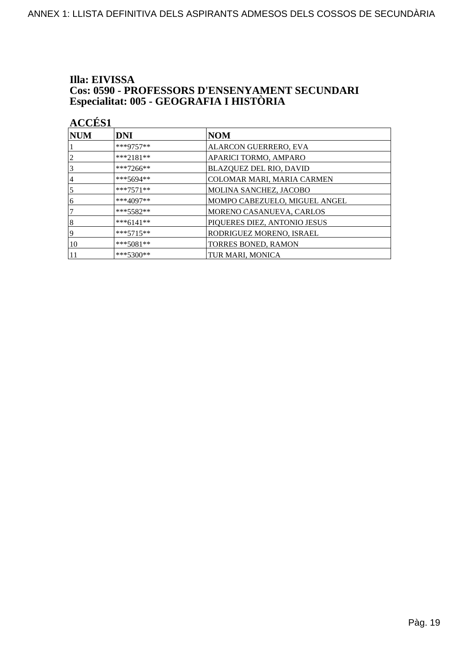# Illa: EIVISSA **Cos: 0590 - PROFESSORS D'ENSENYAMENT SECUNDARI<br>Especialitat: 005 - GEOGRAFIA I HISTÒRIA**

| <b>ACCÉS 1</b> |             |                               |
|----------------|-------------|-------------------------------|
| $\bf NUM$      | <b>DNI</b>  | <b>NOM</b>                    |
|                | ***9757**   | ALARCON GUERRERO, EVA         |
| 2              | $***2181**$ | APARICI TORMO, AMPARO         |
| 3              | $***7266**$ | BLAZQUEZ DEL RIO, DAVID       |
| 4              | ***5694**   | COLOMAR MARI, MARIA CARMEN    |
| 5              | $***7571**$ | MOLINA SANCHEZ, JACOBO        |
| 6              | $***4097**$ | MOMPO CABEZUELO, MIGUEL ANGEL |
| 7              | $***5582**$ | MORENO CASANUEVA, CARLOS      |
| 8              | $***6141**$ | PIQUERES DIEZ, ANTONIO JESUS  |
| 9              | $***5715**$ | RODRIGUEZ MORENO, ISRAEL      |
| 10             | $***5081**$ | TORRES BONED, RAMON           |
|                | $***5300**$ | TUR MARI, MONICA              |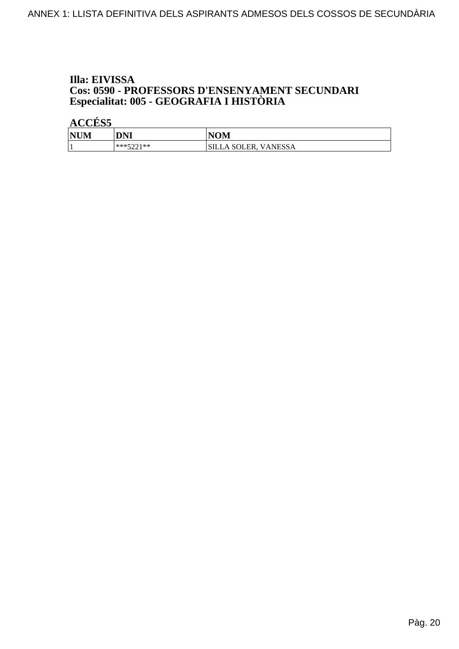# Illa: EIVISSA **Cos: 0590 - PROFESSORS D'ENSENYAMENT SECUNDARI<br>Especialitat: 005 - GEOGRAFIA I HISTÒRIA**

| <b>NUM</b> | DNI       | <b>NOM</b>                  |
|------------|-----------|-----------------------------|
|            | ***5001** | <b>SILLA SOLER, VANESSA</b> |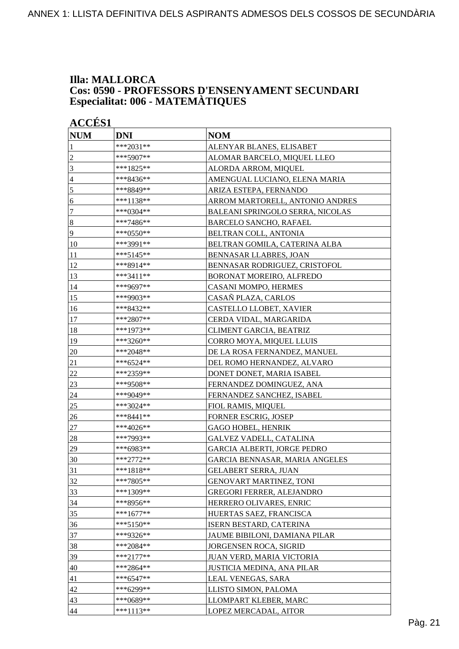#### **Illa: MALLORCA Cos: 0590 - PROFESSORS D'ENSENYAMENT SECUNDARI Especialitat: 006 - MATEMÀTIQUES**

| <b>ACCÉS 1</b> |             |                                         |  |
|----------------|-------------|-----------------------------------------|--|
| <b>NUM</b>     | <b>DNI</b>  | <b>NOM</b>                              |  |
| 1              | ***2031**   | ALENYAR BLANES, ELISABET                |  |
| $\overline{c}$ | ***5907**   | ALOMAR BARCELO, MIQUEL LLEO             |  |
| 3              | ***1825**   | ALORDA ARROM, MIQUEL                    |  |
| $\overline{4}$ | ***8436**   | AMENGUAL LUCIANO, ELENA MARIA           |  |
| 5              | ***8849**   | ARIZA ESTEPA, FERNANDO                  |  |
| 6              | ***1138**   | ARROM MARTORELL, ANTONIO ANDRES         |  |
| $\tau$         | $***0304**$ | <b>BALEANI SPRINGOLO SERRA, NICOLAS</b> |  |
| $\sqrt{8}$     | ***7486**   | <b>BARCELO SANCHO, RAFAEL</b>           |  |
| $\overline{9}$ | ***0550**   | BELTRAN COLL, ANTONIA                   |  |
| 10             | ***3991**   | BELTRAN GOMILA, CATERINA ALBA           |  |
| 11             | ***5145**   | BENNASAR LLABRES, JOAN                  |  |
| 12             | ***8914**   | BENNASAR RODRIGUEZ, CRISTOFOL           |  |
| 13             | ***3411**   | BORONAT MOREIRO, ALFREDO                |  |
| 14             | ***9697**   | CASANI MOMPO, HERMES                    |  |
| 15             | ***9903**   | CASAÑ PLAZA, CARLOS                     |  |
| 16             | ***8432**   | CASTELLO LLOBET, XAVIER                 |  |
| 17             | ***2807**   | CERDA VIDAL, MARGARIDA                  |  |
| 18             | ***1973**   | CLIMENT GARCIA, BEATRIZ                 |  |
| 19             | ***3260**   | CORRO MOYA, MIQUEL LLUIS                |  |
| 20             | ***2048**   | DE LA ROSA FERNANDEZ, MANUEL            |  |
| 21             | ***6524**   | DEL ROMO HERNANDEZ, ALVARO              |  |
| 22             | ***2359**   | DONET DONET, MARIA ISABEL               |  |
| 23             | ***9508**   | FERNANDEZ DOMINGUEZ, ANA                |  |
| 24             | ***9049**   | FERNANDEZ SANCHEZ, ISABEL               |  |
| 25             | ***3024**   | FIOL RAMIS, MIQUEL                      |  |
| 26             | ***8441**   | FORNER ESCRIG, JOSEP                    |  |
| 27             | ***4026**   | <b>GAGO HOBEL, HENRIK</b>               |  |
| 28             | ***7993**   | <b>GALVEZ VADELL, CATALINA</b>          |  |
| 29             | ***6983**   | GARCIA ALBERTI, JORGE PEDRO             |  |
| 30             | ***2772**   | GARCIA BENNASAR, MARIA ANGELES          |  |
| 31             | ***1818**   | <b>GELABERT SERRA, JUAN</b>             |  |
| 32             | ***7805**   | <b>GENOVART MARTINEZ, TONI</b>          |  |
| 33             | ***1309**   | <b>GREGORI FERRER, ALEJANDRO</b>        |  |
| 34             | ***8956**   | HERRERO OLIVARES, ENRIC                 |  |
| 35             | $***1677**$ | HUERTAS SAEZ, FRANCISCA                 |  |
| 36             | $***5150**$ | ISERN BESTARD, CATERINA                 |  |
| 37             | ***9326**   | JAUME BIBILONI, DAMIANA PILAR           |  |
| 38             | ***2084**   | JORGENSEN ROCA, SIGRID                  |  |
| 39             | $***2177**$ | JUAN VERD, MARIA VICTORIA               |  |
| 40             | ***2864**   | JUSTICIA MEDINA, ANA PILAR              |  |
| 41             | $***6547**$ | LEAL VENEGAS, SARA                      |  |
| 42             | ***6299**   | LLISTO SIMON, PALOMA                    |  |
| 43             | ***0689**   | LLOMPART KLEBER, MARC                   |  |
| 44             | $***1113**$ | LOPEZ MERCADAL, AITOR                   |  |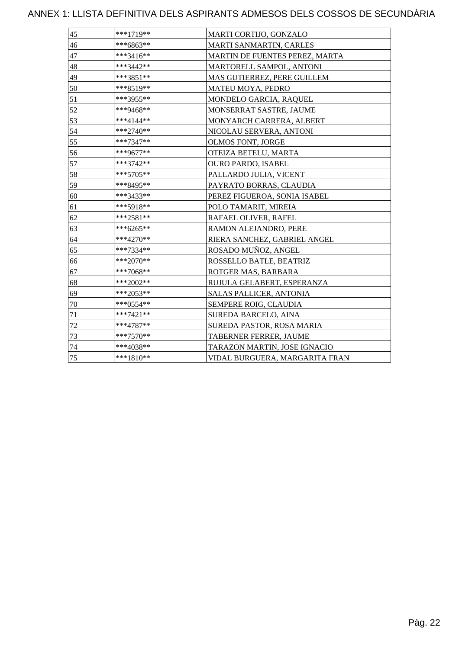| 45 | ***1719**   | MARTI CORTIJO, GONZALO         |
|----|-------------|--------------------------------|
| 46 | ***6863**   | MARTI SANMARTIN, CARLES        |
| 47 | ***3416**   | MARTIN DE FUENTES PEREZ, MARTA |
| 48 | ***3442**   | MARTORELL SAMPOL, ANTONI       |
| 49 | ***3851**   | MAS GUTIERREZ, PERE GUILLEM    |
| 50 | ***8519**   | MATEU MOYA, PEDRO              |
| 51 | ***3955**   | MONDELO GARCIA, RAQUEL         |
| 52 | ***9468**   | MONSERRAT SASTRE, JAUME        |
| 53 | ***4144**   | MONYARCH CARRERA, ALBERT       |
| 54 | ***2740**   | NICOLAU SERVERA, ANTONI        |
| 55 | ***7347**   | OLMOS FONT, JORGE              |
| 56 | ***9677**   | OTEIZA BETELU, MARTA           |
| 57 | ***3742**   | <b>OURO PARDO, ISABEL</b>      |
| 58 | ***5705**   | PALLARDO JULIA, VICENT         |
| 59 | ***8495**   | PAYRATO BORRAS, CLAUDIA        |
| 60 | ***3433**   | PEREZ FIGUEROA, SONIA ISABEL   |
| 61 | ***5918**   | POLO TAMARIT, MIREIA           |
| 62 | ***2581**   | RAFAEL OLIVER, RAFEL           |
| 63 | ***6265**   | RAMON ALEJANDRO, PERE          |
| 64 | ***4270**   | RIERA SANCHEZ, GABRIEL ANGEL   |
| 65 | ***7334**   | ROSADO MUÑOZ, ANGEL            |
| 66 | ***2070**   | ROSSELLO BATLE, BEATRIZ        |
| 67 | $***7068**$ | ROTGER MAS, BARBARA            |
| 68 | ***2002**   | RUJULA GELABERT, ESPERANZA     |
| 69 | $***2053**$ | SALAS PALLICER, ANTONIA        |
| 70 | ***0554**   | SEMPERE ROIG, CLAUDIA          |
| 71 | ***7421**   | SUREDA BARCELO, AINA           |
| 72 | ***4787**   | SUREDA PASTOR, ROSA MARIA      |
| 73 | $***7570**$ | TABERNER FERRER, JAUME         |
| 74 | ***4038**   | TARAZON MARTIN, JOSE IGNACIO   |
| 75 | ***1810**   | VIDAL BURGUERA, MARGARITA FRAN |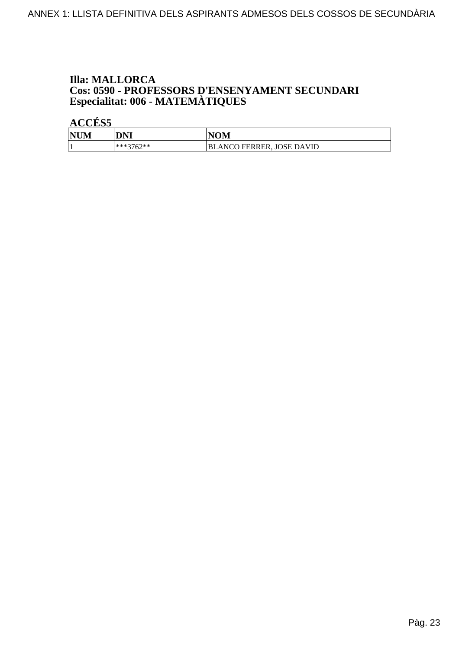# **Illa: MALLORCA Cos: 0590 - PROFESSORS D'ENSENYAMENT SECUNDARI<br>Especialitat: 006 - MATEMÀTIQUES**

| <b>NUM</b> | <b>DNI</b>  | <b>NOM</b>                |
|------------|-------------|---------------------------|
|            | $***3762**$ | BLANCO FERRER, JOSE DAVID |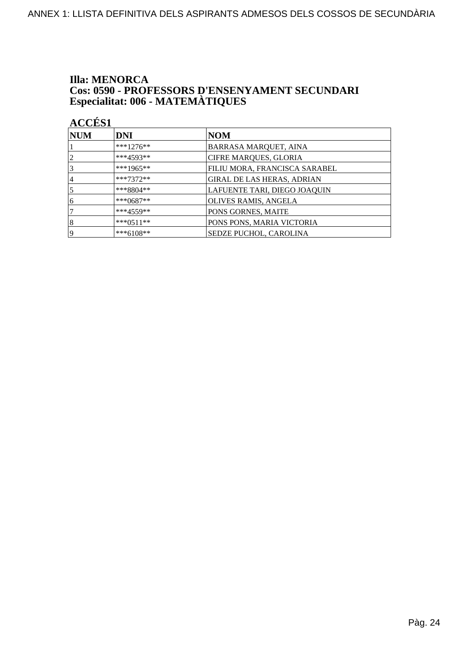# **Illa: MENORCA Cos: 0590 - PROFESSORS D'ENSENYAMENT SECUNDARI<br>Especialitat: 006 - MATEMÀTIQUES**

| <b>NUM</b>     | <b>DNI</b>  | NOM                               |
|----------------|-------------|-----------------------------------|
|                | ***1276**   | <b>BARRASA MARQUET, AINA</b>      |
| $\overline{2}$ | $***4593**$ | <b>CIFRE MARQUES, GLORIA</b>      |
| 3              | ***1965**   | FILIU MORA, FRANCISCA SARABEL     |
| 4              | $***7372**$ | <b>GIRAL DE LAS HERAS, ADRIAN</b> |
| 5              | $***8804**$ | LAFUENTE TARI, DIEGO JOAQUIN      |
| 6              | ***0687**   | OLIVES RAMIS, ANGELA              |
| 7              | $***4559**$ | PONS GORNES, MAITE                |
| 8              | $***0511**$ | PONS PONS, MARIA VICTORIA         |
| 19             | ***6108**   | <b>SEDZE PUCHOL, CAROLINA</b>     |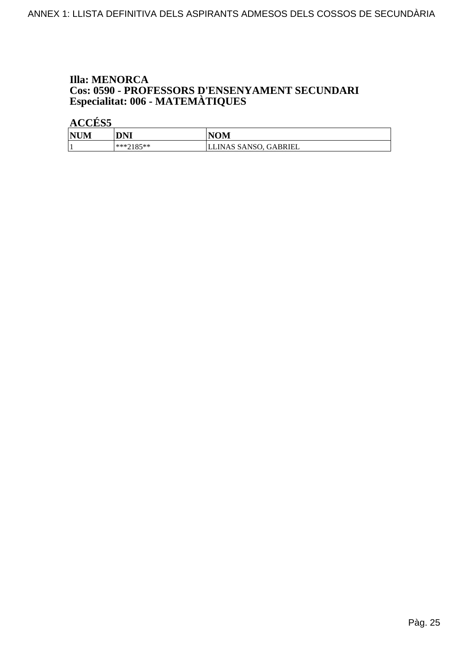# **Illa: MENORCA Cos: 0590 - PROFESSORS D'ENSENYAMENT SECUNDARI<br>Especialitat: 006 - MATEMÀTIQUES**

| <b>NUM</b> | <b>DNI</b> | <b>NOM</b>            |
|------------|------------|-----------------------|
|            | $**2185**$ | LLINAS SANSO, GABRIEL |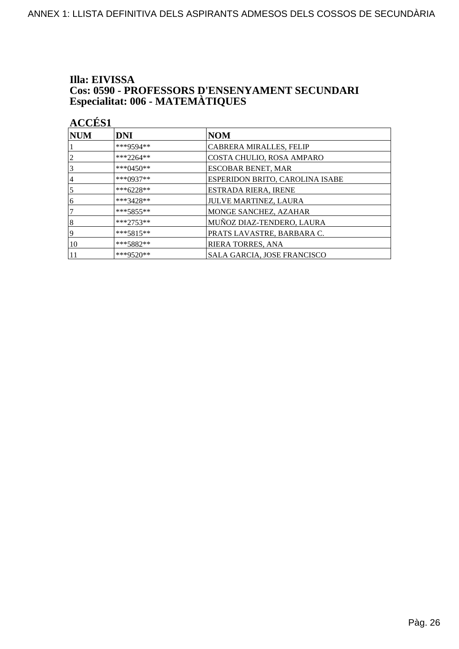# Illa: EIVISSA **Cos: 0590 - PROFESSORS D'ENSENYAMENT SECUNDARI<br>Especialitat: 006 - MATEMÀTIQUES**

| INITIM<br>INNIT |  |
|-----------------|--|
| <b>ACCES 1</b>  |  |

| <b>NUM</b> | <b>DNI</b>    | <b>NOM</b>                      |
|------------|---------------|---------------------------------|
|            | ***9594**     | <b>CABRERA MIRALLES, FELIP</b>  |
|            | ***2264**     | COSTA CHULIO, ROSA AMPARO       |
|            | *** $0450$ ** | <b>ESCOBAR BENET, MAR</b>       |
| 4          | ***0937**     | ESPERIDON BRITO, CAROLINA ISABE |
|            | ***6228**     | ESTRADA RIERA, IRENE            |
| 6          | ***3428**     | JULVE MARTINEZ, LAURA           |
|            | $***5855***$  | MONGE SANCHEZ, AZAHAR           |
| 8          | $***2753**$   | MUÑOZ DIAZ-TENDERO, LAURA       |
| 9          | $***5815**$   | PRATS LAVASTRE, BARBARA C.      |
| 10         | ***5882**     | RIERA TORRES, ANA               |
|            | ***9520**     | SALA GARCIA, JOSE FRANCISCO     |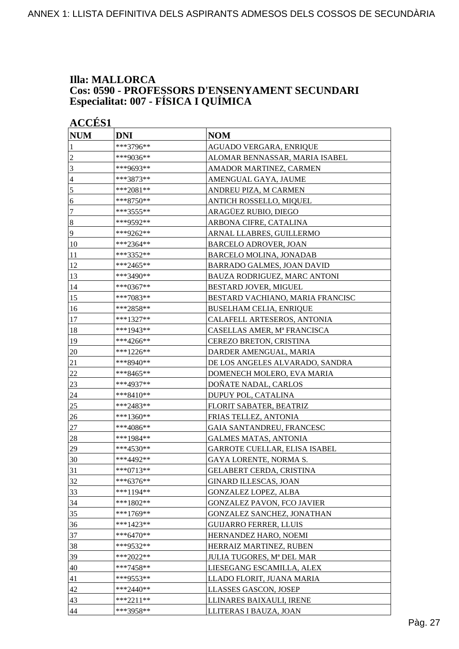#### **Illa: MALLORCA Cos: 0590 - PROFESSORS D'ENSENYAMENT SECUNDARI Especialitat: 007 - FÍSICA I QUÍMICA**

| <b>ACCÉS 1</b> |             |                                   |
|----------------|-------------|-----------------------------------|
| <b>NUM</b>     | <b>DNI</b>  | <b>NOM</b>                        |
| 1              | ***3796**   | AGUADO VERGARA, ENRIQUE           |
| $\overline{c}$ | ***9036**   | ALOMAR BENNASSAR, MARIA ISABEL    |
| 3              | ***9693**   | AMADOR MARTINEZ, CARMEN           |
| $\overline{4}$ | ***3873**   | AMENGUAL GAYA, JAUME              |
| 5              | ***2081**   | ANDREU PIZA, M CARMEN             |
| 6              | ***8750**   | ANTICH ROSSELLO, MIQUEL           |
| $\tau$         | ***3555**   | ARAGÜEZ RUBIO, DIEGO              |
| $\sqrt{8}$     | ***9592**   | ARBONA CIFRE, CATALINA            |
| $\overline{9}$ | ***9262**   | ARNAL LLABRES, GUILLERMO          |
| 10             | ***2364**   | <b>BARCELO ADROVER, JOAN</b>      |
| 11             | ***3352**   | <b>BARCELO MOLINA, JONADAB</b>    |
| 12             | ***2465**   | BARRADO GALMES, JOAN DAVID        |
| 13             | ***3490**   | BAUZA RODRIGUEZ, MARC ANTONI      |
| 14             | ***0367**   | BESTARD JOVER, MIGUEL             |
| 15             | ***7083**   | BESTARD VACHIANO, MARIA FRANCISC  |
| 16             | ***2858**   | <b>BUSELHAM CELIA, ENRIQUE</b>    |
| 17             | ***1327**   | CALAFELL ARTESEROS, ANTONIA       |
| 18             | ***1943**   | CASELLAS AMER, Mª FRANCISCA       |
| 19             | ***4266**   | <b>CEREZO BRETON, CRISTINA</b>    |
| 20             | ***1226**   | DARDER AMENGUAL, MARIA            |
| 21             | ***8940**   | DE LOS ANGELES ALVARADO, SANDRA   |
| 22             | ***8465**   | DOMENECH MOLERO, EVA MARIA        |
| 23             | ***4937**   | DOÑATE NADAL, CARLOS              |
| 24             | ***8410**   | DUPUY POL, CATALINA               |
| <u>25</u>      | ***2483**   | FLORIT SABATER, BEATRIZ           |
| 26             | ***1360**   | FRIAS TELLEZ, ANTONIA             |
| 27             | ***4086**   | GAIA SANTANDREU, FRANCESC         |
| 28             | ***1984**   | <b>GALMES MATAS, ANTONIA</b>      |
| 29             | ***4530**   | GARROTE CUELLAR, ELISA ISABEL     |
| 30             | ***4492**   | GAYA LORENTE, NORMA S.            |
| 31             | ***0713**   | <b>GELABERT CERDA, CRISTINA</b>   |
| 32             | $***6376**$ | <b>GINARD ILLESCAS, JOAN</b>      |
| 33             | $***1194**$ | <b>GONZALEZ LOPEZ, ALBA</b>       |
| 34             | ***1802**   | <b>GONZALEZ PAVON, FCO JAVIER</b> |
| 35             | ***1769**   | GONZALEZ SANCHEZ, JONATHAN        |
| 36             | ***1423**   | <b>GUIJARRO FERRER, LLUIS</b>     |
| 37             | ***6470**   | HERNANDEZ HARO, NOEMI             |
| 38             | ***9532**   | HERRAIZ MARTINEZ, RUBEN           |
| 39             | ***2022**   | JULIA TUGORES, Mª DEL MAR         |
| 40             | ***7458**   | LIESEGANG ESCAMILLA, ALEX         |
| 41             | ***9553**   | LLADO FLORIT, JUANA MARIA         |
| 42             | ***2440**   | LLASSES GASCON, JOSEP             |
| 43             | ***2211**   | LLINARES BAIXAULI, IRENE          |
| 44             | ***3958**   | LLITERAS I BAUZA, JOAN            |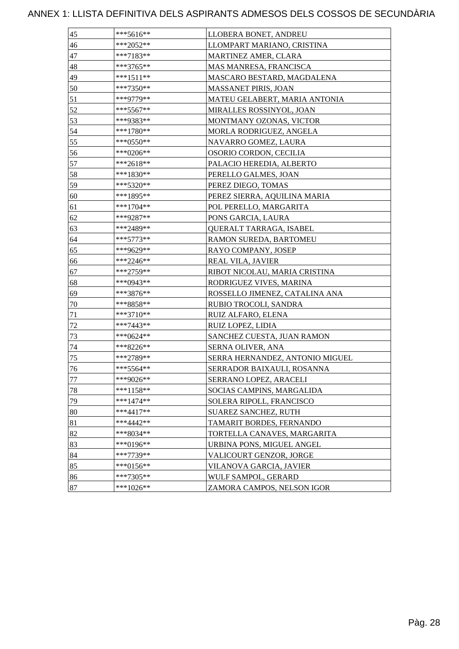| 45 | ***5616**   | LLOBERA BONET, ANDREU           |
|----|-------------|---------------------------------|
| 46 | ***2052**   | LLOMPART MARIANO, CRISTINA      |
| 47 | ***7183**   | MARTINEZ AMER, CLARA            |
| 48 | ***3765**   | MAS MANRESA, FRANCISCA          |
| 49 | ***1511**   | MASCARO BESTARD, MAGDALENA      |
| 50 | ***7350**   | MASSANET PIRIS, JOAN            |
| 51 | ***9779**   | MATEU GELABERT, MARIA ANTONIA   |
| 52 | ***5567**   | MIRALLES ROSSINYOL, JOAN        |
| 53 | ***9383**   | MONTMANY OZONAS, VICTOR         |
| 54 | ***1780**   | MORLA RODRIGUEZ, ANGELA         |
| 55 | ***0550**   | NAVARRO GOMEZ, LAURA            |
| 56 | ***0206**   | OSORIO CORDON, CECILIA          |
| 57 | ***2618**   | PALACIO HEREDIA, ALBERTO        |
| 58 | ***1830**   | PERELLO GALMES, JOAN            |
| 59 | ***5320**   | PEREZ DIEGO, TOMAS              |
| 60 | ***1895**   | PEREZ SIERRA, AQUILINA MARIA    |
| 61 | ***1704**   | POL PERELLO, MARGARITA          |
| 62 | ***9287**   | PONS GARCIA, LAURA              |
| 63 | ***2489**   | QUERALT TARRAGA, ISABEL         |
| 64 | $***5773**$ | RAMON SUREDA, BARTOMEU          |
| 65 | ***9629**   | RAYO COMPANY, JOSEP             |
| 66 | ***2246**   | REAL VILA, JAVIER               |
| 67 | ***2759**   | RIBOT NICOLAU, MARIA CRISTINA   |
| 68 | ***0943**   | RODRIGUEZ VIVES, MARINA         |
| 69 | ***3876**   | ROSSELLO JIMENEZ, CATALINA ANA  |
| 70 | ***8858**   | RUBIO TROCOLI, SANDRA           |
| 71 | ***3710**   | RUIZ ALFARO, ELENA              |
| 72 | ***7443**   | RUIZ LOPEZ, LIDIA               |
| 73 | ***0624**   | SANCHEZ CUESTA, JUAN RAMON      |
| 74 | ***8226**   | SERNA OLIVER, ANA               |
| 75 | ***2789**   | SERRA HERNANDEZ, ANTONIO MIGUEL |
| 76 | $***5564**$ | SERRADOR BAIXAULI, ROSANNA      |
| 77 | ***9026**   | SERRANO LOPEZ, ARACELI          |
| 78 | ***1158**   | SOCIAS CAMPINS, MARGALIDA       |
| 79 | $***1474**$ | SOLERA RIPOLL, FRANCISCO        |
| 80 | $***4417**$ | <b>SUAREZ SANCHEZ, RUTH</b>     |
| 81 | ***4442**   | TAMARIT BORDES, FERNANDO        |
| 82 | ***8034**   | TORTELLA CANAVES, MARGARITA     |
| 83 | ***0196**   | URBINA PONS, MIGUEL ANGEL       |
| 84 | ***7739**   | VALICOURT GENZOR, JORGE         |
| 85 | $***0156**$ | VILANOVA GARCIA, JAVIER         |
| 86 | ***7305**   | WULF SAMPOL, GERARD             |
| 87 | ***1026**   | ZAMORA CAMPOS, NELSON IGOR      |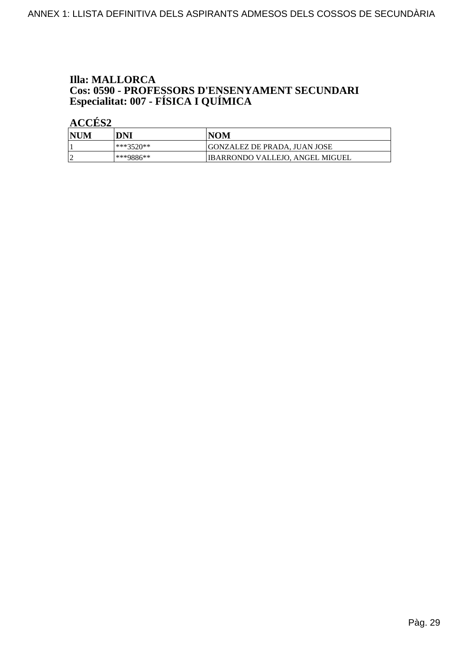# **Illa: MALLORCA Cos: 0590 - PROFESSORS D'ENSENYAMENT SECUNDARI<br>Especialitat: 007 - FÍSICA I QUÍMICA**

| <b>NUM</b> | DNI        | NOM                             |
|------------|------------|---------------------------------|
|            | ∗**?520**∶ | GONZALEZ DE PRADA. JUAN JOSE    |
|            | ***9886**  | IBARRONDO VALLEJO, ANGEL MIGUEL |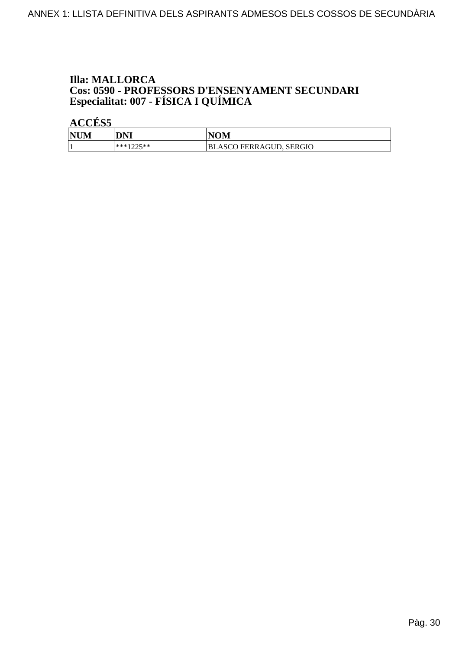# **Illa: MALLORCA Cos: 0590 - PROFESSORS D'ENSENYAMENT SECUNDARI<br>Especialitat: 007 - FÍSICA I QUÍMICA**

| <b>NUM</b> | DNI                   | <b>NOM</b>              |
|------------|-----------------------|-------------------------|
|            | ***1つつ5**<br>ت سامت . | BLASCO FERRAGUD, SERGIO |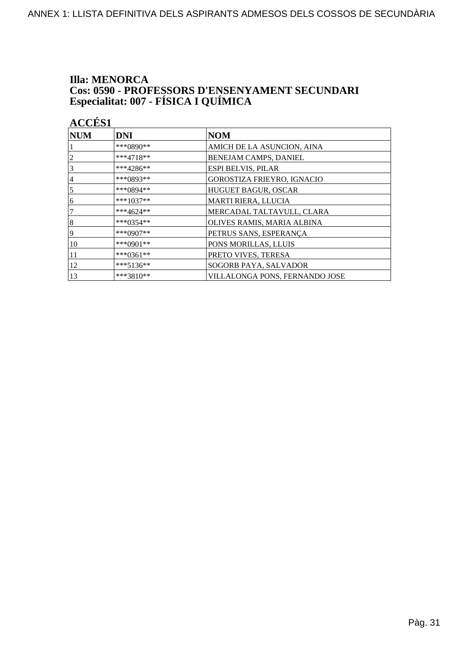# **Illa: MENORCA Cos: 0590 - PROFESSORS D'ENSENYAMENT SECUNDARI<br>Especialitat: 007 - FÍSICA I QUÍMICA**

| <b>ACCÉS 1</b> |             |                                |
|----------------|-------------|--------------------------------|
| <b>NUM</b>     | <b>DNI</b>  | <b>NOM</b>                     |
|                | ***0890**   | AMICH DE LA ASUNCION, AINA     |
| $\overline{c}$ | ***4718**   | BENEJAM CAMPS, DANIEL          |
| 3              | ***4286**   | ESPI BELVIS, PILAR             |
| 4              | ***0893**   | GOROSTIZA FRIEYRO, IGNACIO     |
| 5              | ***0894**   | HUGUET BAGUR, OSCAR            |
| 6              | ***1037**   | MARTI RIERA, LLUCIA            |
| 7              | ***4624**   | MERCADAL TALTAVULL, CLARA      |
| $\sqrt{8}$     | ***0354**   | OLIVES RAMIS, MARIA ALBINA     |
| 9              | ***0907**   | PETRUS SANS, ESPERANÇA         |
| 10             | ***0901**   | PONS MORILLAS, LLUIS           |
| 11             | ***0361**   | PRETO VIVES, TERESA            |
| 12             | $***5136**$ | SOGORB PAYA, SALVADOR          |
| 13             | $***3810**$ | VILLALONGA PONS, FERNANDO JOSE |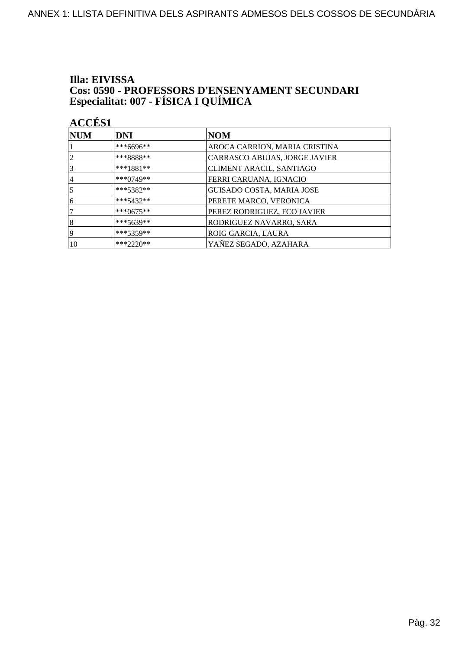# Illa: EIVISSA **Cos: 0590 - PROFESSORS D'ENSENYAMENT SECUNDARI<br>Especialitat: 007 - FÍSICA I QUÍMICA**

| $\bf NUM$      | <b>DNI</b>  | <b>NOM</b>                       |
|----------------|-------------|----------------------------------|
|                | ***6696**   | AROCA CARRION, MARIA CRISTINA    |
| $\overline{2}$ | ***8888**   | CARRASCO ABUJAS, JORGE JAVIER    |
| 3              | $***1881**$ | <b>CLIMENT ARACIL, SANTIAGO</b>  |
| $\overline{4}$ | $***0749**$ | FERRI CARUANA, IGNACIO           |
| 5              | $***5382**$ | <b>GUISADO COSTA, MARIA JOSE</b> |
| 6              | $***5432**$ | PERETE MARCO, VERONICA           |
|                | $***0675**$ | PEREZ RODRIGUEZ, FCO JAVIER      |
| 8              | ***5639**   | RODRIGUEZ NAVARRO, SARA          |
| 19             | $***5359**$ | ROIG GARCIA, LAURA               |
| 10             | $***2220**$ | YAÑEZ SEGADO, AZAHARA            |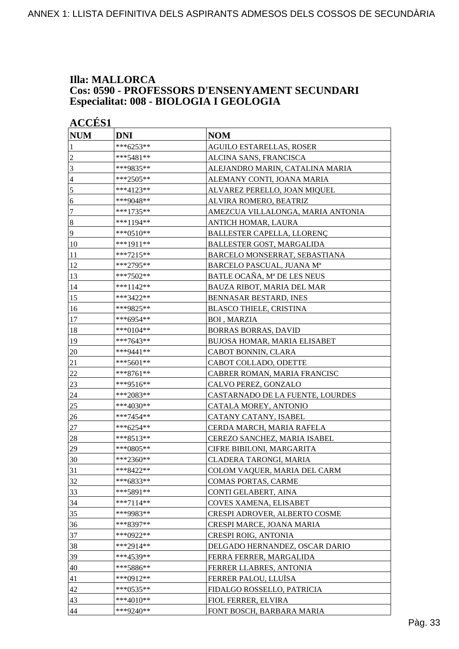#### **Illa: MALLORCA Cos: 0590 - PROFESSORS D'ENSENYAMENT SECUNDARI Especialitat: 008 - BIOLOGIA I GEOLOGIA**

| <b>ACCÉS 1</b>   |             |                                   |
|------------------|-------------|-----------------------------------|
| <b>NUM</b>       | <b>DNI</b>  | <b>NOM</b>                        |
| 1                | ***6253**   | <b>AGUILO ESTARELLAS, ROSER</b>   |
| $\overline{c}$   | ***5481**   | ALCINA SANS, FRANCISCA            |
| 3                | ***9835**   | ALEJANDRO MARIN, CATALINA MARIA   |
| $\overline{4}$   | ***2505**   | ALEMANY CONTI, JOANA MARIA        |
| 5                | ***4123**   | ALVAREZ PERELLO, JOAN MIQUEL      |
| 6                | ***9048**   | ALVIRA ROMERO, BEATRIZ            |
| $\tau$           | ***1735**   | AMEZCUA VILLALONGA, MARIA ANTONIA |
| $\boldsymbol{8}$ | ***1194**   | ANTICH HOMAR, LAURA               |
| 9                | ***0510**   | BALLESTER CAPELLA, LLORENÇ        |
| 10               | ***1911**   | BALLESTER GOST, MARGALIDA         |
| 11               | ***7215**   | BARCELO MONSERRAT, SEBASTIANA     |
| 12               | ***2795**   | BARCELO PASCUAL, JUANA Mª         |
| 13               | ***7502**   | BATLE OCAÑA, Mª DE LES NEUS       |
| 14               | ***1142**   | <b>BAUZA RIBOT, MARIA DEL MAR</b> |
| 15               | ***3422**   | BENNASAR BESTARD, INES            |
| 16               | ***9825**   | <b>BLASCO THIELE, CRISTINA</b>    |
| 17               | ***6954**   | <b>BOI, MARZIA</b>                |
| 18               | $***0104**$ | <b>BORRAS BORRAS, DAVID</b>       |
| 19               | ***7643**   | BUJOSA HOMAR, MARIA ELISABET      |
| 20               | ***9441**   | CABOT BONNIN, CLARA               |
| 21               | $***5601**$ | CABOT COLLADO, ODETTE             |
| 22               | ***8761**   | CABRER ROMAN, MARIA FRANCISC      |
| 23               | ***9516**   | CALVO PEREZ, GONZALO              |
| 24               | ***2083**   | CASTARNADO DE LA FUENTE, LOURDES  |
| 25               | ***4030**   | CATALA MOREY, ANTONIO             |
| 26               | ***7454**   | CATANY CATANY, ISABEL             |
| 27               | ***6254**   | CERDA MARCH, MARIA RAFELA         |
| 28               | ***8513**   | CEREZO SANCHEZ, MARIA ISABEL      |
| 29               | ***0805**   | CIFRE BIBILONI, MARGARITA         |
| 30               | ***2360**   | CLADERA TARONGI, MARIA            |
| 31               | ***8422**   | COLOM VAQUER, MARIA DEL CARM      |
| 32               | ***6833**   | COMAS PORTAS, CARME               |
| 33               | ***5891**   | CONTI GELABERT, AINA              |
| 34               | $***7114**$ | COVES XAMENA, ELISABET            |
| 35               | ***9983**   | CRESPI ADROVER, ALBERTO COSME     |
| 36               | ***8397**   | CRESPI MARCE, JOANA MARIA         |
| 37               | ***0922**   | <b>CRESPI ROIG, ANTONIA</b>       |
| 38               | ***2914**   | DELGADO HERNANDEZ, OSCAR DARIO    |
| 39               | ***4539**   | FERRA FERRER, MARGALIDA           |
| 40               | ***5886**   | FERRER LLABRES, ANTONIA           |
| 41               | ***0912**   | FERRER PALOU, LLUÏSA              |
| 42               | ***0535**   | FIDALGO ROSSELLO, PATRICIA        |
| 43               | ***4010**   | <b>FIOL FERRER, ELVIRA</b>        |
| 44               | ***9240**   | FONT BOSCH, BARBARA MARIA         |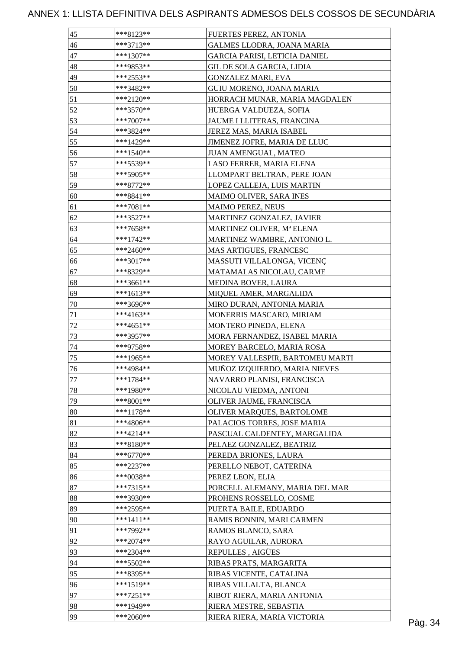| 45     | ***8123**   | FUERTES PEREZ, ANTONIA          |  |
|--------|-------------|---------------------------------|--|
| 46     | $***3713**$ | GALMES LLODRA, JOANA MARIA      |  |
| 47     | $***1307**$ | GARCIA PARISI, LETICIA DANIEL   |  |
| 48     | ***9853**   | GIL DE SOLA GARCIA, LIDIA       |  |
| 49     | ***2553**   | GONZALEZ MARI, EVA              |  |
| 50     | ***3482**   | <b>GUIU MORENO, JOANA MARIA</b> |  |
| 51     | $***2120**$ | HORRACH MUNAR, MARIA MAGDALEN   |  |
| 52     | ***3570**   | HUERGA VALDUEZA, SOFIA          |  |
| 53     | $***7007**$ | JAUME I LLITERAS, FRANCINA      |  |
| 54     | ***3824**   | JEREZ MAS, MARIA ISABEL         |  |
| 55     | ***1429**   | JIMENEZ JOFRE, MARIA DE LLUC    |  |
| 56     | ***1540**   | JUAN AMENGUAL, MATEO            |  |
| 57     | ***5539**   | LASO FERRER, MARIA ELENA        |  |
| 58     | ***5905**   | LLOMPART BELTRAN, PERE JOAN     |  |
| 59     | ***8772**   | LOPEZ CALLEJA, LUIS MARTIN      |  |
| 60     | ***8841**   | MAIMO OLIVER, SARA INES         |  |
| 61     | $***7081**$ | <b>MAIMO PEREZ, NEUS</b>        |  |
| 62     | ***3527**   | MARTINEZ GONZALEZ, JAVIER       |  |
| 63     | $***7658**$ | MARTINEZ OLIVER, Mª ELENA       |  |
| 64     | ***1742**   | MARTINEZ WAMBRE, ANTONIO L.     |  |
| 65     | $***2460**$ | MAS ARTIGUES, FRANCESC          |  |
| 66     | ***3017**   | MASSUTI VILLALONGA, VICENÇ      |  |
| 67     | ***8329**   |                                 |  |
|        |             | MATAMALAS NICOLAU, CARME        |  |
| 68     | ***3661**   | MEDINA BOVER, LAURA             |  |
| 69     | $***1613**$ | MIQUEL AMER, MARGALIDA          |  |
| 70     | ***3696**   | MIRO DURAN, ANTONIA MARIA       |  |
| 71     | ***4163**   | MONERRIS MASCARO, MIRIAM        |  |
| $72\,$ | ***4651**   | MONTERO PINEDA, ELENA           |  |
| 73     | ***3957**   | MORA FERNANDEZ, ISABEL MARIA    |  |
| 74     | ***9758**   | MOREY BARCELO, MARIA ROSA       |  |
| 75     | ***1965**   | MOREY VALLESPIR, BARTOMEU MARTI |  |
| 76     | ***4984**   | MUÑOZ IZQUIERDO, MARIA NIEVES   |  |
| $77\,$ | ***1784**   | NAVARRO PLANISI, FRANCISCA      |  |
| $78\,$ | ***1980**   | NICOLAU VIEDMA, ANTONI          |  |
| 79     | $***8001**$ | OLIVER JAUME, FRANCISCA         |  |
| 80     | $***1178**$ | OLIVER MARQUES, BARTOLOME       |  |
| 81     | $***4806**$ | PALACIOS TORRES, JOSE MARIA     |  |
| 82     | $***4214**$ | PASCUAL CALDENTEY, MARGALIDA    |  |
| 83     | $***8180**$ | PELAEZ GONZALEZ, BEATRIZ        |  |
| 84     | $***6770**$ | PEREDA BRIONES, LAURA           |  |
| 85     | ***2237**   | PERELLO NEBOT, CATERINA         |  |
| 86     | $***0038**$ | PEREZ LEON, ELIA                |  |
| 87     | $***7315**$ | PORCELL ALEMANY, MARIA DEL MAR  |  |
| 88     | ***3930**   | PROHENS ROSSELLO, COSME         |  |
| 89     | ***2595**   | PUERTA BAILE, EDUARDO           |  |
| 90     | $***1411**$ | RAMIS BONNIN, MARI CARMEN       |  |
| 91     | ***7992**   | RAMOS BLANCO, SARA              |  |
| 92     | $***2074**$ | RAYO AGUILAR, AURORA            |  |
| 93     | $***2304**$ | REPULLES, AIGÜES                |  |
| 94     | $***5502**$ | RIBAS PRATS, MARGARITA          |  |
| 95     | ***8395**   | RIBAS VICENTE, CATALINA         |  |
| 96     | $***1519**$ | RIBAS VILLALTA, BLANCA          |  |
| 97     |             | RIBOT RIERA, MARIA ANTONIA      |  |
|        | $***7251**$ |                                 |  |
| 98     | ***1949**   | RIERA MESTRE, SEBASTIA          |  |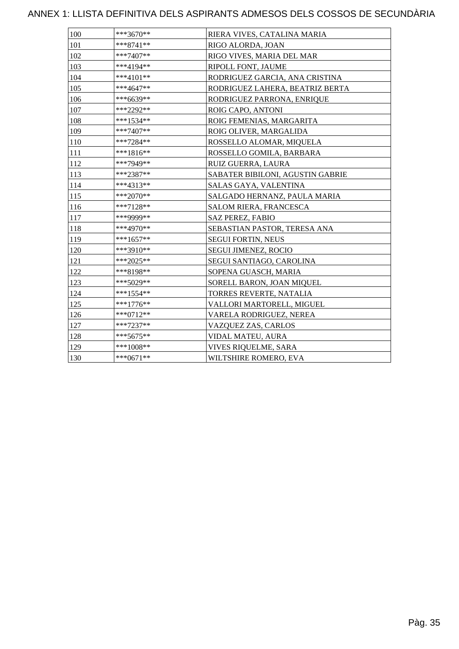| 100 | $***3670**$ | RIERA VIVES, CATALINA MARIA      |
|-----|-------------|----------------------------------|
| 101 | $***8741**$ | RIGO ALORDA, JOAN                |
| 102 | $***7407**$ | RIGO VIVES, MARIA DEL MAR        |
| 103 | $***4194**$ | RIPOLL FONT, JAUME               |
| 104 | ***4101**   | RODRIGUEZ GARCIA, ANA CRISTINA   |
| 105 | ***4647**   | RODRIGUEZ LAHERA, BEATRIZ BERTA  |
| 106 | ***6639**   | RODRIGUEZ PARRONA, ENRIQUE       |
| 107 | ***2292**   | ROIG CAPO, ANTONI                |
| 108 | ***1534**   | ROIG FEMENIAS, MARGARITA         |
| 109 | ***7407**   | ROIG OLIVER, MARGALIDA           |
| 110 | $***7284**$ | ROSSELLO ALOMAR, MIQUELA         |
| 111 | $***1816**$ | ROSSELLO GOMILA, BARBARA         |
| 112 | ***7949**   | RUIZ GUERRA, LAURA               |
| 113 | ***2387**   | SABATER BIBILONI, AGUSTIN GABRIE |
| 114 | ***4313**   | SALAS GAYA, VALENTINA            |
| 115 | ***2070**   | SALGADO HERNANZ, PAULA MARIA     |
| 116 | ***7128**   | SALOM RIERA, FRANCESCA           |
| 117 | ***9999**   | <b>SAZ PEREZ, FABIO</b>          |
| 118 | ***4970**   | SEBASTIAN PASTOR, TERESA ANA     |
| 119 | ***1657**   | <b>SEGUI FORTIN, NEUS</b>        |
| 120 | ***3910**   | <b>SEGUI JIMENEZ, ROCIO</b>      |
| 121 | $***2025**$ | SEGUI SANTIAGO, CAROLINA         |
| 122 | ***8198**   | SOPENA GUASCH, MARIA             |
| 123 | ***5029**   | SORELL BARON, JOAN MIQUEL        |
| 124 | ***1554**   | TORRES REVERTE, NATALIA          |
| 125 | $***1776**$ | VALLORI MARTORELL, MIGUEL        |
| 126 | ***0712**   | VARELA RODRIGUEZ, NEREA          |
| 127 | ***7237**   | VAZQUEZ ZAS, CARLOS              |
| 128 | $***5675**$ | VIDAL MATEU, AURA                |
| 129 | ***1008**   | VIVES RIQUELME, SARA             |
| 130 | $***0671**$ | WILTSHIRE ROMERO, EVA            |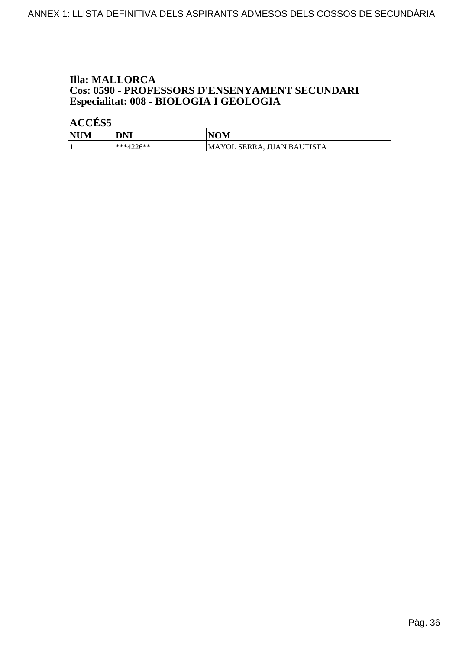# **Illa: MALLORCA Cos: 0590 - PROFESSORS D'ENSENYAMENT SECUNDARI<br>Especialitat: 008 - BIOLOGIA I GEOLOGIA**

| <b>NUM</b> | DNI                        | <b>NOM</b>                 |
|------------|----------------------------|----------------------------|
|            | *** $\Delta$ 226**<br>┱∠∠៶ | MAYOL SERRA, JUAN BAUTISTA |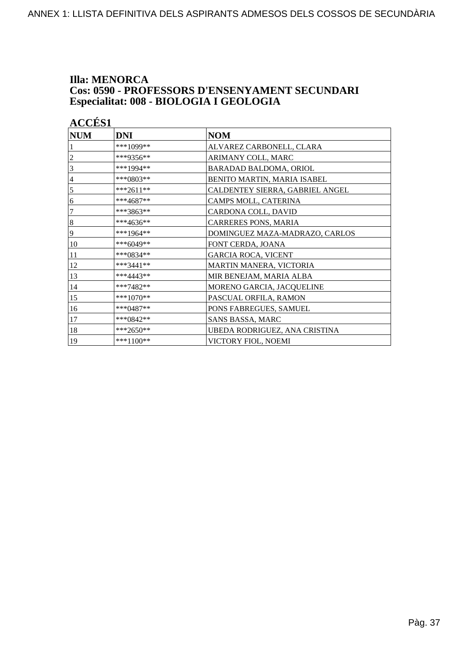### **Illa: MENORCA** Cos: 0590 - PROFESSORS D'ENSENYAMENT SECUNDARI Especialitat: 008 - BIOLOGIA I GEOLOGIA

| <b>ACCÉS 1</b>   |             |                                 |
|------------------|-------------|---------------------------------|
| <b>NUM</b>       | <b>DNI</b>  | <b>NOM</b>                      |
|                  | ***1099**   | ALVAREZ CARBONELL, CLARA        |
| $\overline{c}$   | ***9356**   | ARIMANY COLL, MARC              |
| 3                | ***1994**   | BARADAD BALDOMA, ORIOL          |
| $\overline{4}$   | $***0803**$ | BENITO MARTIN, MARIA ISABEL     |
| 5                | ***2611**   | CALDENTEY SIERRA, GABRIEL ANGEL |
| 6                | ***4687**   | CAMPS MOLL, CATERINA            |
| 7                | ***3863**   | CARDONA COLL, DAVID             |
| $\boldsymbol{8}$ | ***4636**   | CARRERES PONS, MARIA            |
| 9                | ***1964**   | DOMINGUEZ MAZA-MADRAZO, CARLOS  |
| 10               | ***6049**   | FONT CERDA, JOANA               |
| 11               | ***0834**   | <b>GARCIA ROCA, VICENT</b>      |
| 12               | $***3441**$ | MARTIN MANERA, VICTORIA         |
| 13               | $***4443**$ | MIR BENEJAM, MARIA ALBA         |
| 14               | ***7482**   | MORENO GARCIA, JACQUELINE       |
| 15               | ***1070**   | PASCUAL ORFILA, RAMON           |
| 16               | $***0487**$ | PONS FABREGUES, SAMUEL          |
| 17               | ***0842**   | SANS BASSA, MARC                |
| 18               | ***2650**   | UBEDA RODRIGUEZ, ANA CRISTINA   |
| 19               | $***1100**$ | VICTORY FIOL, NOEMI             |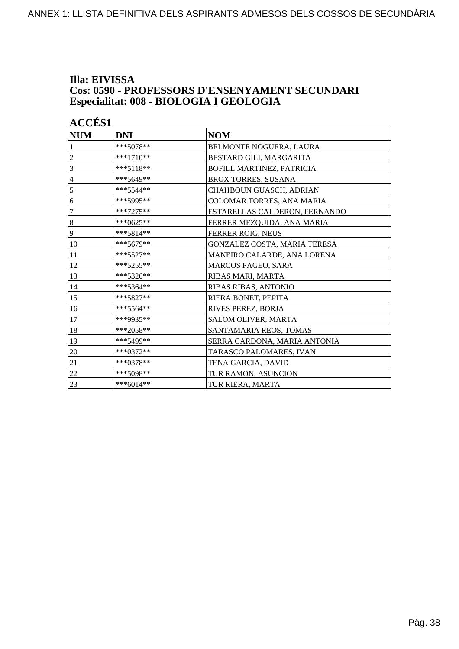## Illa: EIVISSA **Cos: 0590 - PROFESSORS D'ENSENYAMENT SECUNDARI<br>Especialitat: 008 - BIOLOGIA I GEOLOGIA**

| <b>ACCÉS 1</b>   |            |                               |
|------------------|------------|-------------------------------|
| <b>NUM</b>       | <b>DNI</b> | <b>NOM</b>                    |
|                  | ***5078**  | BELMONTE NOGUERA, LAURA       |
| 2                | ***1710**  | BESTARD GILI, MARGARITA       |
| 3                | ***5118**  | BOFILL MARTINEZ, PATRICIA     |
| $\overline{4}$   | ***5649**  | <b>BROX TORRES, SUSANA</b>    |
| 5                | ***5544**  | CHAHBOUN GUASCH, ADRIAN       |
| 6                | ***5995**  | COLOMAR TORRES, ANA MARIA     |
| $\boldsymbol{7}$ | ***7275**  | ESTARELLAS CALDERON, FERNANDO |
| $\,8\,$          | ***0625**  | FERRER MEZQUIDA, ANA MARIA    |
| 9                | ***5814**  | FERRER ROIG, NEUS             |
| 10               | ***5679**  | GONZALEZ COSTA, MARIA TERESA  |
| 11               | *** 5527** | MANEIRO CALARDE, ANA LORENA   |
| 12               | ***5255**  | <b>MARCOS PAGEO, SARA</b>     |
| 13               | ***5326**  | RIBAS MARI, MARTA             |
| 14               | ***5364**  | RIBAS RIBAS, ANTONIO          |
| 15               | ***5827**  | RIERA BONET, PEPITA           |
| 16               | ***5564**  | RIVES PEREZ, BORJA            |
| 17               | ***9935**  | SALOM OLIVER, MARTA           |
| 18               | ***2058**  | SANTAMARIA REOS, TOMAS        |
| 19               | ***5499**  | SERRA CARDONA, MARIA ANTONIA  |
| 20               | ***0372**  | TARASCO PALOMARES, IVAN       |
| 21               | ***0378**  | TENA GARCIA, DAVID            |
| 22               | ***5098**  | TUR RAMON, ASUNCION           |
| 23               | ***6014**  | TUR RIERA, MARTA              |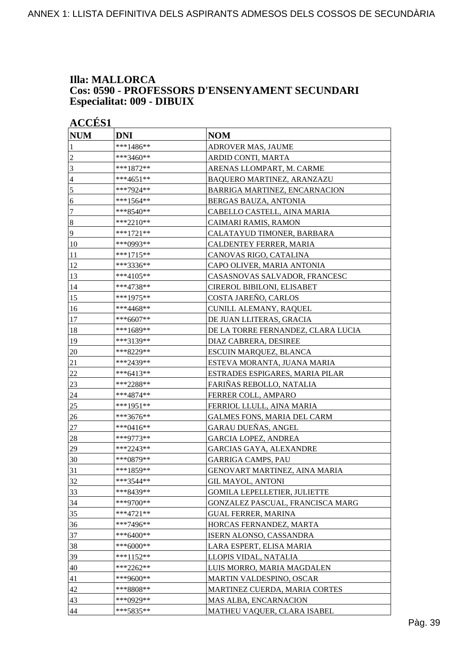### **Illa: MALLORCA Cos: 0590 - PROFESSORS D'ENSENYAMENT SECUNDARI Especialitat: 009 - DIBUIX**

| <b>ACCÉS 1</b>  |             |                                     |
|-----------------|-------------|-------------------------------------|
| <b>NUM</b>      | <b>DNI</b>  | <b>NOM</b>                          |
| 1               | ***1486**   | ADROVER MAS, JAUME                  |
| $\overline{c}$  | ***3460**   | ARDID CONTI, MARTA                  |
| 3               | ***1872**   | ARENAS LLOMPART, M. CARME           |
| $\overline{4}$  | ***4651**   | BAQUERO MARTINEZ, ARANZAZU          |
| $\overline{5}$  | ***7924**   | BARRIGA MARTINEZ, ENCARNACION       |
| 6               | ***1564**   | BERGAS BAUZA, ANTONIA               |
| $\tau$          | ***8540**   | CABELLO CASTELL, AINA MARIA         |
| $\sqrt{8}$      | ***2210**   | CAIMARI RAMIS, RAMON                |
| $\overline{9}$  | ***1721**   | CALATAYUD TIMONER, BARBARA          |
| 10              | ***0993**   | CALDENTEY FERRER, MARIA             |
| 11              | ***1715**   | CANOVAS RIGO, CATALINA              |
| 12              | ***3336**   | CAPO OLIVER, MARIA ANTONIA          |
| 13              | ***4105**   | CASASNOVAS SALVADOR, FRANCESC       |
| 14              | ***4738**   | <b>CIREROL BIBILONI, ELISABET</b>   |
| 15              | ***1975**   | COSTA JAREÑO, CARLOS                |
| 16              | ***4468**   | CUNILL ALEMANY, RAQUEL              |
| 17              | ***6607**   | DE JUAN LLITERAS, GRACIA            |
| 18              | ***1689**   | DE LA TORRE FERNANDEZ, CLARA LUCIA  |
| 19              | ***3139**   | DIAZ CABRERA, DESIREE               |
| 20              | ***8229**   | ESCUIN MARQUEZ, BLANCA              |
| 21              | ***2439**   | ESTEVA MORANTA, JUANA MARIA         |
| 22              | ***6413**   | ESTRADES ESPIGARES, MARIA PILAR     |
| 23              | ***2288**   | FARIÑAS REBOLLO, NATALIA            |
| 24              | ***4874**   | FERRER COLL, AMPARO                 |
| 25              | ***1951**   | FERRIOL LLULL, AINA MARIA           |
| 26              | ***3676**   | <b>GALMES FONS, MARIA DEL CARM</b>  |
| 27              | ***0416**   | GARAU DUEÑAS, ANGEL                 |
| 28              | ***9773**   | <b>GARCIA LOPEZ, ANDREA</b>         |
| 29              | ***2243**   | <b>GARCIAS GAYA, ALEXANDRE</b>      |
| 30              | ***0879**   | <b>GARRIGA CAMPS, PAU</b>           |
| 31              | ***1859**   | GENOVART MARTINEZ, AINA MARIA       |
| 32              | ***3544**   | <b>GIL MAYOL, ANTONI</b>            |
| 33              | ***8439**   | <b>GOMILA LEPELLETIER, JULIETTE</b> |
| 34              | $***9700**$ | GONZALEZ PASCUAL, FRANCISCA MARG    |
| 35              | $***4721**$ | <b>GUAL FERRER, MARINA</b>          |
| 36              | ***7496**   | HORCAS FERNANDEZ, MARTA             |
| 37              | ***6400**   | ISERN ALONSO, CASSANDRA             |
| 38              | ***6000**   | LARA ESPERT, ELISA MARIA            |
| 39              | ***1152**   | LLOPIS VIDAL, NATALIA               |
| $\overline{40}$ | ***2262**   | LUIS MORRO, MARIA MAGDALEN          |
| 41              | ***9600**   | MARTIN VALDESPINO, OSCAR            |
| 42              | ***8808**   | MARTINEZ CUERDA, MARIA CORTES       |
| 43              | ***0929**   | MAS ALBA, ENCARNACION               |
| 44              | ***5835**   | MATHEU VAQUER, CLARA ISABEL         |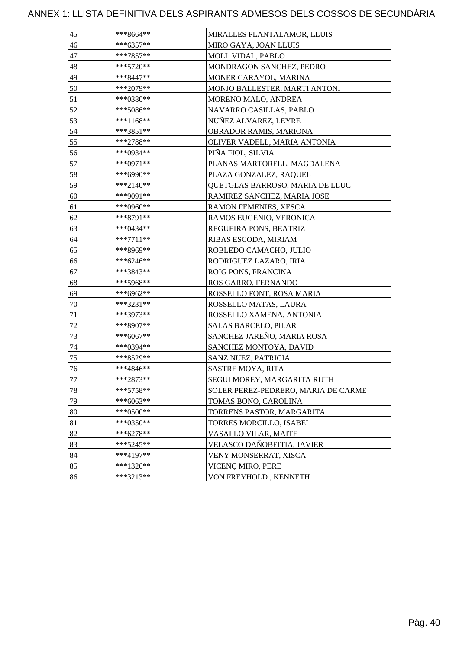| 45     | ***8664**   | MIRALLES PLANTALAMOR, LLUIS         |
|--------|-------------|-------------------------------------|
| 46     | ***6357**   | MIRO GAYA, JOAN LLUIS               |
| 47     | ***7857**   | <b>MOLL VIDAL, PABLO</b>            |
| 48     | ***5720**   | MONDRAGON SANCHEZ, PEDRO            |
| 49     | ***8447**   | MONER CARAYOL, MARINA               |
| 50     | ***2079**   | MONJO BALLESTER, MARTI ANTONI       |
| 51     | ***0380**   | MORENO MALO, ANDREA                 |
| 52     | ***5086**   | NAVARRO CASILLAS, PABLO             |
| 53     | ***1168**   | NUÑEZ ALVAREZ, LEYRE                |
| 54     | ***3851**   | OBRADOR RAMIS, MARIONA              |
| 55     | ***2788**   | OLIVER VADELL, MARIA ANTONIA        |
| 56     | ***0934**   | PINA FIOL, SILVIA                   |
| 57     | ***0971**   | PLANAS MARTORELL, MAGDALENA         |
| 58     | ***6990**   | PLAZA GONZALEZ, RAQUEL              |
| 59     | ***2140**   | QUETGLAS BARROSO, MARIA DE LLUC     |
| $60\,$ | ***9091**   | RAMIREZ SANCHEZ, MARIA JOSE         |
| 61     | ***0960**   | RAMON FEMENIES, XESCA               |
| 62     | ***8791**   | RAMOS EUGENIO, VERONICA             |
| 63     | ***0434**   | REGUEIRA PONS, BEATRIZ              |
| 64     | ***7711**   | RIBAS ESCODA, MIRIAM                |
| 65     | ***8969**   | ROBLEDO CAMACHO, JULIO              |
| 66     | ***6246**   | RODRIGUEZ LAZARO, IRIA              |
| 67     | ***3843**   | ROIG PONS, FRANCINA                 |
| 68     | ***5968**   | ROS GARRO, FERNANDO                 |
| 69     | ***6962**   | ROSSELLO FONT, ROSA MARIA           |
| 70     | ***3231**   | ROSSELLO MATAS, LAURA               |
| 71     | ***3973**   | ROSSELLO XAMENA, ANTONIA            |
| 72     | ***8907**   | <b>SALAS BARCELO, PILAR</b>         |
| 73     | ***6067**   | SANCHEZ JAREÑO, MARIA ROSA          |
| 74     | ***0394**   | SANCHEZ MONTOYA, DAVID              |
| 75     | ***8529**   | SANZ NUEZ, PATRICIA                 |
| 76     | ***4846**   | <b>SASTRE MOYA, RITA</b>            |
| 77     | ***2873**   | SEGUI MOREY, MARGARITA RUTH         |
| 78     | ***5758**   | SOLER PEREZ-PEDRERO, MARIA DE CARME |
| 79     | ***6063**   | TOMAS BONO, CAROLINA                |
| 80     | ***0500**   | TORRENS PASTOR, MARGARITA           |
| 81     | $***0350**$ | TORRES MORCILLO, ISABEL             |
| 82     | ***6278**   | VASALLO VILAR, MAITE                |
| 83     | ***5245**   | VELASCO DAÑOBEITIA, JAVIER          |
| 84     | ***4197**   | VENY MONSERRAT, XISCA               |
| 85     | ***1326**   | VICENÇ MIRO, PERE                   |
| 86     | ***3213**   | VON FREYHOLD, KENNETH               |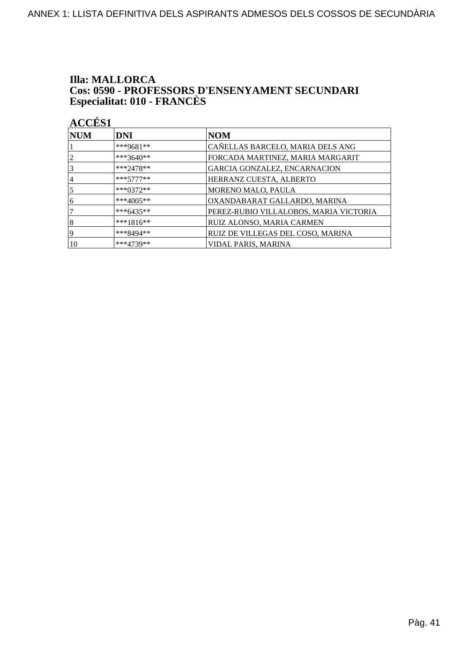## **Illa: MALLORCA Cos: 0590 - PROFESSORS D'ENSENYAMENT SECUNDARI<br>Especialitat: 010 - FRANCÈS**

| $\bf NUM$      | <b>DNI</b>   | <b>NOM</b>                             |
|----------------|--------------|----------------------------------------|
|                | ***9681**    | CAÑELLAS BARCELO, MARIA DELS ANG       |
| $\overline{2}$ | ***3640**    | FORCADA MARTINEZ, MARIA MARGARIT       |
| 3              | $***2478**$  | GARCIA GONZALEZ, ENCARNACION           |
| $\overline{4}$ | $***5777***$ | HERRANZ CUESTA, ALBERTO                |
| 5              | $***0372**$  | MORENO MALO, PAULA                     |
| 6              | ***4005**    | OXANDABARAT GALLARDO, MARINA           |
|                | ***6435**    | PEREZ-RUBIO VILLALOBOS, MARIA VICTORIA |
| 8              | $***1816**$  | RUIZ ALONSO, MARIA CARMEN              |
| 19             | ***8494**    | RUIZ DE VILLEGAS DEL COSO, MARINA      |
| 10             | ***4739**    | VIDAL PARIS, MARINA                    |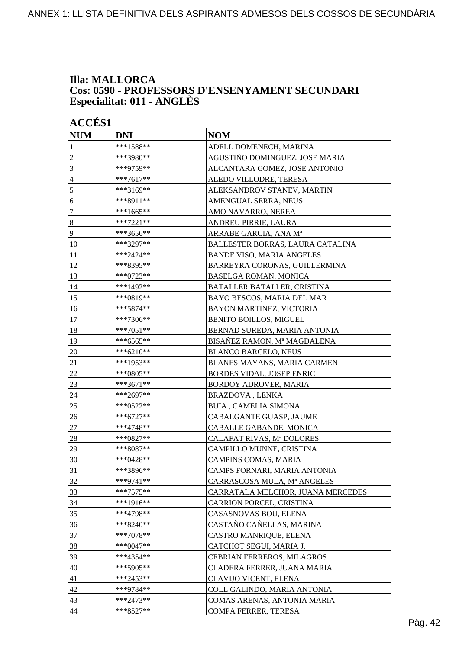### **Illa: MALLORCA Cos: 0590 - PROFESSORS D'ENSENYAMENT SECUNDARI Especialitat: 011 - ANGLÈS**

| <b>ACCÉS 1</b> |             |                                   |
|----------------|-------------|-----------------------------------|
| <b>NUM</b>     | <b>DNI</b>  | <b>NOM</b>                        |
| 1              | ***1588**   | ADELL DOMENECH, MARINA            |
| $\overline{c}$ | ***3980**   | AGUSTIÑO DOMINGUEZ, JOSE MARIA    |
| $\mathfrak{Z}$ | ***9759**   | ALCANTARA GOMEZ, JOSE ANTONIO     |
| $\overline{4}$ | ***7617**   | ALEDO VILLODRE, TERESA            |
| 5              | ***3169**   | ALEKSANDROV STANEV, MARTIN        |
| 6              | ***8911**   | AMENGUAL SERRA, NEUS              |
| $\tau$         | ***1665**   | AMO NAVARRO, NEREA                |
| $\vert 8$      | ***7221**   | ANDREU PIRRIE, LAURA              |
| $\overline{9}$ | ***3656**   | ARRABE GARCIA, ANA M <sup>a</sup> |
| 10             | ***3297**   | BALLESTER BORRAS, LAURA CATALINA  |
| 11             | ***2424**   | <b>BANDE VISO, MARIA ANGELES</b>  |
| 12             | ***8395**   | BARREYRA CORONAS, GUILLERMINA     |
| 13             | ***0723**   | <b>BASELGA ROMAN, MONICA</b>      |
| 14             | ***1492**   | BATALLER BATALLER, CRISTINA       |
| 15             | ***0819**   | BAYO BESCOS, MARIA DEL MAR        |
| 16             | ***5874**   | BAYON MARTINEZ, VICTORIA          |
| 17             | $***7306**$ | <b>BENITO BOILLOS, MIGUEL</b>     |
| 18             | ***7051**   | BERNAD SUREDA, MARIA ANTONIA      |
| 19             | ***6565**   | BISAÑEZ RAMON, Mª MAGDALENA       |
| 20             | ***6210**   | <b>BLANCO BARCELO, NEUS</b>       |
| 21             | ***1953**   | BLANES MAYANS, MARIA CARMEN       |
| $22\,$         | ***0805**   | <b>BORDES VIDAL, JOSEP ENRIC</b>  |
| 23             | ***3671**   | <b>BORDOY ADROVER, MARIA</b>      |
| 24             | ***2697**   | <b>BRAZDOVA, LENKA</b>            |
| 25             | ***0522**   | <b>BUIA, CAMELIA SIMONA</b>       |
| 26             | ***6727**   | CABALGANTE GUASP, JAUME           |
| 27             | ***4748**   | CABALLE GABANDE, MONICA           |
| 28             | ***0827**   | CALAFAT RIVAS, Mª DOLORES         |
| 29             | ***8087**   | CAMPILLO MUNNE, CRISTINA          |
| 30             | ***0428**   | CAMPINS COMAS, MARIA              |
| 31             | ***3896**   | CAMPS FORNARI, MARIA ANTONIA      |
| 32             | ***9741**   | CARRASCOSA MULA, Mª ANGELES       |
| 33             | ***7575**   | CARRATALA MELCHOR, JUANA MERCEDES |
| 34             | $***1916**$ | CARRION PORCEL, CRISTINA          |
| 35             | ***4798**   | CASASNOVAS BOU, ELENA             |
| 36             | ***8240**   | CASTAÑO CAÑELLAS, MARINA          |
| 37             | $***7078**$ | CASTRO MANRIQUE, ELENA            |
| 38             | ***0047**   | CATCHOT SEGUI, MARIA J.           |
| 39             | ***4354**   | CEBRIAN FERREROS, MILAGROS        |
| 40             | ***5905**   | CLADERA FERRER, JUANA MARIA       |
| 41             | ***2453**   | CLAVIJO VICENT, ELENA             |
| 42             | ***9784**   | COLL GALINDO, MARIA ANTONIA       |
| 43             | ***2473**   | COMAS ARENAS, ANTONIA MARIA       |
| 44             | ***8527**   | COMPA FERRER, TERESA              |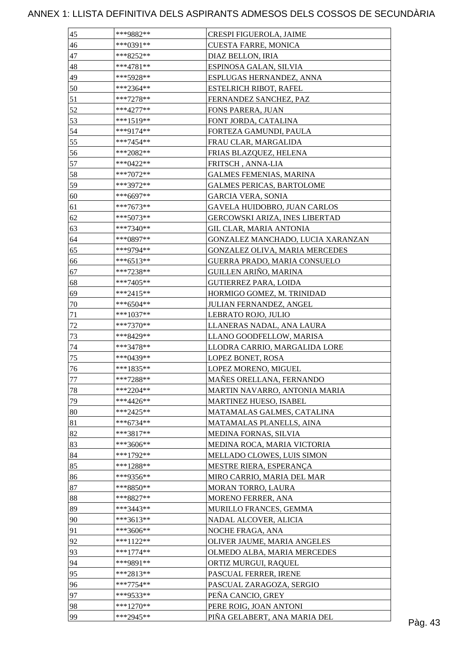| 46<br>***0391**<br>CUESTA FARRE, MONICA<br>47<br>***8252**<br>DIAZ BELLON, IRIA |         |
|---------------------------------------------------------------------------------|---------|
|                                                                                 |         |
|                                                                                 |         |
| 48<br>***4781**<br>ESPINOSA GALAN, SILVIA                                       |         |
| 49<br>***5928**<br>ESPLUGAS HERNANDEZ, ANNA                                     |         |
| 50<br>***2364**<br><b>ESTELRICH RIBOT, RAFEL</b>                                |         |
| 51<br>***7278**<br>FERNANDEZ SANCHEZ, PAZ                                       |         |
| 52<br>$***4277**$<br>FONS PARERA, JUAN                                          |         |
| 53<br>$***1519**$<br>FONT JORDA, CATALINA                                       |         |
| 54<br>$***9174**$<br>FORTEZA GAMUNDI, PAULA                                     |         |
| 55<br>$***7454**$<br>FRAU CLAR, MARGALIDA                                       |         |
| 56<br>***2082**<br>FRIAS BLAZQUEZ, HELENA                                       |         |
| 57<br>***0422**<br>FRITSCH, ANNA-LIA                                            |         |
| 58<br>***7072**<br><b>GALMES FEMENIAS, MARINA</b>                               |         |
| 59<br>***3972**<br><b>GALMES PERICAS, BARTOLOME</b>                             |         |
| 60<br>***6697**<br><b>GARCIA VERA, SONIA</b>                                    |         |
| GAVELA HUIDOBRO, JUAN CARLOS<br>61<br>***7673**                                 |         |
| 62<br>***5073**<br>GERCOWSKI ARIZA, INES LIBERTAD                               |         |
| 63<br>***7340**<br><b>GIL CLAR, MARIA ANTONIA</b>                               |         |
| 64<br>***0897**<br>GONZALEZ MANCHADO, LUCIA XARANZAN                            |         |
| 65<br>***9794**<br>GONZALEZ OLIVA, MARIA MERCEDES                               |         |
| $***6513**$                                                                     |         |
| GUERRA PRADO, MARIA CONSUELO<br>66                                              |         |
| 67<br>***7238**<br>GUILLEN ARIÑO, MARINA                                        |         |
| 68<br>***7405**<br><b>GUTIERREZ PARA, LOIDA</b>                                 |         |
| 69<br>$***2415**$<br>HORMIGO GOMEZ, M. TRINIDAD                                 |         |
| 70<br>***6504**<br>JULIAN FERNANDEZ, ANGEL                                      |         |
| 71<br>$***1037**$<br>LEBRATO ROJO, JULIO                                        |         |
| $72\,$<br>***7370**<br>LLANERAS NADAL, ANA LAURA                                |         |
| 73<br>***8429**<br>LLANO GOODFELLOW, MARISA                                     |         |
| 74<br>***3478**<br>LLODRA CARRIO, MARGALIDA LORE                                |         |
| 75<br>***0439**<br>LOPEZ BONET, ROSA                                            |         |
| 76<br>***1835**<br>LOPEZ MORENO, MIGUEL                                         |         |
| $77\,$<br>***7288**<br>MAÑES ORELLANA, FERNANDO                                 |         |
| $78\,$<br>$***2204**$<br>MARTIN NAVARRO, ANTONIA MARIA                          |         |
| 79<br>***4426**<br>MARTINEZ HUESO, ISABEL                                       |         |
| 80<br>***2425**<br>MATAMALAS GALMES, CATALINA                                   |         |
| 81<br>$***6734**$<br>MATAMALAS PLANELLS, AINA                                   |         |
| 82<br>***3817**<br>MEDINA FORNAS, SILVIA                                        |         |
| 83<br>***3606**<br>MEDINA ROCA, MARIA VICTORIA                                  |         |
| 84<br>$***1792**$<br>MELLADO CLOWES, LUIS SIMON                                 |         |
| 85<br>MESTRE RIERA, ESPERANÇA<br>***1288**                                      |         |
| 86<br>***9356**<br>MIRO CARRIO, MARIA DEL MAR                                   |         |
| 87<br>***8850**<br>MORAN TORRO, LAURA                                           |         |
| 88<br>***8827**<br>MORENO FERRER, ANA                                           |         |
| 89<br>***3443**<br>MURILLO FRANCES, GEMMA                                       |         |
| 90<br>***3613**<br>NADAL ALCOVER, ALICIA                                        |         |
| 91<br>***3606**<br>NOCHE FRAGA, ANA                                             |         |
| 92<br>$***1122**$<br>OLIVER JAUME, MARIA ANGELES                                |         |
| 93<br>$***1774**$<br>OLMEDO ALBA, MARIA MERCEDES                                |         |
| 94<br>***9891**<br>ORTIZ MURGUI, RAQUEL                                         |         |
| 95<br>***2813**<br>PASCUAL FERRER, IRENE                                        |         |
| 96<br>$***7754**$<br>PASCUAL ZARAGOZA, SERGIO                                   |         |
| 97<br>PEÑA CANCIO, GREY<br>***9533**                                            |         |
| 98<br>$***1270**$<br>PERE ROIG, JOAN ANTONI                                     |         |
| 99<br>***2945**<br>PIÑA GELABERT, ANA MARIA DEL                                 | Pàg. 43 |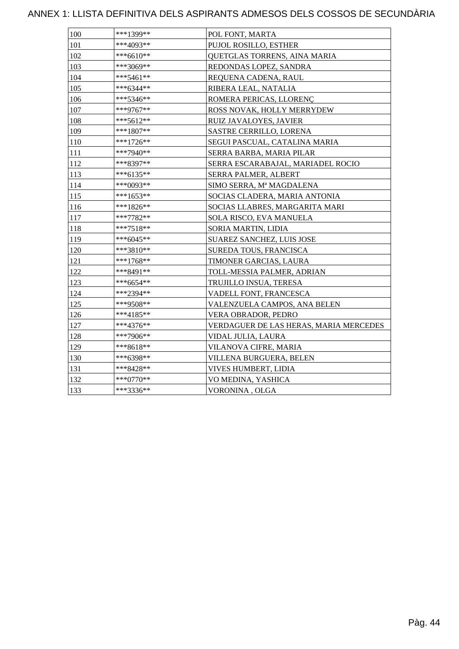| 100 | ***1399**   | POL FONT, MARTA                        |
|-----|-------------|----------------------------------------|
| 101 | ***4093**   | PUJOL ROSILLO, ESTHER                  |
| 102 | ***6610**   | QUETGLAS TORRENS, AINA MARIA           |
| 103 | ***3069**   | REDONDAS LOPEZ, SANDRA                 |
| 104 | ***5461**   | REQUENA CADENA, RAUL                   |
| 105 | ***6344**   | RIBERA LEAL, NATALIA                   |
| 106 | ***5346**   | ROMERA PERICAS, LLORENC                |
| 107 | ***9767**   | ROSS NOVAK, HOLLY MERRYDEW             |
| 108 | ***5612**   | RUIZ JAVALOYES, JAVIER                 |
| 109 | ***1807**   | <b>SASTRE CERRILLO, LORENA</b>         |
| 110 | $***1726**$ | SEGUI PASCUAL, CATALINA MARIA          |
| 111 | ***7940**   | SERRA BARBA, MARIA PILAR               |
| 112 | ***8397**   | SERRA ESCARABAJAL, MARIADEL ROCIO      |
| 113 | ***6135**   | SERRA PALMER, ALBERT                   |
| 114 | ***0093**   | SIMO SERRA, Mª MAGDALENA               |
| 115 | ***1653**   | SOCIAS CLADERA, MARIA ANTONIA          |
| 116 | ***1826**   | SOCIAS LLABRES, MARGARITA MARI         |
| 117 | ***7782**   | SOLA RISCO, EVA MANUELA                |
| 118 | $***7518**$ | SORIA MARTIN, LIDIA                    |
| 119 | $***6045**$ | <b>SUAREZ SANCHEZ, LUIS JOSE</b>       |
| 120 | ***3810**   | <b>SUREDA TOUS, FRANCISCA</b>          |
| 121 | $***1768**$ | TIMONER GARCIAS, LAURA                 |
| 122 | ***8491**   | TOLL-MESSIA PALMER, ADRIAN             |
| 123 | ***6654**   | TRUJILLO INSUA, TERESA                 |
| 124 | ***2394**   | VADELL FONT, FRANCESCA                 |
| 125 | ***9508**   | VALENZUELA CAMPOS, ANA BELEN           |
| 126 | ***4185**   | VERA OBRADOR, PEDRO                    |
| 127 | $***4376**$ | VERDAGUER DE LAS HERAS, MARIA MERCEDES |
| 128 | ***7906**   | VIDAL JULIA, LAURA                     |
| 129 | ***8618**   | VILANOVA CIFRE, MARIA                  |
| 130 | ***6398**   | VILLENA BURGUERA, BELEN                |
| 131 | ***8428**   | VIVES HUMBERT, LIDIA                   |
| 132 | ***0770**   | VO MEDINA, YASHICA                     |
| 133 | ***3336**   | VORONINA, OLGA                         |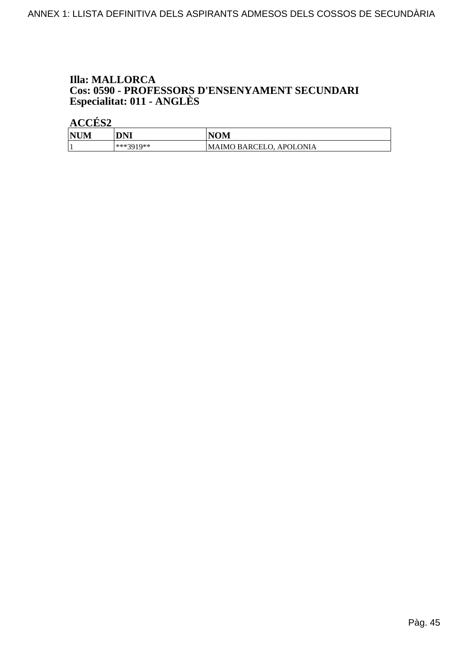## **Illa: MALLORCA Cos: 0590 - PROFESSORS D'ENSENYAMENT SECUNDARI<br>Especialitat: 011 - ANGLÈS**

| <b>NUM</b> | DNI       | <b>NOM</b>                     |
|------------|-----------|--------------------------------|
|            | ***3010** | <b>MAIMO BARCELO, APOLONIA</b> |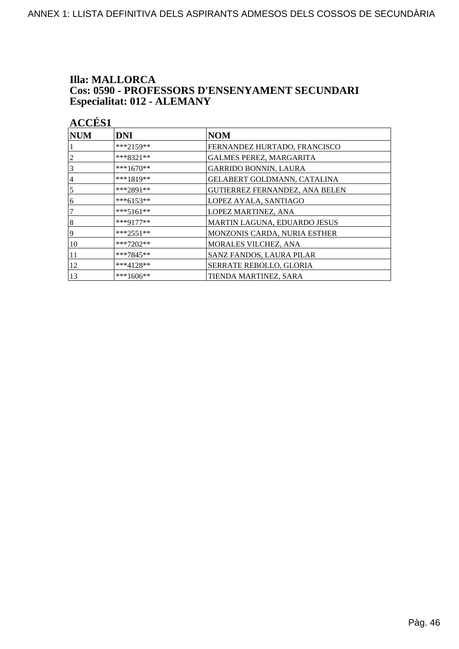### **Illa: MALLORCA** Cos: 0590 - PROFESSORS D'ENSENYAMENT SECUNDARI Especialitat: 012 - ALEMANY

| <b>ACCÉS 1</b>   |             |                                       |
|------------------|-------------|---------------------------------------|
| <b>NUM</b>       | <b>DNI</b>  | <b>NOM</b>                            |
|                  | $***2159**$ | FERNANDEZ HURTADO, FRANCISCO          |
| 2                | ***8321**   | <b>GALMES PEREZ, MARGARITA</b>        |
| 3                | ***1670**   | <b>GARRIDO BONNIN, LAURA</b>          |
| 4                | ***1819**   | GELABERT GOLDMANN, CATALINA           |
| 5                | ***2891**   | <b>GUTIERREZ FERNANDEZ, ANA BELEN</b> |
| 6                | ***6153**   | LOPEZ AYALA, SANTIAGO                 |
| 7                | ***5161**   | <b>LOPEZ MARTINEZ, ANA</b>            |
| $\boldsymbol{8}$ | ***9177**   | MARTIN LAGUNA, EDUARDO JESUS          |
| 9                | $***2551**$ | MONZONIS CARDA, NURIA ESTHER          |
| 10               | ***7202**   | MORALES VILCHEZ, ANA                  |
| 11               | ***7845**   | SANZ FANDOS, LAURA PILAR              |
| 12               | $***4128**$ | SERRATE REBOLLO, GLORIA               |
| 13               | ***1606**   | TIENDA MARTINEZ, SARA                 |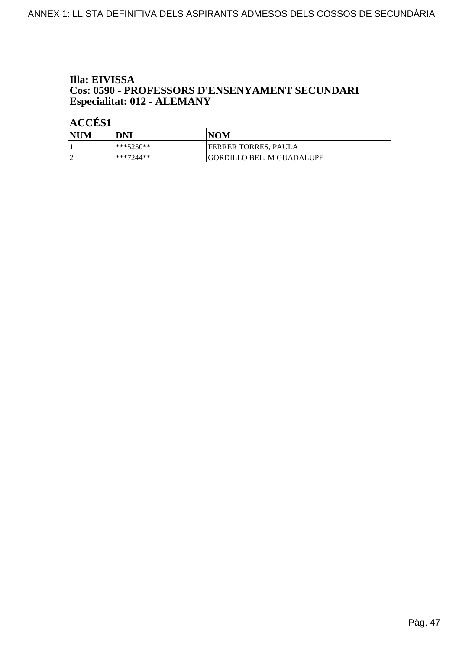### Illa: EIVISSA Cos: 0590 - PROFESSORS D'ENSENYAMENT SECUNDARI Especialitat: 012 - ALEMANY

| <b>NUM</b> | DNI       | <b>NOM</b>                |
|------------|-----------|---------------------------|
|            | ***5250** | FERRER TORRES, PAULA      |
| $\sqrt{ }$ | ***7244** | GORDILLO BEL. M GUADALUPE |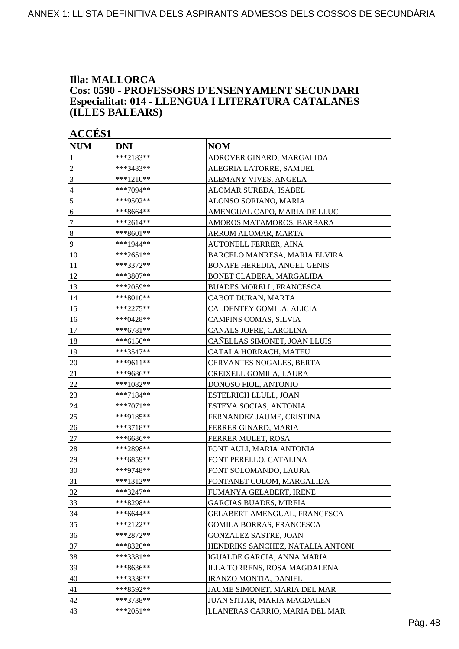#### **Illa: MALLORCA Cos: 0590 - PROFESSORS D'ENSENYAMENT SECUNDARI Especialitat: 014 - LLENGUA I LITERATURA CATALANES (ILLES BALEARS)**

| <b>ACCÉS 1</b>   |             |                                    |
|------------------|-------------|------------------------------------|
| <b>NUM</b>       | <b>DNI</b>  | <b>NOM</b>                         |
| $\mathbf{1}$     | ***2183**   | ADROVER GINARD, MARGALIDA          |
| $\sqrt{2}$       | ***3483**   | ALEGRIA LATORRE, SAMUEL            |
| 3                | ***1210**   | ALEMANY VIVES, ANGELA              |
| $\overline{4}$   | ***7094**   | ALOMAR SUREDA, ISABEL              |
| 5                | ***9502**   | ALONSO SORIANO, MARIA              |
| 6                | ***8664**   | AMENGUAL CAPO, MARIA DE LLUC       |
| $\tau$           | $***2614**$ | AMOROS MATAMOROS, BARBARA          |
| $\boldsymbol{8}$ | ***8601**   | ARROM ALOMAR, MARTA                |
| 9                | ***1944**   | AUTONELL FERRER, AINA              |
| 10               | ***2651**   | BARCELO MANRESA, MARIA ELVIRA      |
| 11               | ***3372**   | <b>BONAFE HEREDIA, ANGEL GENIS</b> |
| 12               | ***3807**   | BONET CLADERA, MARGALIDA           |
| 13               | ***2059**   | <b>BUADES MORELL, FRANCESCA</b>    |
| 14               | ***8010**   | CABOT DURAN, MARTA                 |
| 15               | ***2275**   | CALDENTEY GOMILA, ALICIA           |
| 16               | ***0428**   | CAMPINS COMAS, SILVIA              |
| 17               | ***6781**   | CANALS JOFRE, CAROLINA             |
| 18               | ***6156**   | CAÑELLAS SIMONET, JOAN LLUIS       |
| 19               | ***3547**   | CATALA HORRACH, MATEU              |
| 20               | ***9611**   | CERVANTES NOGALES, BERTA           |
| 21               | ***9686**   | CREIXELL GOMILA, LAURA             |
| 22               | ***1082**   | DONOSO FIOL, ANTONIO               |
| 23               | ***7184**   | ESTELRICH LLULL, JOAN              |
| 24               | ***7071**   | ESTEVA SOCIAS, ANTONIA             |
| 25               | ***9185**   | FERNANDEZ JAUME, CRISTINA          |
| 26               | ***3718**   | FERRER GINARD, MARIA               |
| 27               | ***6686**   | FERRER MULET, ROSA                 |
| 28               | ***2898**   | FONT AULI, MARIA ANTONIA           |
| 29               | ***6859**   | FONT PERELLO, CATALINA             |
| 30               | ***9748**   | FONT SOLOMANDO, LAURA              |
| 31               | ***1312**   | FONTANET COLOM, MARGALIDA          |
| 32               | ***3247**   | FUMANYA GELABERT, IRENE            |
| 33               | ***8298**   | <b>GARCIAS BUADES, MIREIA</b>      |
| 34               | $***6644**$ | GELABERT AMENGUAL, FRANCESCA       |
| 35               | ***2122**   | <b>GOMILA BORRAS, FRANCESCA</b>    |
| 36               | $***2872**$ | <b>GONZALEZ SASTRE, JOAN</b>       |
| 37               | ***8320**   | HENDRIKS SANCHEZ, NATALIA ANTONI   |
| 38               | ***3381**   | <b>IGUALDE GARCIA, ANNA MARIA</b>  |
| 39               | ***8636**   | ILLA TORRENS, ROSA MAGDALENA       |
| 40               | ***3338**   | <b>IRANZO MONTIA, DANIEL</b>       |
| 41               | ***8592**   | JAUME SIMONET, MARIA DEL MAR       |
| 42               | ***3738**   | JUAN SITJAR, MARIA MAGDALEN        |

 $|43 \rangle$  \*\*\*2051\*\* LLANERAS CARRIO, MARIA DEL MAR

#### Pàg. 48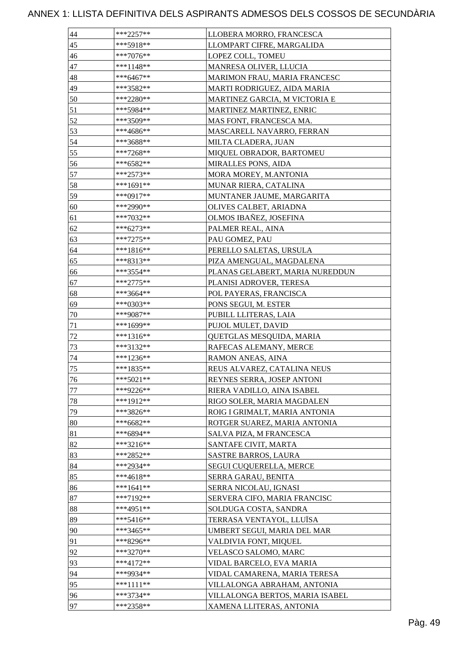| 44     | ***2257**   | LLOBERA MORRO, FRANCESCA        |
|--------|-------------|---------------------------------|
| 45     | ***5918**   | LLOMPART CIFRE, MARGALIDA       |
| 46     | ***7076**   | LOPEZ COLL, TOMEU               |
| 47     | ***1148**   | MANRESA OLIVER, LLUCIA          |
| 48     | ***6467**   | MARIMON FRAU, MARIA FRANCESC    |
| 49     | ***3582**   | MARTI RODRIGUEZ, AIDA MARIA     |
| 50     | ***2280**   | MARTINEZ GARCIA, M VICTORIA E   |
| 51     | ***5984**   | <b>MARTINEZ MARTINEZ, ENRIC</b> |
| 52     | ***3509**   | MAS FONT, FRANCESCA MA.         |
| 53     | ***4686**   | MASCARELL NAVARRO, FERRAN       |
| 54     | ***3688**   | MILTA CLADERA, JUAN             |
| 55     | ***7268**   | MIQUEL OBRADOR, BARTOMEU        |
| 56     | ***6582**   | MIRALLES PONS, AIDA             |
| 57     | ***2573**   | MORA MOREY, M.ANTONIA           |
| 58     | ***1691**   | <b>MUNAR RIERA, CATALINA</b>    |
| 59     | ***0917**   | MUNTANER JAUME, MARGARITA       |
| 60     | ***2990**   | OLIVES CALBET, ARIADNA          |
| 61     | ***7032**   | OLMOS IBAÑEZ, JOSEFINA          |
| 62     | ***6273**   | PALMER REAL, AINA               |
| 63     | ***7275**   | PAU GOMEZ, PAU                  |
| 64     | ***1816**   | PERELLO SALETAS, URSULA         |
| 65     | ***8313**   | PIZA AMENGUAL, MAGDALENA        |
| 66     | ***3554**   | PLANAS GELABERT, MARIA NUREDDUN |
| 67     | ***2775**   | PLANISI ADROVER, TERESA         |
| 68     | ***3664**   | POL PAYERAS, FRANCISCA          |
| 69     | ***0303**   | PONS SEGUI, M. ESTER            |
| 70     | ***9087**   | PUBILL LLITERAS, LAIA           |
| 71     | ***1699**   | PUJOL MULET, DAVID              |
| 72     | ***1316**   | QUETGLAS MESQUIDA, MARIA        |
| 73     | ***3132**   | RAFECAS ALEMANY, MERCE          |
| 74     | ***1236**   | RAMON ANEAS, AINA               |
| 75     | ***1835**   | REUS ALVAREZ, CATALINA NEUS     |
| 76     | $***5021**$ | REYNES SERRA, JOSEP ANTONI      |
| 77     | ***9226**   | RIERA VADILLO, AINA ISABEL      |
| $78\,$ | ***1912**   | RIGO SOLER, MARIA MAGDALEN      |
| 79     | ***3826**   | ROIG I GRIMALT, MARIA ANTONIA   |
| 80     | ***6682**   | ROTGER SUAREZ, MARIA ANTONIA    |
| 81     | ***6894**   | SALVA PIZA, M FRANCESCA         |
| 82     | ***3216**   | SANTAFE CIVIT, MARTA            |
| 83     | ***2852**   | <b>SASTRE BARROS, LAURA</b>     |
| 84     | ***2934**   | SEGUI CUQUERELLA, MERCE         |
| 85     | ***4618**   | SERRA GARAU, BENITA             |
| 86     | $***1641**$ | SERRA NICOLAU, IGNASI           |
| 87     | ***7192**   | SERVERA CIFO, MARIA FRANCISC    |
| 88     | ***4951**   | SOLDUGA COSTA, SANDRA           |
| 89     | ***5416**   | TERRASA VENTAYOL, LLUÏSA        |
| 90     | ***3465**   | UMBERT SEGUI, MARIA DEL MAR     |
| 91     | ***8296**   | VALDIVIA FONT, MIQUEL           |
| 92     | ***3270**   | VELASCO SALOMO, MARC            |
| 93     | ***4172**   | VIDAL BARCELO, EVA MARIA        |
| 94     | ***9934**   | VIDAL CAMARENA, MARIA TERESA    |
| 95     | ***1111**   | VILLALONGA ABRAHAM, ANTONIA     |
| 96     | ***3734**   | VILLALONGA BERTOS, MARIA ISABEL |
| 97     | ***2358**   | XAMENA LLITERAS, ANTONIA        |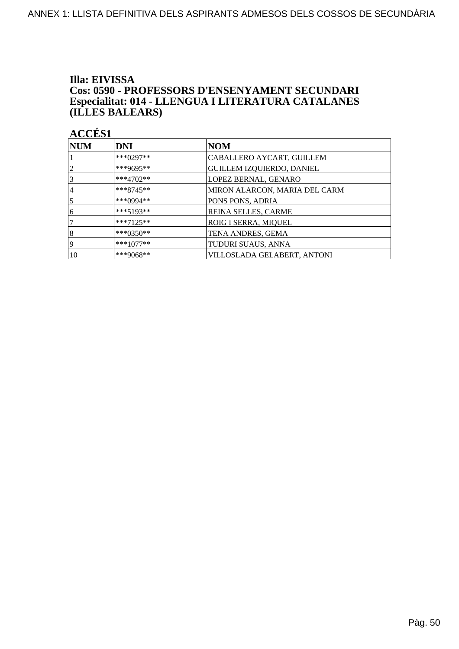### Illa: EIVISSA Cos: 0590 - PROFESSORS D'ENSENYAMENT SECUNDARI Especialitat: 014 - LLENGUA I LITERATURA CATALANES (ILLES BALEARS)

| <b>NUM</b> | <b>DNI</b>    | <b>NOM</b>                       |
|------------|---------------|----------------------------------|
|            | *** $0297**$  | CABALLERO AYCART, GUILLEM        |
| 2          | ***9695**     | <b>GUILLEM IZQUIERDO, DANIEL</b> |
| 3          | ***4702**     | LOPEZ BERNAL, GENARO             |
| 4          | $***8745**$   | MIRON ALARCON, MARIA DEL CARM    |
| 5          | ***0994**     | PONS PONS, ADRIA                 |
| 6          | $***5193**$   | REINA SELLES, CARME              |
|            | $***7125**$   | ROIG I SERRA, MIQUEL             |
| 8          | *** $0.350**$ | TENA ANDRES, GEMA                |
| 19         | $***1077**$   | TUDURI SUAUS, ANNA               |
| 10         | ***9068**     | VILLOSLADA GELABERT, ANTONI      |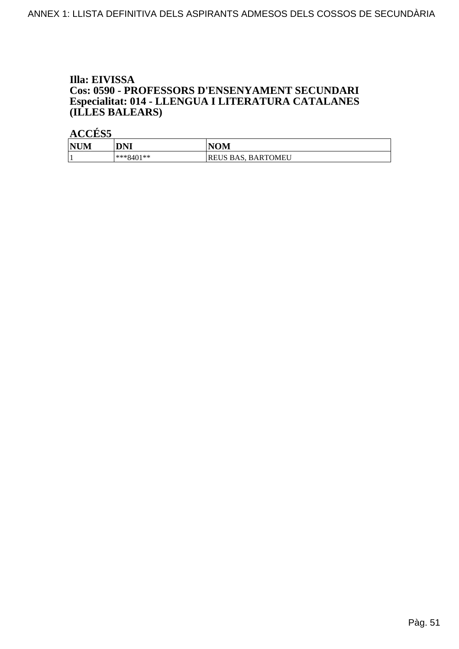### Illa: EIVISSA Cos: 0590 - PROFESSORS D'ENSENYAMENT SECUNDARI Especialitat: 014 - LLENGUA I LITERATURA CATALANES (ILLES BALEARS)

| <b>NUM</b> | <b>DNI</b>  | <b>NOM</b>                   |
|------------|-------------|------------------------------|
|            | $***8401**$ | <b>BARTOMEU</b><br>REUS BAS. |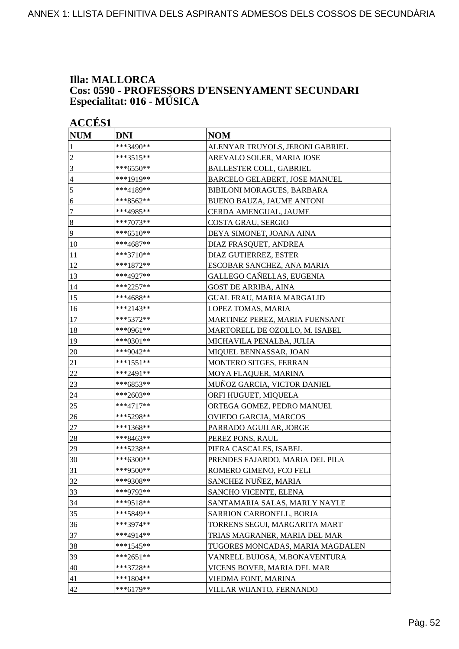### **Illa: MALLORCA Cos: 0590 - PROFESSORS D'ENSENYAMENT SECUNDARI Especialitat: 016 - MÚSICA**

|                  | <b>ACCÉS 1</b> |                                  |  |
|------------------|----------------|----------------------------------|--|
| <b>NUM</b>       | <b>DNI</b>     | <b>NOM</b>                       |  |
| 1                | ***3490**      | ALENYAR TRUYOLS, JERONI GABRIEL  |  |
| $\overline{2}$   | ***3515**      | AREVALO SOLER, MARIA JOSE        |  |
| $\overline{3}$   | $***6550**$    | <b>BALLESTER COLL, GABRIEL</b>   |  |
| $\overline{4}$   | ***1919**      | BARCELO GELABERT, JOSE MANUEL    |  |
| 5                | ***4189**      | BIBILONI MORAGUES, BARBARA       |  |
| 6                | ***8562**      | BUENO BAUZA, JAUME ANTONI        |  |
| $\boldsymbol{7}$ | ***4985**      | CERDA AMENGUAL, JAUME            |  |
| $\bf 8$          | ***7073**      | COSTA GRAU, SERGIO               |  |
| $\overline{9}$   | ***6510**      | DEYA SIMONET, JOANA AINA         |  |
| 10               | ***4687**      | DIAZ FRASQUET, ANDREA            |  |
| 11               | ***3710**      | DIAZ GUTIERREZ, ESTER            |  |
| 12               | ***1872**      | ESCOBAR SANCHEZ, ANA MARIA       |  |
| 13               | ***4927**      | GALLEGO CAÑELLAS, EUGENIA        |  |
| 14               | ***2257**      | <b>GOST DE ARRIBA, AINA</b>      |  |
| 15               | ***4688**      | <b>GUAL FRAU, MARIA MARGALID</b> |  |
| 16               | ***2143**      | LOPEZ TOMAS, MARIA               |  |
| 17               | ***5372**      | MARTINEZ PEREZ, MARIA FUENSANT   |  |
| 18               | ***0961**      | MARTORELL DE OZOLLO, M. ISABEL   |  |
| 19               | ***0301**      | MICHAVILA PENALBA, JULIA         |  |
| 20               | ***9042**      | MIQUEL BENNASSAR, JOAN           |  |
| 21               | ***1551**      | MONTERO SITGES, FERRAN           |  |
| $22\,$           | ***2491**      | MOYA FLAQUER, MARINA             |  |
| 23               | ***6853**      | MUÑOZ GARCIA, VICTOR DANIEL      |  |
| 24               | ***2603**      | ORFI HUGUET, MIQUELA             |  |
| 25               | ***4717**      | ORTEGA GOMEZ, PEDRO MANUEL       |  |
| 26               | ***5298**      | OVIEDO GARCIA, MARCOS            |  |
| 27               | ***1368**      | PARRADO AGUILAR, JORGE           |  |
| 28               | ***8463**      | PEREZ PONS, RAUL                 |  |
| 29               | ***5238**      | PIERA CASCALES, ISABEL           |  |
| $ 30\rangle$     | ***6300**      | PRENDES FAJARDO, MARIA DEL PILA  |  |
| 31               | ***9500**      | ROMERO GIMENO, FCO FELI          |  |
| 32               | ***9308**      | SANCHEZ NUÑEZ, MARIA             |  |
| 33               | ***9792**      | SANCHO VICENTE, ELENA            |  |
| 34               | ***9518**      | SANTAMARIA SALAS, MARLY NAYLE    |  |
| 35               | ***5849**      | SARRION CARBONELL, BORJA         |  |
| 36               | ***3974**      | TORRENS SEGUI, MARGARITA MART    |  |
| 37               | ***4914**      | TRIAS MAGRANER, MARIA DEL MAR    |  |
| 38               | $***1545**$    | TUGORES MONCADAS, MARIA MAGDALEN |  |
| 39               | $***2651**$    | VANRELL BUJOSA, M.BONAVENTURA    |  |
| 40               | ***3728**      | VICENS BOVER, MARIA DEL MAR      |  |
| 41               | $***1804**$    | VIEDMA FONT, MARINA              |  |
| 42               | ***6179**      | VILLAR WIIANTO, FERNANDO         |  |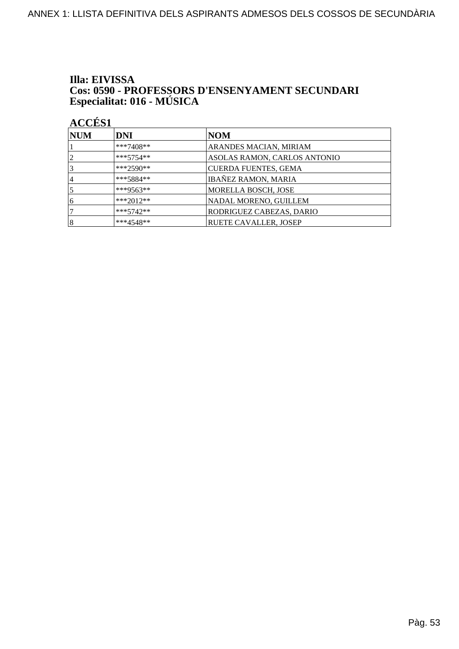# Illa: EIVISSA **Cos: 0590 - PROFESSORS D'ENSENYAMENT SECUNDARI<br>Especialitat: 016 - MÚSICA**

| <b>NUM</b>     | <b>DNI</b>  | NOM                           |
|----------------|-------------|-------------------------------|
|                | $***7408**$ | <b>ARANDES MACIAN, MIRIAM</b> |
| $\overline{2}$ | $***5754**$ | ASOLAS RAMON, CARLOS ANTONIO  |
| 3              | ***2590**   | <b>CUERDA FUENTES, GEMA</b>   |
| 14             | $***5884**$ | IBAÑEZ RAMON, MARIA           |
|                | ***9563**   | MORELLA BOSCH, JOSE           |
| 6              | $***2012**$ | NADAL MORENO, GUILLEM         |
|                | $***5742**$ | RODRIGUEZ CABEZAS, DARIO      |
| $\vert 8$      | $***4548**$ | <b>RUETE CAVALLER, JOSEP</b>  |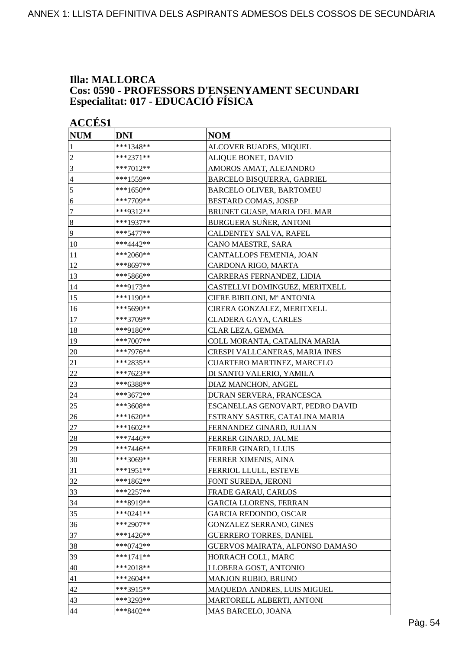### **Illa: MALLORCA Cos: 0590 - PROFESSORS D'ENSENYAMENT SECUNDARI Especialitat: 017 - EDUCACIÓ FÍSICA**

| <b>ACCÉS 1</b> |             |                                  |
|----------------|-------------|----------------------------------|
| <b>NUM</b>     | <b>DNI</b>  | <b>NOM</b>                       |
| 1              | ***1348**   | ALCOVER BUADES, MIQUEL           |
| $\overline{2}$ | ***2371**   | ALIQUE BONET, DAVID              |
| 3              | ***7012**   | AMOROS AMAT, ALEJANDRO           |
| $\overline{4}$ | ***1559**   | BARCELO BISQUERRA, GABRIEL       |
| 5              | ***1650**   | <b>BARCELO OLIVER, BARTOMEU</b>  |
| 6              | ***7709**   | <b>BESTARD COMAS, JOSEP</b>      |
| $\tau$         | ***9312**   | BRUNET GUASP, MARIA DEL MAR      |
| $\sqrt{8}$     | ***1937**   | BURGUERA SUÑER, ANTONI           |
| $\overline{9}$ | ***5477**   | CALDENTEY SALVA, RAFEL           |
| 10             | ***4442**   | CANO MAESTRE, SARA               |
| 11             | ***2060**   | CANTALLOPS FEMENIA, JOAN         |
| 12             | ***8697**   | CARDONA RIGO, MARTA              |
| 13             | ***5866**   | CARRERAS FERNANDEZ, LIDIA        |
| 14             | ***9173**   | CASTELLVI DOMINGUEZ, MERITXELL   |
| 15             | ***1190**   | CIFRE BIBILONI, Mª ANTONIA       |
| 16             | ***5690**   | CIRERA GONZALEZ, MERITXELL       |
| 17             | ***3709**   | CLADERA GAYA, CARLES             |
| 18             | ***9186**   | CLAR LEZA, GEMMA                 |
| 19             | ***7007**   | COLL MORANTA, CATALINA MARIA     |
| 20             | ***7976**   | CRESPI VALLCANERAS, MARIA INES   |
| 21             | ***2835**   | CUARTERO MARTINEZ, MARCELO       |
| 22             | ***7623**   | DI SANTO VALERIO, YAMILA         |
| 23             | ***6388**   | DIAZ MANCHON, ANGEL              |
| 24             | ***3672**   | DURAN SERVERA, FRANCESCA         |
| <u>25</u>      | ***3608**   | ESCANELLAS GENOVART, PEDRO DAVID |
| 26             | ***1620**   | ESTRANY SASTRE, CATALINA MARIA   |
| 27             | ***1602**   | FERNANDEZ GINARD, JULIAN         |
| 28             | ***7446**   | FERRER GINARD, JAUME             |
| 29             | ***7446**   | FERRER GINARD, LLUIS             |
| 30             | ***3069**   | FERRER XIMENIS, AINA             |
| 31             | ***1951**   | FERRIOL LLULL, ESTEVE            |
| 32             | ***1862**   | FONT SUREDA, JERONI              |
| 33             | ***2257**   | FRADE GARAU, CARLOS              |
| 34             | ***8919**   | <b>GARCIA LLORENS, FERRAN</b>    |
| 35             | $***0241**$ | <b>GARCIA REDONDO, OSCAR</b>     |
| 36             | ***2907**   | <b>GONZALEZ SERRANO, GINES</b>   |
| 37             | $***1426**$ | <b>GUERRERO TORRES, DANIEL</b>   |
| 38             | $***0742**$ | GUERVOS MAIRATA, ALFONSO DAMASO  |
| 39             | $***1741**$ | HORRACH COLL, MARC               |
| 40             | ***2018**   | LLOBERA GOST, ANTONIO            |
| 41             | $***2604**$ | <b>MANJON RUBIO, BRUNO</b>       |
| 42             | ***3915**   | MAQUEDA ANDRES, LUIS MIGUEL      |
| 43             | ***3293**   | MARTORELL ALBERTI, ANTONI        |
| 44             | ***8402**   | MAS BARCELO, JOANA               |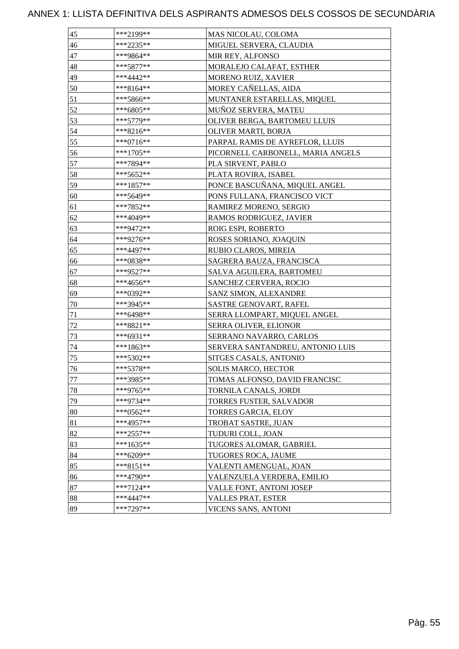| 45               | ***2199**   | MAS NICOLAU, COLOMA               |
|------------------|-------------|-----------------------------------|
| 46               | $***2235**$ | MIGUEL SERVERA, CLAUDIA           |
| 47               | ***9864**   | MIR REY, ALFONSO                  |
| 48               | $***5877**$ | MORALEJO CALAFAT, ESTHER          |
| 49               | ***4442**   | MORENO RUIZ, XAVIER               |
| 50               | ***8164**   | MOREY CAÑELLAS, AIDA              |
| 51               | ***5866**   | MUNTANER ESTARELLAS, MIQUEL       |
| 52               | ***6805**   | MUÑOZ SERVERA, MATEU              |
| 53               | ***5779**   | OLIVER BERGA, BARTOMEU LLUIS      |
| 54               | ***8216**   | OLIVER MARTI, BORJA               |
| 55               | ***0716**   | PARPAL RAMIS DE AYREFLOR, LLUIS   |
| 56               | ***1705**   | PICORNELL CARBONELL, MARIA ANGELS |
| 57               | ***7894**   | PLA SIRVENT, PABLO                |
| 58               | ***5652**   | PLATA ROVIRA, ISABEL              |
| 59               | ***1857**   | PONCE BASCUÑANA, MIQUEL ANGEL     |
| 60               | ***5649**   | PONS FULLANA, FRANCISCO VICT      |
| 61               | ***7852**   | RAMIREZ MORENO, SERGIO            |
| 62               | ***4049**   | RAMOS RODRIGUEZ, JAVIER           |
| 63               | ***9472**   | ROIG ESPI, ROBERTO                |
| 64               | ***9276**   | ROSES SORIANO, JOAQUIN            |
| 65               | ***4497**   | RUBIO CLAROS, MIREIA              |
| 66               | ***0838**   | SAGRERA BAUZA, FRANCISCA          |
| 67               | ***9527**   | SALVA AGUILERA, BARTOMEU          |
| 68               | ***4656**   | <b>SANCHEZ CERVERA, ROCIO</b>     |
| 69               | ***0392**   | SANZ SIMON, ALEXANDRE             |
| 70               | ***3945**   | SASTRE GENOVART, RAFEL            |
| 71               | ***6498**   | SERRA LLOMPART, MIQUEL ANGEL      |
| 72               | ***8821**   | SERRA OLIVER, ELIONOR             |
| 73               | ***6931**   | SERRANO NAVARRO, CARLOS           |
| 74               | ***1863**   | SERVERA SANTANDREU, ANTONIO LUIS  |
| 75               | ***5302**   | SITGES CASALS, ANTONIO            |
| 76               | ***5378**   | <b>SOLIS MARCO, HECTOR</b>        |
| 77               | ***3985**   | TOMAS ALFONSO, DAVID FRANCISC     |
| 78               | ***9765**   | TORNILA CANALS, JORDI             |
| 79               | ***9734**   | TORRES FUSTER, SALVADOR           |
| 80               | $***0562**$ | TORRES GARCIA, ELOY               |
| 81               | ***4957**   | TROBAT SASTRE, JUAN               |
| 82               | $***2557**$ | TUDURI COLL, JOAN                 |
| 83               | ***1635**   | TUGORES ALOMAR, GABRIEL           |
| 84               | ***6209**   | TUGORES ROCA, JAUME               |
| 85               | ***8151**   | VALENTI AMENGUAL, JOAN            |
| 86               | $***4790**$ | VALENZUELA VERDERA, EMILIO        |
| 87               | $***7124**$ | VALLE FONT, ANTONI JOSEP          |
| $\underline{88}$ | ***4447**   | VALLES PRAT, ESTER                |
| 89               | ***7297**   | VICENS SANS, ANTONI               |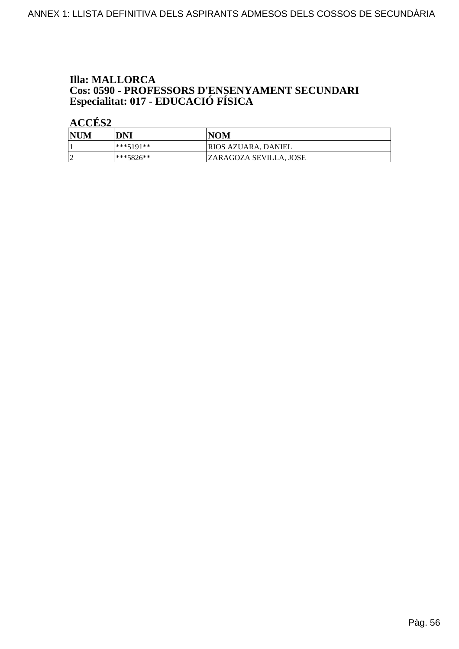# **Illa: MALLORCA Cos: 0590 - PROFESSORS D'ENSENYAMENT SECUNDARI<br>Especialitat: 017 - EDUCACIÓ FÍSICA**

| <b>NUM</b> | DNI       | <b>NOM</b>             |
|------------|-----------|------------------------|
|            | ***5191** | RIOS AZUARA, DANIEL    |
|            | ***5826** | ZARAGOZA SEVILLA. JOSE |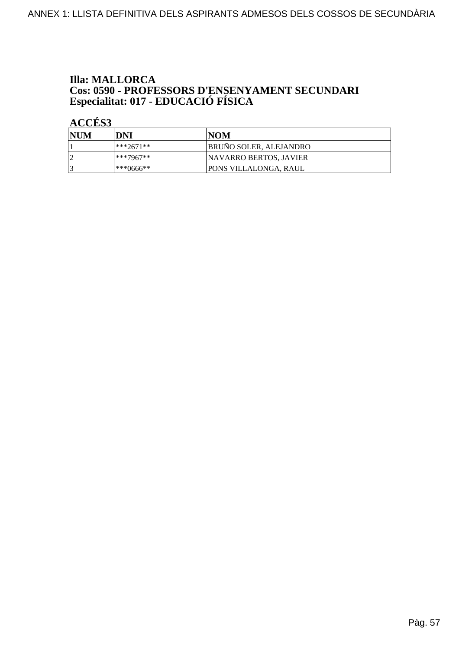# **Illa: MALLORCA Cos: 0590 - PROFESSORS D'ENSENYAMENT SECUNDARI<br>Especialitat: 017 - EDUCACIÓ FÍSICA**

| NUM | DNI         | INOM                          |
|-----|-------------|-------------------------------|
|     | $***2671**$ | BRUÑO SOLER, ALEJANDRO        |
| h   | $***7967**$ | <b>NAVARRO BERTOS, JAVIER</b> |
|     | ***0666**   | PONS VILLALONGA, RAUL         |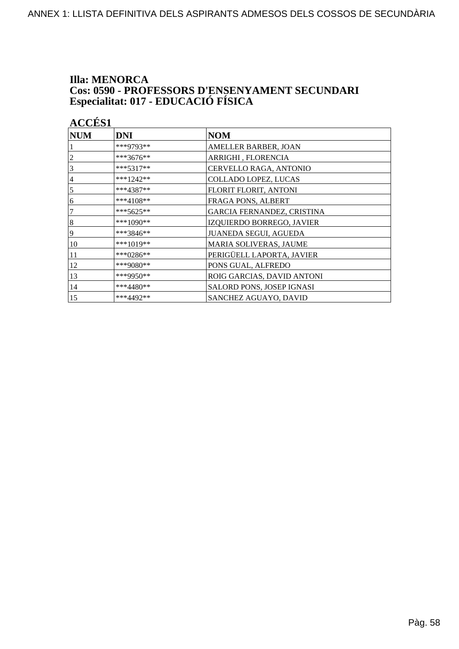# **Illa: MENORCA Cos: 0590 - PROFESSORS D'ENSENYAMENT SECUNDARI<br>Especialitat: 017 - EDUCACIÓ FÍSICA**

| <b>ACCÉS 1</b> |             |                              |
|----------------|-------------|------------------------------|
| <b>NUM</b>     | <b>DNI</b>  | <b>NOM</b>                   |
|                | ***9793**   | AMELLER BARBER, JOAN         |
| $\overline{c}$ | ***3676**   | ARRIGHI, FLORENCIA           |
| 3              | $***5317**$ | CERVELLO RAGA, ANTONIO       |
| $\overline{4}$ | ***1242**   | <b>COLLADO LOPEZ, LUCAS</b>  |
| 5              | $***4387**$ | FLORIT FLORIT, ANTONI        |
| 6              | ***4108**   | FRAGA PONS, ALBERT           |
| 7              | ***5625**   | GARCIA FERNANDEZ, CRISTINA   |
| $\sqrt{8}$     | ***1090**   | IZQUIERDO BORREGO, JAVIER    |
| $\overline{9}$ | $***3846**$ | <b>JUANEDA SEGUI, AGUEDA</b> |
| 10             | $***1019**$ | MARIA SOLIVERAS, JAUME       |
| 11             | ***0286**   | PERIGÜELL LAPORTA, JAVIER    |
| 12             | ***9080**   | PONS GUAL, ALFREDO           |
| 13             | ***9950**   | ROIG GARCIAS, DAVID ANTONI   |
| 14             | ***4480**   | SALORD PONS, JOSEP IGNASI    |
| 15             | ***4492**   | SANCHEZ AGUAYO, DAVID        |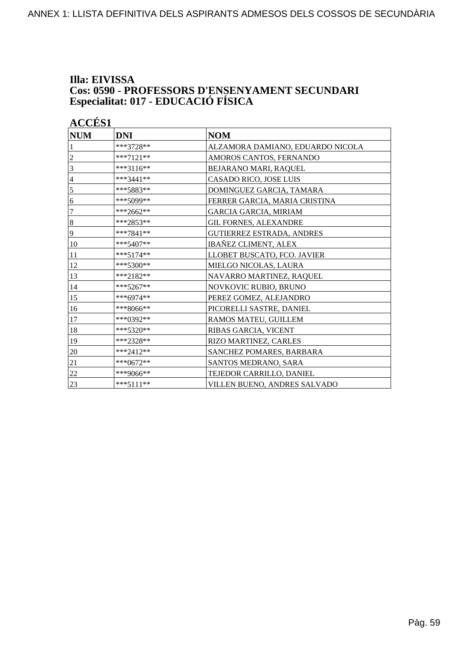### **Illa: EIVISSA Cos: 0590 - PROFESSORS D'ENSENYAMENT SECUNDARI Especialitat: 017 - EDUCACIÓ FÍSICA**

| <b>NUM</b>     | <b>DNI</b>  | <b>NOM</b>                       |
|----------------|-------------|----------------------------------|
|                | ***3728**   | ALZAMORA DAMIANO, EDUARDO NICOLA |
| 2              | $***7121**$ | AMOROS CANTOS, FERNANDO          |
| 3              | $***3116**$ | BEJARANO MARI, RAQUEL            |
| $\overline{4}$ | ***3441**   | CASADO RICO, JOSE LUIS           |
| 5              | ***5883**   | DOMINGUEZ GARCIA, TAMARA         |
| 6              | ***5099**   | FERRER GARCIA, MARIA CRISTINA    |
| 7              | ***2662**   | <b>GARCIA GARCIA, MIRIAM</b>     |
| $\,8\,$        | ***2853**   | <b>GIL FORNES, ALEXANDRE</b>     |
| 9              | $***7841**$ | GUTIERREZ ESTRADA, ANDRES        |
| 10             | $***5407**$ | <b>IBAÑEZ CLIMENT, ALEX</b>      |
| 11             | $***5174**$ | LLOBET BUSCATO, FCO. JAVIER      |
| 12             | ***5300**   | MIELGO NICOLAS, LAURA            |
| 13             | ***2182**   | NAVARRO MARTINEZ, RAQUEL         |
| 14             | ***5267**   | NOVKOVIC RUBIO, BRUNO            |
| 15             | ***6974**   | PEREZ GOMEZ, ALEJANDRO           |
| 16             | ***8066**   | PICORELLI SASTRE, DANIEL         |
| 17             | ***0392**   | RAMOS MATEU, GUILLEM             |
| 18             | ***5320**   | RIBAS GARCIA, VICENT             |
| 19             | ***2328**   | RIZO MARTINEZ, CARLES            |
| 20             | ***2412**   | SANCHEZ POMARES, BARBARA         |
| 21             | ***0672**   | SANTOS MEDRANO, SARA             |
| 22             | ***9066**   | TEJEDOR CARRILLO, DANIEL         |
| 23             | $***5111**$ | VILLEN BUENO, ANDRES SALVADO     |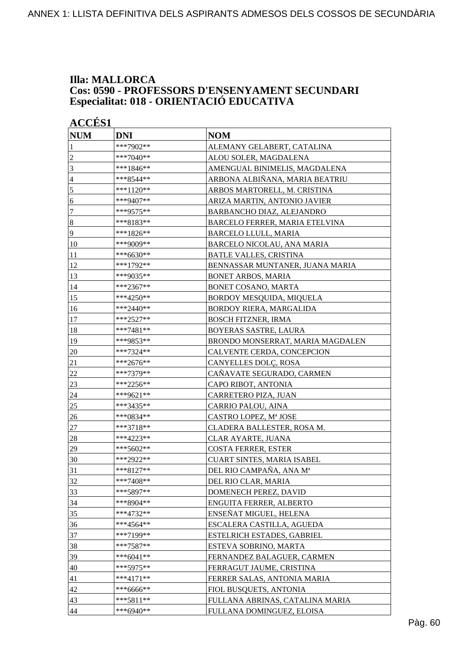### **Illa: MALLORCA Cos: 0590 - PROFESSORS D'ENSENYAMENT SECUNDARI Especialitat: 018 - ORIENTACIÓ EDUCATIVA**

|                | <b>ACCÉS 1</b> |                                   |  |
|----------------|----------------|-----------------------------------|--|
| <b>NUM</b>     | <b>DNI</b>     | <b>NOM</b>                        |  |
| 1              | ***7902**      | ALEMANY GELABERT, CATALINA        |  |
| $\overline{c}$ | ***7040**      | ALOU SOLER, MAGDALENA             |  |
| 3              | ***1846**      | AMENGUAL BINIMELIS, MAGDALENA     |  |
| $\overline{4}$ | ***8544**      | ARBONA ALBIÑANA, MARIA BEATRIU    |  |
| 5              | ***1120**      | ARBOS MARTORELL, M. CRISTINA      |  |
| 6              | ***9407**      | ARIZA MARTIN, ANTONIO JAVIER      |  |
| 7              | ***9575**      | BARBANCHO DIAZ, ALEJANDRO         |  |
| $\bf 8$        | ***8183**      | BARCELO FERRER, MARIA ETELVINA    |  |
| 9              | ***1826**      | BARCELO LLULL, MARIA              |  |
| 10             | ***9009**      | <b>BARCELO NICOLAU, ANA MARIA</b> |  |
| 11             | ***6630**      | <b>BATLE VALLES, CRISTINA</b>     |  |
| 12             | ***1792**      | BENNASSAR MUNTANER, JUANA MARIA   |  |
| 13             | ***9035**      | <b>BONET ARBOS, MARIA</b>         |  |
| 14             | ***2367**      | BONET COSANO, MARTA               |  |
| 15             | ***4250**      | BORDOY MESQUIDA, MIQUELA          |  |
| 16             | ***2440**      | <b>BORDOY RIERA, MARGALIDA</b>    |  |
| 17             | ***2527**      | <b>BOSCH FITZNER, IRMA</b>        |  |
| 18             | ***7481**      | <b>BOYERAS SASTRE, LAURA</b>      |  |
| 19             | ***9853**      | BRONDO MONSERRAT, MARIA MAGDALEN  |  |
| 20             | ***7324**      | CALVENTE CERDA, CONCEPCION        |  |
| 21             | ***2676**      | CANYELLES DOLÇ, ROSA              |  |
| 22             | ***7379**      | CAÑAVATE SEGURADO, CARMEN         |  |
| 23             | ***2256**      | CAPO RIBOT, ANTONIA               |  |
| 24             | ***9621**      | CARRETERO PIZA, JUAN              |  |
| 25             | ***3435**      | CARRIO PALOU, AINA                |  |
| 26             | ***0834**      | CASTRO LOPEZ, Mª JOSE             |  |
| $27\,$         | ***3718**      | CLADERA BALLESTER, ROSA M.        |  |
| 28             | ***4223**      | <b>CLAR AYARTE, JUANA</b>         |  |
| 29             | ***5602**      | <b>COSTA FERRER, ESTER</b>        |  |
| 30             | ***2922**      | <b>CUART SINTES, MARIA ISABEL</b> |  |
| 31             | ***8127**      | DEL RIO CAMPAÑA, ANA Mª           |  |
| 32             | $***7408**$    | DEL RIO CLAR, MARIA               |  |
| 33             | ***5897**      | DOMENECH PEREZ, DAVID             |  |
| 34             | ***8904**      | ENGUITA FERRER, ALBERTO           |  |
| 35             | ***4732**      | ENSEÑAT MIGUEL, HELENA            |  |
| 36             | ***4564**      | ESCALERA CASTILLA, AGUEDA         |  |
| 37             | ***7199**      | ESTELRICH ESTADES, GABRIEL        |  |
| 38             | ***7587**      | ESTEVA SOBRINO, MARTA             |  |
| 39             | ***6041**      | FERNANDEZ BALAGUER, CARMEN        |  |
| 40             | ***5975**      | FERRAGUT JAUME, CRISTINA          |  |
| 41             | $***4171**$    | FERRER SALAS, ANTONIA MARIA       |  |
| 42             | ***6666**      | FIOL BUSQUETS, ANTONIA            |  |
| 43             | ***5811**      | FULLANA ABRINAS, CATALINA MARIA   |  |
| 44             | $***6940**$    | FULLANA DOMINGUEZ, ELOISA         |  |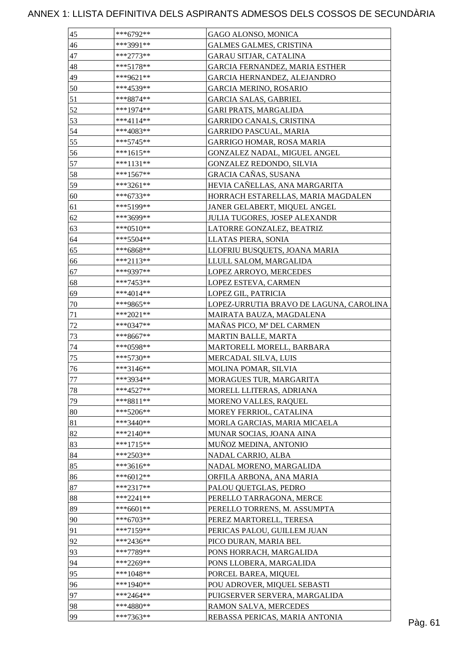| 45           | ***6792**                | GAGO ALONSO, MONICA                                   |         |
|--------------|--------------------------|-------------------------------------------------------|---------|
| 46           | ***3991**                | <b>GALMES GALMES, CRISTINA</b>                        |         |
| 47           | $***2773**$              | <b>GARAU SITJAR, CATALINA</b>                         |         |
| 48           | $***5178**$              | GARCIA FERNANDEZ, MARIA ESTHER                        |         |
| 49           | ***9621**                | GARCIA HERNANDEZ, ALEJANDRO                           |         |
| 50           | ***4539**                | <b>GARCIA MERINO, ROSARIO</b>                         |         |
| 51           | ***8874**                | <b>GARCIA SALAS, GABRIEL</b>                          |         |
| 52           | $***1974**$              | GARI PRATS, MARGALIDA                                 |         |
| 53           | ***4114**                | <b>GARRIDO CANALS, CRISTINA</b>                       |         |
| 54           | ***4083**                | <b>GARRIDO PASCUAL, MARIA</b>                         |         |
| 55           | $***5745**$              | <b>GARRIGO HOMAR, ROSA MARIA</b>                      |         |
| 56           | ***1615**                | GONZALEZ NADAL, MIGUEL ANGEL                          |         |
| 57           | ***1131**                | <b>GONZALEZ REDONDO, SILVIA</b>                       |         |
| 58           | $***1567**$              | GRACIA CAÑAS, SUSANA                                  |         |
| 59           | ***3261**                | HEVIA CAÑELLAS, ANA MARGARITA                         |         |
| 60           | $***6733**$              | HORRACH ESTARELLAS, MARIA MAGDALEN                    |         |
| 61           | ***5199**                | JANER GELABERT, MIQUEL ANGEL                          |         |
| 62           | ***3699**                | <b>JULIA TUGORES, JOSEP ALEXANDR</b>                  |         |
| 63           | $***0510**$              | LATORRE GONZALEZ, BEATRIZ                             |         |
| 64           | $***5504**$              | LLATAS PIERA, SONIA                                   |         |
| 65           | ***6868**                | LLOFRIU BUSQUETS, JOANA MARIA                         |         |
| 66           | $***2113**$              | LLULL SALOM, MARGALIDA                                |         |
| 67           | ***9397**                | LOPEZ ARROYO, MERCEDES                                |         |
| 68           | ***7453**                | LOPEZ ESTEVA, CARMEN                                  |         |
| 69           | ***4014**                | LOPEZ GIL, PATRICIA                                   |         |
|              |                          | LOPEZ-URRUTIA BRAVO DE LAGUNA, CAROLINA               |         |
| 70           | ***9865**<br>$***2021**$ |                                                       |         |
| 71<br>$72\,$ |                          | MAIRATA BAUZA, MAGDALENA<br>MAÑAS PICO, Mª DEL CARMEN |         |
|              | ***0347**                |                                                       |         |
| 73           | ***8667**                | MARTIN BALLE, MARTA                                   |         |
| 74           | ***0598**                | MARTORELL MORELL, BARBARA                             |         |
| 75           | $***5730**$              | MERCADAL SILVA, LUIS                                  |         |
| 76           | ***3146**                | MOLINA POMAR, SILVIA                                  |         |
| 77           | ***3934**                | MORAGUES TUR, MARGARITA                               |         |
| 78           | $***4527**$              | MORELL LLITERAS, ADRIANA                              |         |
| 79           | $***8811**$              | MORENO VALLES, RAQUEL                                 |         |
| 80           | ***5206**                | MOREY FERRIOL, CATALINA                               |         |
| 81           | ***3440**                | MORLA GARCIAS, MARIA MICAELA                          |         |
| 82           | $***2140**$              | MUNAR SOCIAS, JOANA AINA                              |         |
| 83           | ***1715**                | MUÑOZ MEDINA, ANTONIO                                 |         |
| 84           | $***2503**$              | NADAL CARRIO, ALBA                                    |         |
| 85           | $***3616**$              | NADAL MORENO, MARGALIDA                               |         |
| 86           | $***6012**$              | ORFILA ARBONA, ANA MARIA                              |         |
| 87           | $***2317**$              | PALOU QUETGLAS, PEDRO                                 |         |
| 88           | $***2241**$              | PERELLO TARRAGONA, MERCE                              |         |
| 89           | ***6601**                | PERELLO TORRENS, M. ASSUMPTA                          |         |
| 90           | ***6703**                | PEREZ MARTORELL, TERESA                               |         |
| 91           | $***7159**$              | PERICAS PALOU, GUILLEM JUAN                           |         |
| 92           | ***2436**                | PICO DURAN, MARIA BEL                                 |         |
| 93           | ***7789**                | PONS HORRACH, MARGALIDA                               |         |
| 94           | ***2269**                | PONS LLOBERA, MARGALIDA                               |         |
| 95           | ***1048**                | PORCEL BAREA, MIQUEL                                  |         |
| 96           | ***1940**                | POU ADROVER, MIQUEL SEBASTI                           |         |
| 97           | $***2464**$              | PUIGSERVER SERVERA, MARGALIDA                         |         |
| 98           | ***4880**                | RAMON SALVA, MERCEDES                                 |         |
| 99           | ***7363**                | REBASSA PERICAS, MARIA ANTONIA                        | Pàg. 61 |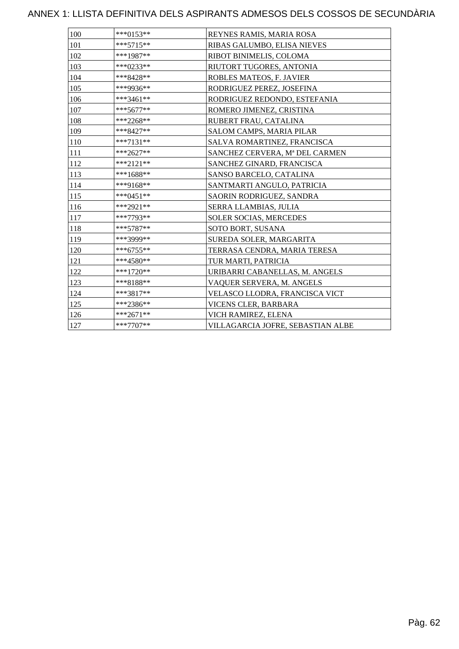| 100 | ***0153**   | REYNES RAMIS, MARIA ROSA          |
|-----|-------------|-----------------------------------|
| 101 | $***5715**$ | RIBAS GALUMBO, ELISA NIEVES       |
| 102 | ***1987**   | RIBOT BINIMELIS, COLOMA           |
| 103 | ***0233**   | RIUTORT TUGORES, ANTONIA          |
| 104 | ***8428**   | ROBLES MATEOS, F. JAVIER          |
| 105 | ***9936**   | RODRIGUEZ PEREZ, JOSEFINA         |
| 106 | ***3461**   | RODRIGUEZ REDONDO, ESTEFANIA      |
| 107 | $***5677**$ | ROMERO JIMENEZ, CRISTINA          |
| 108 | ***2268**   | RUBERT FRAU, CATALINA             |
| 109 | ***8427**   | SALOM CAMPS, MARIA PILAR          |
| 110 | $***7131**$ | SALVA ROMARTINEZ, FRANCISCA       |
| 111 | ***2627**   | SANCHEZ CERVERA, Mª DEL CARMEN    |
| 112 | $***2121**$ | SANCHEZ GINARD, FRANCISCA         |
| 113 | $***1688**$ | SANSO BARCELO, CATALINA           |
| 114 | ***9168**   | SANTMARTI ANGULO, PATRICIA        |
| 115 | ***0451**   | SAORIN RODRIGUEZ, SANDRA          |
| 116 | ***2921**   | SERRA LLAMBIAS, JULIA             |
| 117 | ***7793**   | <b>SOLER SOCIAS, MERCEDES</b>     |
| 118 | ***5787**   | SOTO BORT, SUSANA                 |
| 119 | ***3999**   | SUREDA SOLER, MARGARITA           |
| 120 | ***6755**   | TERRASA CENDRA, MARIA TERESA      |
| 121 | ***4580**   | TUR MARTI, PATRICIA               |
| 122 | ***1720**   | URIBARRI CABANELLAS, M. ANGELS    |
| 123 | ***8188**   | VAQUER SERVERA, M. ANGELS         |
| 124 | ***3817**   | VELASCO LLODRA, FRANCISCA VICT    |
| 125 | ***2386**   | VICENS CLER, BARBARA              |
| 126 | ***2671**   | VICH RAMIREZ, ELENA               |
| 127 | $***7707**$ | VILLAGARCIA JOFRE, SEBASTIAN ALBE |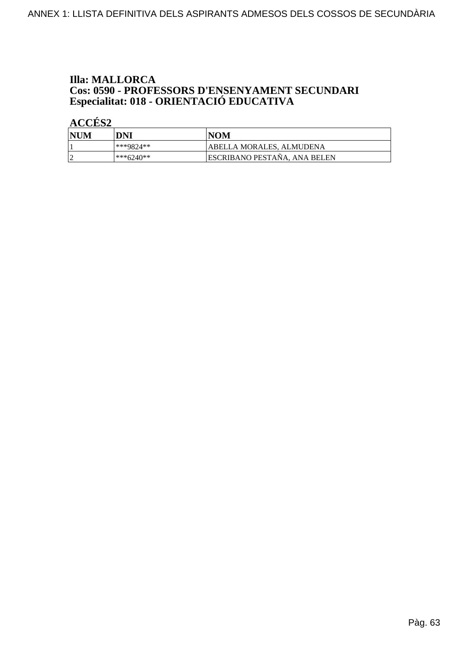## **Illa: MALLORCA Cos: 0590 - PROFESSORS D'ENSENYAMENT SECUNDARI<br>Especialitat: 018 - ORIENTACIÓ EDUCATIVA**

| <b>NUM</b> | DNI       | NOM                                 |
|------------|-----------|-------------------------------------|
|            | ***9824** | <b>ABELLA MORALES, ALMUDENA</b>     |
|            | ***6240** | <b>ESCRIBANO PESTAÑA, ANA BELEN</b> |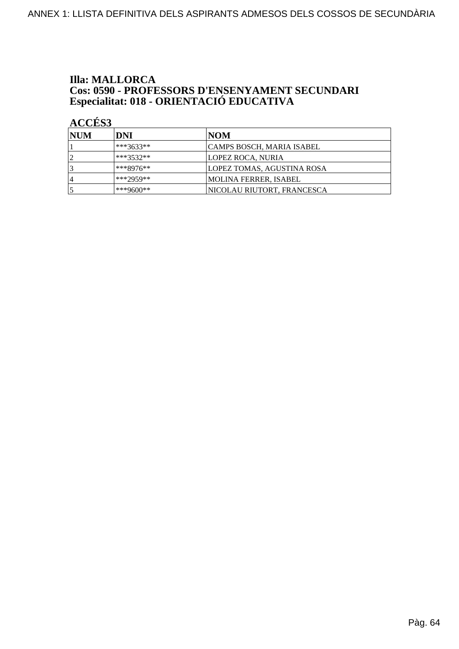## **Illa: MALLORCA Cos: 0590 - PROFESSORS D'ENSENYAMENT SECUNDARI<br>Especialitat: 018 - ORIENTACIÓ EDUCATIVA**

| <b>INUM</b> | DNI         | NOM                        |
|-------------|-------------|----------------------------|
|             | $***3633**$ | CAMPS BOSCH, MARIA ISABEL  |
|             | $***3532**$ | LOPEZ ROCA, NURIA          |
|             | ***8976**   | LOPEZ TOMAS, AGUSTINA ROSA |
| 4           | ***2959**   | MOLINA FERRER, ISABEL      |
|             | ***9600**   | NICOLAU RIUTORT, FRANCESCA |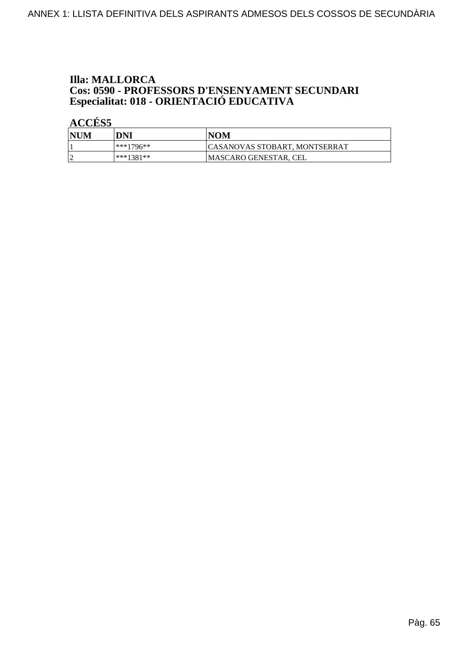## **Illa: MALLORCA Cos: 0590 - PROFESSORS D'ENSENYAMENT SECUNDARI<br>Especialitat: 018 - ORIENTACIÓ EDUCATIVA**

| <b>NUM</b> | DNI       | <b>NOM</b>                           |
|------------|-----------|--------------------------------------|
|            | ***1796** | <b>CASANOVAS STOBART, MONTSERRAT</b> |
|            | ***1381** | <b>MASCARO GENESTAR, CEL</b>         |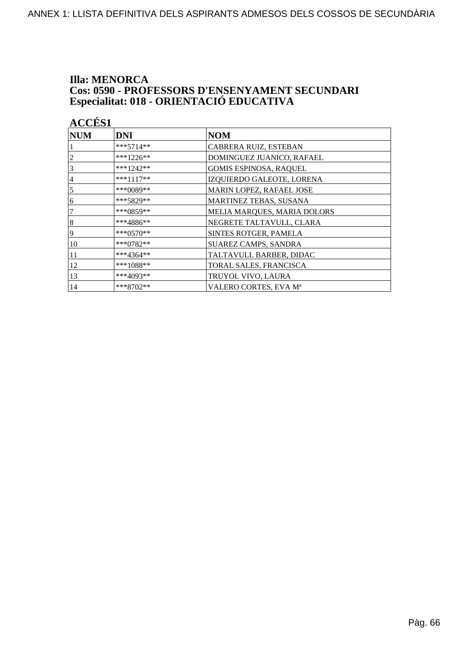## **Illa: MENORCA Cos: 0590 - PROFESSORS D'ENSENYAMENT SECUNDARI<br>Especialitat: 018 - ORIENTACIÓ EDUCATIVA**

| <b>ACCÉS 1</b> |              |                               |
|----------------|--------------|-------------------------------|
| <b>NUM</b>     | DNI          | <b>NOM</b>                    |
|                | $***5714**$  | CABRERA RUIZ, ESTEBAN         |
| 2              | ***1226**    | DOMINGUEZ JUANICO, RAFAEL     |
| 3              | $***1242**$  | <b>GOMIS ESPINOSA, RAQUEL</b> |
| 4              | $***1117**$  | IZQUIERDO GALEOTE, LORENA     |
| 5              | ***0089**    | MARIN LOPEZ, RAFAEL JOSE      |
| 6              | ***5829**    | MARTINEZ TEBAS, SUSANA        |
| 7              | *** $0859**$ | MELIA MARQUES, MARIA DOLORS   |
| 8              | ***4886**    | NEGRETE TALTAVULL, CLARA      |
| 9              | ***0570**    | SINTES ROTGER, PAMELA         |
| 10             | ***0782**    | SUAREZ CAMPS, SANDRA          |
| 11             | ***4364**    | TALTAVULL BARBER, DIDAC       |
| 12             | ***1088**    | TORAL SALES, FRANCISCA        |
| 13             | ***4093**    | TRUYOL VIVO, LAURA            |
| 14             | $***8702**$  | VALERO CORTES, EVA Mª         |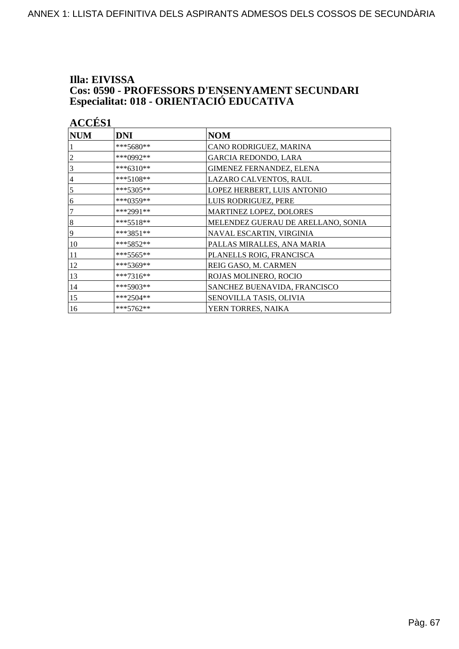## Illa: EIVISSA **Cos: 0590 - PROFESSORS D'ENSENYAMENT SECUNDARI<br>Especialitat: 018 - ORIENTACIÓ EDUCATIVA**

| <b>ACCÉS 1</b> |             |                                    |
|----------------|-------------|------------------------------------|
| <b>NUM</b>     | <b>DNI</b>  | <b>NOM</b>                         |
|                | ***5680**   | CANO RODRIGUEZ, MARINA             |
| 2              | ***0992**   | GARCIA REDONDO, LARA               |
| 3              | ***6310**   | GIMENEZ FERNANDEZ, ELENA           |
| 4              | ***5108**   | LAZARO CALVENTOS, RAUL             |
| 5              | $***5305**$ | LOPEZ HERBERT, LUIS ANTONIO        |
| 6              | ***0359**   | LUIS RODRIGUEZ, PERE               |
| 7              | ***2991**   | MARTINEZ LOPEZ, DOLORES            |
| 8              | ***5518**   | MELENDEZ GUERAU DE ARELLANO, SONIA |
| 9              | ***3851**   | NAVAL ESCARTIN, VIRGINIA           |
| 10             | ***5852**   | PALLAS MIRALLES, ANA MARIA         |
| 11             | ***5565**   | PLANELLS ROIG, FRANCISCA           |
| 12             | ***5369**   | REIG GASO, M. CARMEN               |
| 13             | ***7316**   | ROJAS MOLINERO, ROCIO              |
| 14             | ***5903**   | SANCHEZ BUENAVIDA, FRANCISCO       |
| 15             | ***2504**   | SENOVILLA TASIS, OLIVIA            |
| 16             | ***5762**   | YERN TORRES, NAIKA                 |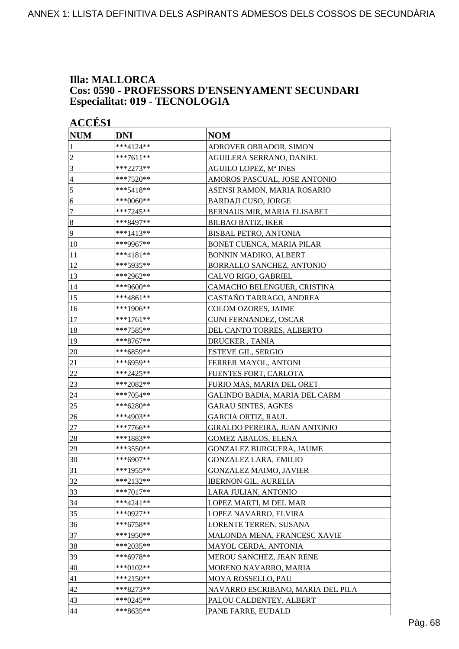### **Illa: MALLORCA** Cos: 0590 - PROFESSORS D'ENSENYAMENT SECUNDARI Especialitat: 019 - TECNOLOGIA

| <b>ACCÉS 1</b>   |             |                                   |
|------------------|-------------|-----------------------------------|
| <b>NUM</b>       | DNI         | <b>NOM</b>                        |
| 1                | ***4124**   | ADROVER OBRADOR, SIMON            |
| $\overline{c}$   | ***7611**   | AGUILERA SERRANO, DANIEL          |
| $\mathfrak{Z}$   | ***2273**   | AGUILO LOPEZ, Mª INES             |
| $\overline{4}$   | ***7520**   | AMOROS PASCUAL, JOSE ANTONIO      |
| 5                | ***5418**   | ASENSI RAMON, MARIA ROSARIO       |
| 6                | ***0060**   | <b>BARDAJI CUSO, JORGE</b>        |
| $\boldsymbol{7}$ | ***7245**   | BERNAUS MIR, MARIA ELISABET       |
| $\vert 8$        | ***8497**   | <b>BILBAO BATIZ, IKER</b>         |
| $\overline{9}$   | ***1413**   | <b>BISBAL PETRO, ANTONIA</b>      |
| <sup>10</sup>    | ***9967**   | BONET CUENCA, MARIA PILAR         |
| 11               | ***4181**   | <b>BONNIN MADIKO, ALBERT</b>      |
| 12               | ***5935**   | BORRALLO SANCHEZ, ANTONIO         |
| 13               | ***2962**   | CALVO RIGO, GABRIEL               |
| 14               | ***9600**   | CAMACHO BELENGUER, CRISTINA       |
| 15               | ***4861**   | CASTAÑO TARRAGO, ANDREA           |
| 16               | ***1906**   | COLOM OZORES, JAIME               |
| 17               | ***1761**   | CUNI FERNANDEZ, OSCAR             |
| 18               | ***7585**   | DEL CANTO TORRES, ALBERTO         |
| 19               | ***8767**   | DRUCKER, TANIA                    |
| 20               | ***6859**   | <b>ESTEVE GIL, SERGIO</b>         |
| 21               | ***6959**   | FERRER MAYOL, ANTONI              |
| 22               | ***2425**   | FUENTES FORT, CARLOTA             |
| 23               | ***2082**   | FURIO MAS, MARIA DEL ORET         |
| 24               | ***7054**   | GALINDO BADIA, MARIA DEL CARM     |
| 25               | ***6280**   | <b>GARAU SINTES, AGNES</b>        |
| 26               | ***4903**   | <b>GARCIA ORTIZ, RAUL</b>         |
| 27               | ***7766**   | GIRALDO PEREIRA, JUAN ANTONIO     |
| 28               | ***1883**   | <b>GOMEZ ABALOS, ELENA</b>        |
| 29               | ***3550**   | GONZALEZ BURGUERA, JAUME          |
| 30               | ***6907**   | <b>GONZALEZ LARA, EMILIO</b>      |
| 31               | ***1955**   | <b>GONZALEZ MAIMO, JAVIER</b>     |
| 32               | ***2132**   | <b>IBERNON GIL, AURELIA</b>       |
| 33               | ***7017**   | LARA JULIAN, ANTONIO              |
| 34               | ***4241**   | LOPEZ MARTI, M DEL MAR            |
| 35               | ***0927**   | LOPEZ NAVARRO, ELVIRA             |
| 36               | $***6758**$ | LORENTE TERREN, SUSANA            |
| 37               | ***1950**   | MALONDA MENA, FRANCESC XAVIE      |
| 38               | ***2035**   | MAYOL CERDA, ANTONIA              |
| 39               | ***6978**   | MEROU SANCHEZ, JEAN RENE          |
| 40               | ***0102**   | MORENO NAVARRO, MARIA             |
| 41               | ***2150**   | MOYA ROSSELLO, PAU                |
| 42               | ***8273**   | NAVARRO ESCRIBANO, MARIA DEL PILA |
| 43               | ***0245**   | PALOU CALDENTEY, ALBERT           |
| 44               | ***8635**   | PANE FARRE, EUDALD                |
|                  |             |                                   |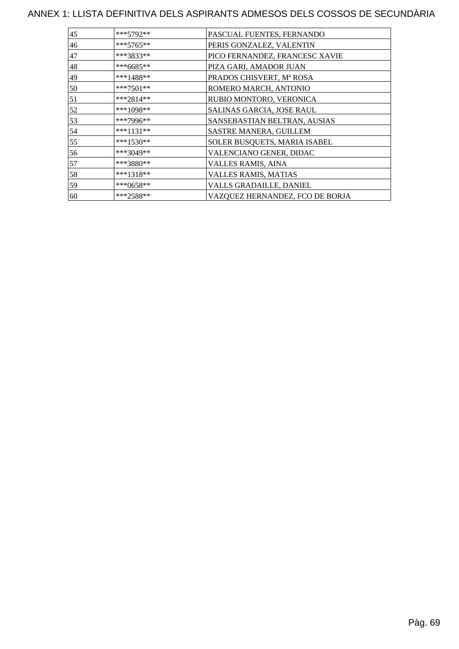| 45 | $***5792**$ | PASCUAL FUENTES, FERNANDO       |
|----|-------------|---------------------------------|
| 46 | ***5765**   | PERIS GONZALEZ, VALENTIN        |
| 47 | ***3833**   | PICO FERNANDEZ, FRANCESC XAVIE  |
| 48 | ***6685**   | PIZA GARI, AMADOR JUAN          |
| 49 | ***1488**   | PRADOS CHISVERT, Mª ROSA        |
| 50 | ***7501**   | ROMERO MARCH, ANTONIO           |
| 51 | $***2814**$ | RUBIO MONTORO, VERONICA         |
| 52 | ***1098**   | SALINAS GARCIA, JOSE RAUL       |
| 53 | ***7996**   | SANSEBASTIAN BELTRAN, AUSIAS    |
| 54 | $***1131**$ | SASTRE MANERA, GUILLEM          |
| 55 | ***1530**   | SOLER BUSQUETS, MARIA ISABEL    |
| 56 | $***3049**$ | VALENCIANO GENER, DIDAC         |
| 57 | ***3880**   | VALLES RAMIS, AINA              |
| 58 | $***1318**$ | VALLES RAMIS, MATIAS            |
| 59 | $***0658**$ | VALLS GRADAILLE, DANIEL         |
| 60 | ***2588**   | VAZQUEZ HERNANDEZ, FCO DE BORJA |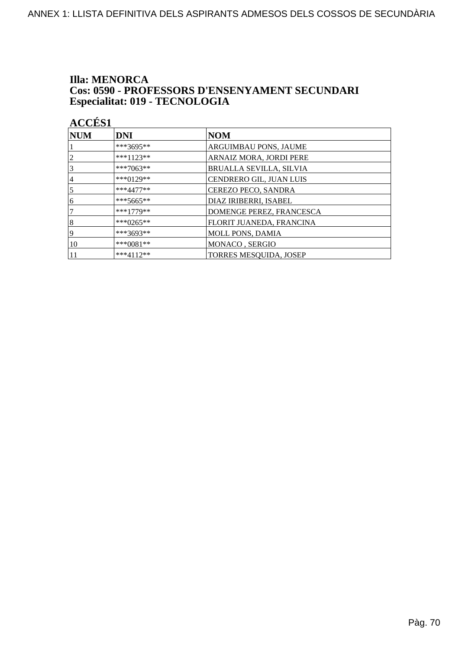### **Illa: MENORCA** Cos: 0590 - PROFESSORS D'ENSENYAMENT SECUNDARI Especialitat: 019 - TECNOLOGIA

| <b>NUM</b> | <b>DNI</b>   | <b>NOM</b>                     |
|------------|--------------|--------------------------------|
|            | ***3695**    | <b>ARGUIMBAU PONS, JAUME</b>   |
| 2          | $***1123**$  | ARNAIZ MORA, JORDI PERE        |
| 3          | ***7063**    | <b>BRUALLA SEVILLA, SILVIA</b> |
| 4          | ***0129**    | CENDRERO GIL, JUAN LUIS        |
| 5          | $***4477**$  | CEREZO PECO, SANDRA            |
| 6          | $***5665**$  | DIAZ IRIBERRI, ISABEL          |
|            | $***1779**$  | DOMENGE PEREZ, FRANCESCA       |
| 8          | *** $0265**$ | FLORIT JUANEDA, FRANCINA       |
| 19         | ***3693**    | <b>MOLL PONS, DAMIA</b>        |
| 10         | *** $0081**$ | MONACO, SERGIO                 |
|            | $***4112**$  | TORRES MESQUIDA, JOSEP         |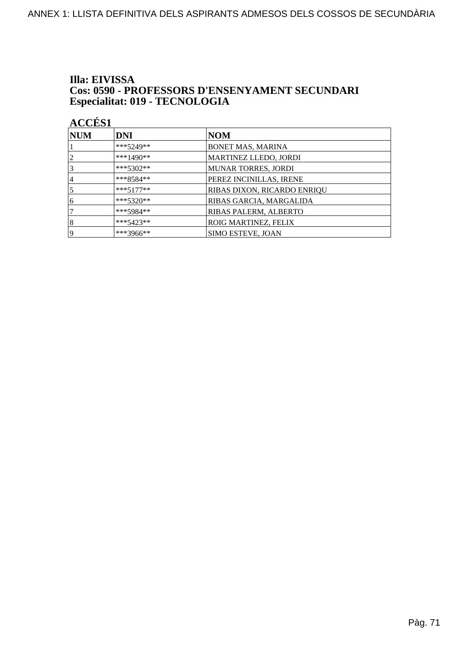### Illa: EIVISSA **Cos: 0590 - PROFESSORS D'ENSENYAMENT SECUNDARI** Especialitat: 019 - TECNOLOGIA

| NUM            | <b>DNI</b>  | NOM                         |
|----------------|-------------|-----------------------------|
|                | ***5249**   | BONET MAS, MARINA           |
| $\overline{2}$ | ***1490**   | MARTINEZ LLEDO, JORDI       |
| 3              | $***5302**$ | <b>MUNAR TORRES, JORDI</b>  |
| 4              | $***8584**$ | PEREZ INCINILLAS, IRENE     |
| 5              | $***5177**$ | RIBAS DIXON, RICARDO ENRIQU |
| 6              | $***5320**$ | RIBAS GARCIA, MARGALIDA     |
|                | $***5984**$ | RIBAS PALERM, ALBERTO       |
| 8              | ***5423**   | ROIG MARTINEZ, FELIX        |
| 19             | ***3966**   | <b>SIMO ESTEVE, JOAN</b>    |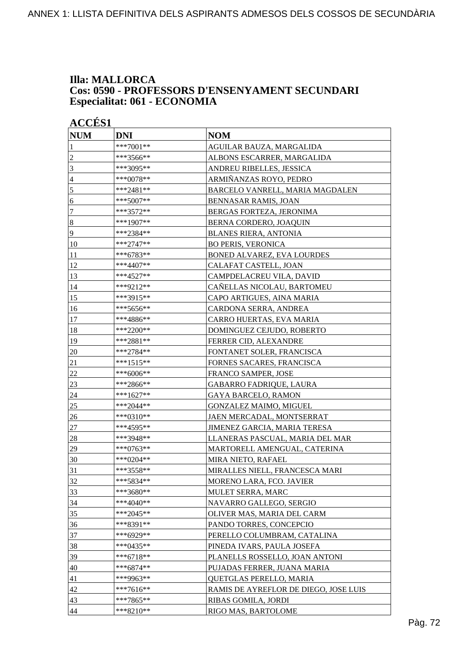### **Illa: MALLORCA Cos: 0590 - PROFESSORS D'ENSENYAMENT SECUNDARI Especialitat: 061 - ECONOMIA**

|                | <b>ACCÉS 1</b> |                                       |  |
|----------------|----------------|---------------------------------------|--|
| <b>NUM</b>     | <b>DNI</b>     | <b>NOM</b>                            |  |
| 1              | ***7001**      | AGUILAR BAUZA, MARGALIDA              |  |
| $\overline{c}$ | ***3566**      | ALBONS ESCARRER, MARGALIDA            |  |
| 3              | ***3095**      | ANDREU RIBELLES, JESSICA              |  |
| $\overline{4}$ | ***0078**      | ARMIÑANZAS ROYO, PEDRO                |  |
| 5              | ***2481**      | BARCELO VANRELL, MARIA MAGDALEN       |  |
| 6              | ***5007**      | BENNASAR RAMIS, JOAN                  |  |
| $\tau$         | ***3572**      | BERGAS FORTEZA, JERONIMA              |  |
| $\vert 8$      | ***1907**      | BERNA CORDERO, JOAQUIN                |  |
| $\overline{9}$ | ***2384**      | <b>BLANES RIERA, ANTONIA</b>          |  |
| 10             | ***2747**      | <b>BO PERIS, VERONICA</b>             |  |
| 11             | ***6783**      | BONED ALVAREZ, EVA LOURDES            |  |
| 12             | ***4407**      | CALAFAT CASTELL, JOAN                 |  |
| 13             | ***4527**      | CAMPDELACREU VILA, DAVID              |  |
| 14             | ***9212**      | CAÑELLAS NICOLAU, BARTOMEU            |  |
| 15             | ***3915**      | CAPO ARTIGUES, AINA MARIA             |  |
| 16             | ***5656**      | CARDONA SERRA, ANDREA                 |  |
| 17             | ***4886**      | CARRO HUERTAS, EVA MARIA              |  |
| 18             | ***2200**      | DOMINGUEZ CEJUDO, ROBERTO             |  |
| 19             | ***2881**      | FERRER CID, ALEXANDRE                 |  |
| 20             | ***2784**      | FONTANET SOLER, FRANCISCA             |  |
| 21             | ***1515**      | FORNES SACARES, FRANCISCA             |  |
|                |                |                                       |  |
| $22\,$         | ***6006**      | <b>FRANCO SAMPER, JOSE</b>            |  |
| 23             | ***2866**      | GABARRO FADRIQUE, LAURA               |  |
| 24             | ***1627**      | <b>GAYA BARCELO, RAMON</b>            |  |
| 25             | ***2044**      | <b>GONZALEZ MAIMO, MIGUEL</b>         |  |
| 26             | ***0310**      | JAEN MERCADAL, MONTSERRAT             |  |
| 27             | ***4595**      | JIMENEZ GARCIA, MARIA TERESA          |  |
| 28             | ***3948**      | LLANERAS PASCUAL, MARIA DEL MAR       |  |
| 29             | ***0763**      | MARTORELL AMENGUAL, CATERINA          |  |
| 30             | ***0204**      | MIRA NIETO, RAFAEL                    |  |
| 31             | ***3558**      | MIRALLES NIELL, FRANCESCA MARI        |  |
| 32             | ***5834**      | MORENO LARA, FCO. JAVIER              |  |
| 33             | ***3680**      | MULET SERRA, MARC                     |  |
| 34             | ***4040**      | NAVARRO GALLEGO, SERGIO               |  |
| 35             | ***2045**      | OLIVER MAS, MARIA DEL CARM            |  |
| 36             | ***8391**      | PANDO TORRES, CONCEPCIO               |  |
| 37             | ***6929**      | PERELLO COLUMBRAM, CATALINA           |  |
| 38             | ***0435**      | PINEDA IVARS, PAULA JOSEFA            |  |
| 39             | $***6718**$    | PLANELLS ROSSELLO, JOAN ANTONI        |  |
| 40             | ***6874**      | PUJADAS FERRER, JUANA MARIA           |  |
| 41             | ***9963**      | QUETGLAS PERELLO, MARIA               |  |
| 42             | ***7616**      | RAMIS DE AYREFLOR DE DIEGO, JOSE LUIS |  |
| 43             | ***7865**      | RIBAS GOMILA, JORDI                   |  |
| 44             | $***8210**$    | RIGO MAS, BARTOLOME                   |  |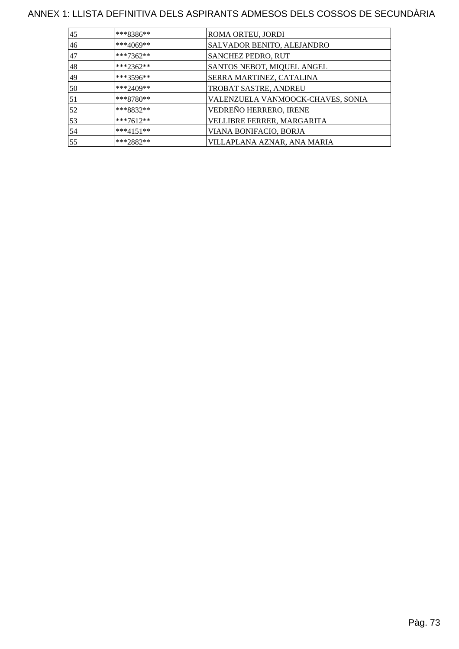# ANNEX 1: LLISTA DEFINITIVA DELS ASPIRANTS ADMESOS DELS COSSOS DE SECUNDÀRIA

| 45 | $***8386**$ | ROMA ORTEU, JORDI                 |
|----|-------------|-----------------------------------|
| 46 | ***4069**   | SALVADOR BENITO, ALEJANDRO        |
| 47 | ***7362**   | SANCHEZ PEDRO, RUT                |
| 48 | ***2362**   | SANTOS NEBOT, MIQUEL ANGEL        |
| 49 | $***3596**$ | SERRA MARTINEZ, CATALINA          |
| 50 | ***2409**   | TROBAT SASTRE, ANDREU             |
| 51 | $***8780**$ | VALENZUELA VANMOOCK-CHAVES, SONIA |
| 52 | ***8832**   | VEDREÑO HERRERO, IRENE            |
| 53 | ***7612**   | VELLIBRE FERRER, MARGARITA        |
| 54 | $***4151**$ | VIANA BONIFACIO, BORJA            |
| 55 | ***2882**   | VILLAPLANA AZNAR, ANA MARIA       |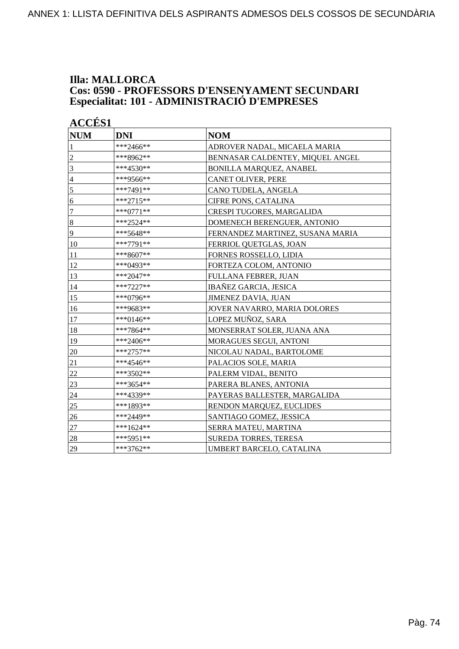### **Illa: MALLORCA Cos: 0590 - PROFESSORS D'ENSENYAMENT SECUNDARI Especialitat: 101 - ADMINISTRACIÓ D'EMPRESES**

| <b>NUM</b>     | <b>DNI</b>   | <b>NOM</b>                       |
|----------------|--------------|----------------------------------|
| 1              | ***2466**    | ADROVER NADAL, MICAELA MARIA     |
| $\overline{c}$ | ***8962**    | BENNASAR CALDENTEY, MIQUEL ANGEL |
| 3              | ***4530**    | <b>BONILLA MARQUEZ, ANABEL</b>   |
| $\overline{4}$ | ***9566**    | CANET OLIVER, PERE               |
| 5              | ***7491**    | CANO TUDELA, ANGELA              |
| 6              | ***2715**    | CIFRE PONS, CATALINA             |
| $\overline{7}$ | $***0771**$  | CRESPI TUGORES, MARGALIDA        |
| $\bf 8$        | ***2524**    | DOMENECH BERENGUER, ANTONIO      |
| 9              | ***5648**    | FERNANDEZ MARTINEZ, SUSANA MARIA |
| 10             | ***7791**    | FERRIOL QUETGLAS, JOAN           |
| 11             | ***8607**    | FORNES ROSSELLO, LIDIA           |
| 12             | *** $0493**$ | FORTEZA COLOM, ANTONIO           |
| 13             | ***2047**    | <b>FULLANA FEBRER, JUAN</b>      |
| 14             | ***7227**    | <b>IBAÑEZ GARCIA, JESICA</b>     |
| 15             | ***0796**    | <b>JIMENEZ DAVIA, JUAN</b>       |
| 16             | ***9683**    | JOVER NAVARRO, MARIA DOLORES     |
| 17             | ***0146**    | LOPEZ MUÑOZ, SARA                |
| 18             | ***7864**    | MONSERRAT SOLER, JUANA ANA       |
| 19             | ***2406**    | MORAGUES SEGUI, ANTONI           |
| 20             | ***2757**    | NICOLAU NADAL, BARTOLOME         |
| 21             | ***4546**    | PALACIOS SOLE, MARIA             |
| 22             | ***3502**    | PALERM VIDAL, BENITO             |
| 23             | ***3654**    | PARERA BLANES, ANTONIA           |
| 24             | ***4339**    | PAYERAS BALLESTER, MARGALIDA     |
| 25             | ***1893**    | RENDON MARQUEZ, EUCLIDES         |
| 26             | ***2449**    | SANTIAGO GOMEZ, JESSICA          |
| 27             | ***1624**    | SERRA MATEU, MARTINA             |
| 28             | ***5951**    | <b>SUREDA TORRES, TERESA</b>     |
| 29             | $***3762**$  | UMBERT BARCELO, CATALINA         |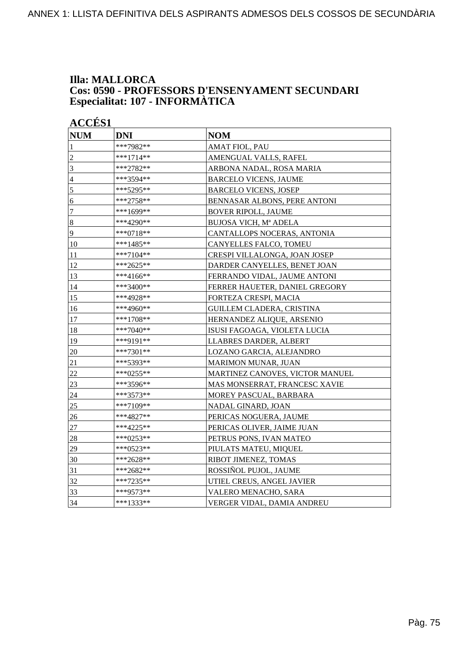### **Illa: MALLORCA Cos: 0590 - PROFESSORS D'ENSENYAMENT SECUNDARI Especialitat: 107 - INFORMÀTICA**

| <b>ACCÉS 1</b><br><b>NUM</b> | <b>DNI</b>  | <b>NOM</b>                      |
|------------------------------|-------------|---------------------------------|
| 1                            | ***7982**   | <b>AMAT FIOL, PAU</b>           |
| $\overline{2}$               | ***1714**   | AMENGUAL VALLS, RAFEL           |
| 3                            | ***2782**   | ARBONA NADAL, ROSA MARIA        |
| $\overline{4}$               | ***3594**   | <b>BARCELO VICENS, JAUME</b>    |
| $\overline{5}$               | ***5295**   | <b>BARCELO VICENS, JOSEP</b>    |
| 6                            | ***2758**   | BENNASAR ALBONS, PERE ANTONI    |
| $\tau$                       | ***1699**   | <b>BOVER RIPOLL, JAUME</b>      |
| $\sqrt{8}$                   | ***4290**   | BUJOSA VICH, Mª ADELA           |
| 9                            | $***0718**$ | CANTALLOPS NOCERAS, ANTONIA     |
| 10                           | ***1485**   | CANYELLES FALCO, TOMEU          |
| 11                           | ***7104**   | CRESPI VILLALONGA, JOAN JOSEP   |
| 12                           | ***2625**   | DARDER CANYELLES, BENET JOAN    |
| 13                           | ***4166**   | FERRANDO VIDAL, JAUME ANTONI    |
| 14                           | ***3400**   | FERRER HAUETER, DANIEL GREGORY  |
| 15                           | ***4928**   | FORTEZA CRESPI, MACIA           |
| 16                           | ***4960**   | GUILLEM CLADERA, CRISTINA       |
| 17                           | ***1708**   | HERNANDEZ ALIQUE, ARSENIO       |
| 18                           | ***7040**   | ISUSI FAGOAGA, VIOLETA LUCIA    |
| 19                           | ***9191**   | LLABRES DARDER, ALBERT          |
| 20                           | ***7301**   | LOZANO GARCIA, ALEJANDRO        |
| 21                           | ***5393**   | MARIMON MUNAR, JUAN             |
| 22                           | ***0255**   | MARTINEZ CANOVES, VICTOR MANUEL |
| 23                           | ***3596**   | MAS MONSERRAT, FRANCESC XAVIE   |
| 24                           | ***3573**   | MOREY PASCUAL, BARBARA          |
| 25                           | ***7109**   | NADAL GINARD, JOAN              |
| 26                           | ***4827**   | PERICAS NOGUERA, JAUME          |
| 27                           | ***4225**   | PERICAS OLIVER, JAIME JUAN      |
| 28                           | ***0253**   | PETRUS PONS, IVAN MATEO         |
| 29                           | ***0523**   | PIULATS MATEU, MIQUEL           |
| 30                           | ***2628**   | RIBOT JIMENEZ, TOMAS            |
| 31                           | ***2682**   | ROSSIÑOL PUJOL, JAUME           |
| 32                           | ***7235**   | UTIEL CREUS, ANGEL JAVIER       |
| 33                           | ***9573**   | VALERO MENACHO, SARA            |
| 34                           | ***1333**   | VERGER VIDAL, DAMIA ANDREU      |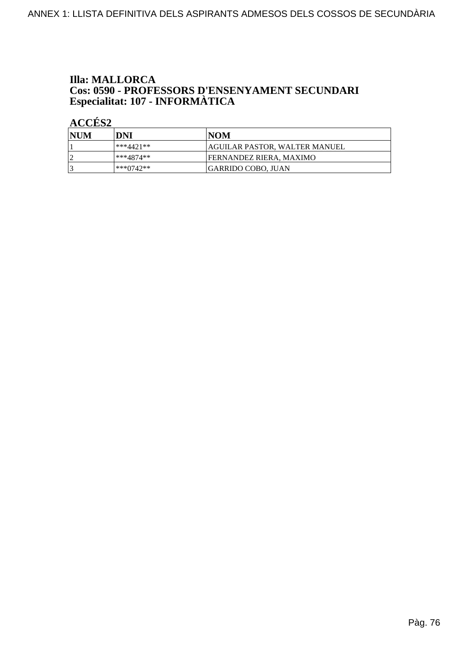# **Illa: MALLORCA Cos: 0590 - PROFESSORS D'ENSENYAMENT SECUNDARI<br>Especialitat: 107 - INFORMÀTICA**

| NUM | DNI       | INOM                            |
|-----|-----------|---------------------------------|
|     | ***4421** | AGUILAR PASTOR, WALTER MANUEL   |
|     | ***4874** | <b>IFERNANDEZ RIERA. MAXIMO</b> |
|     | ***0742** | <b>GARRIDO COBO, JUAN</b>       |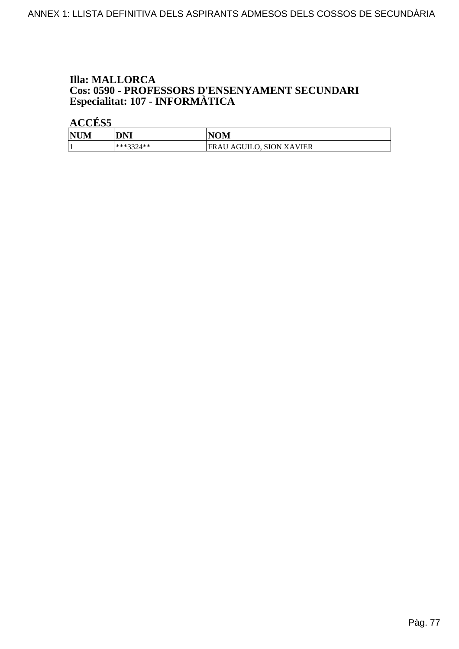# **Illa: MALLORCA Cos: 0590 - PROFESSORS D'ENSENYAMENT SECUNDARI<br>Especialitat: 107 - INFORMÀTICA**

| <b>NUM</b> | DNI       | <b>NOM</b>               |
|------------|-----------|--------------------------|
|            | ***3371** | FRAU AGUILO, SION XAVIER |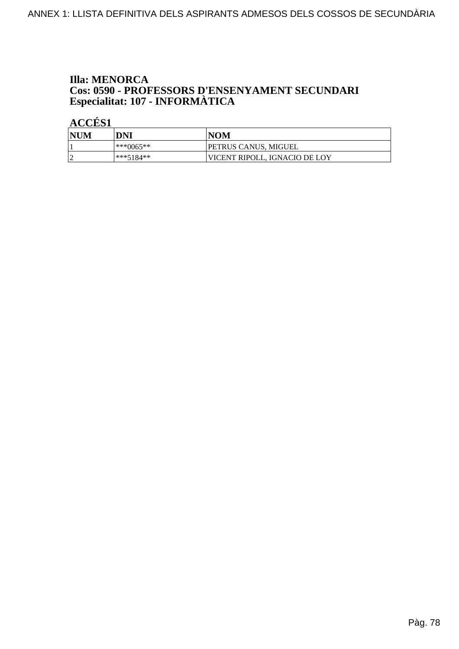# **Illa: MENORCA Cos: 0590 - PROFESSORS D'ENSENYAMENT SECUNDARI<br>Especialitat: 107 - INFORMÀTICA**

| <b>NUM</b> | DNI         | <b>NOM</b>                    |
|------------|-------------|-------------------------------|
|            | $***0065**$ | PETRUS CANUS, MIGUEL          |
| $\sim$     | ***5184**   | VICENT RIPOLL. IGNACIO DE LOY |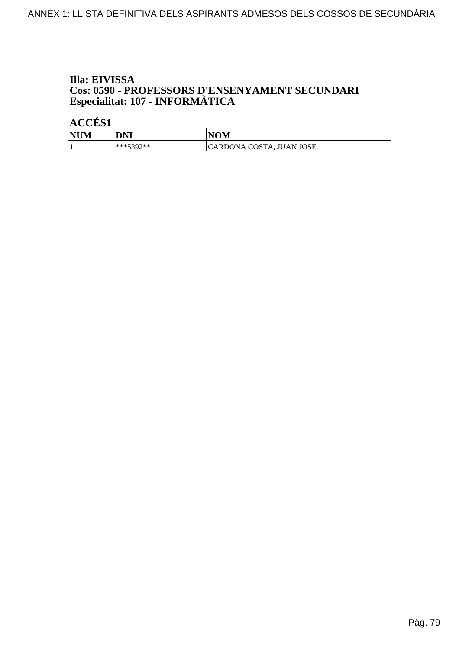## Illa: EIVISSA Cos: 0590 - PROFESSORS D'ENSENYAMENT SECUNDARI Especialitat: 107 - INFORMÀTICA

| <b>NUM</b> | DNI       | <b>NOM</b>               |
|------------|-----------|--------------------------|
|            | ***5300** | CARDONA COSTA, JUAN JOSE |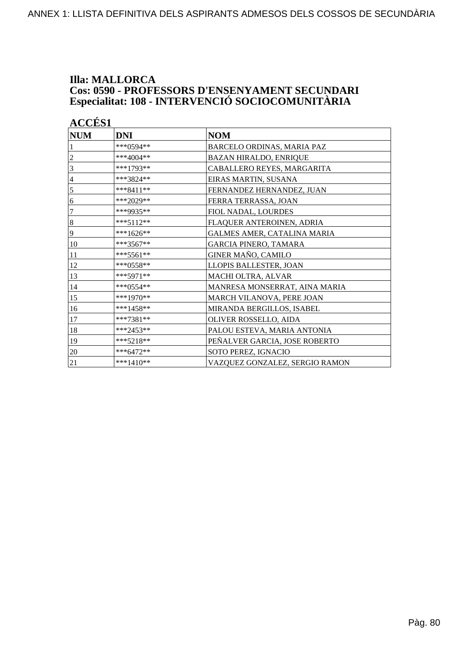### **Illa: MALLORCA Cos: 0590 - PROFESSORS D'ENSENYAMENT SECUNDARI Especialitat: 108 - INTERVENCIÓ SOCIOCOMUNITÀRIA**

| <b>ACCES 1</b><br><b>NUM</b> | <b>DNI</b>  |                                |
|------------------------------|-------------|--------------------------------|
|                              |             | <b>NOM</b>                     |
|                              | ***0594**   | BARCELO ORDINAS, MARIA PAZ     |
| 2                            | $***4004**$ | <b>BAZAN HIRALDO, ENRIQUE</b>  |
| 3                            | ***1793**   | CABALLERO REYES, MARGARITA     |
| $\overline{4}$               | ***3824**   | EIRAS MARTIN, SUSANA           |
| 5                            | $***8411**$ | FERNANDEZ HERNANDEZ, JUAN      |
| 6                            | ***2029**   | FERRA TERRASSA, JOAN           |
| 7                            | ***9935**   | FIOL NADAL, LOURDES            |
| $\bf 8$                      | ***5112**   | FLAQUER ANTEROINEN, ADRIA      |
| 9                            | ***1626**   | GALMES AMER, CATALINA MARIA    |
| 10                           | $***3567**$ | <b>GARCIA PINERO, TAMARA</b>   |
| 11                           | $***5561**$ | GINER MAÑO, CAMILO             |
| 12                           | ***0558**   | LLOPIS BALLESTER, JOAN         |
| 13                           | ***5971**   | MACHI OLTRA, ALVAR             |
| 14                           | ***0554**   | MANRESA MONSERRAT, AINA MARIA  |
| 15                           | ***1970**   | MARCH VILANOVA, PERE JOAN      |
| 16                           | $***1458**$ | MIRANDA BERGILLOS, ISABEL      |
| 17                           | ***7381**   | <b>OLIVER ROSSELLO, AIDA</b>   |
| 18                           | $***2453**$ | PALOU ESTEVA, MARIA ANTONIA    |
| 19                           | $***5218**$ | PEÑALVER GARCIA, JOSE ROBERTO  |
| 20                           | $***6472**$ | SOTO PEREZ, IGNACIO            |
| 21                           | $***1410**$ | VAZQUEZ GONZALEZ, SERGIO RAMON |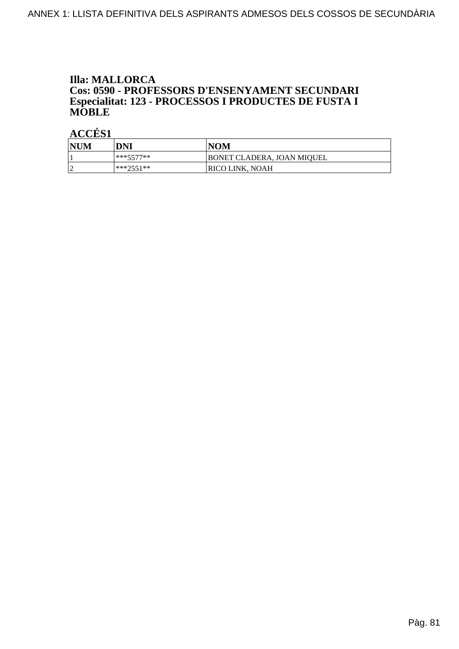# **Illa: MALLORCA Cos: 0590 - PROFESSORS D'ENSENYAMENT SECUNDARI<br>Especialitat: 123 - PROCESSOS I PRODUCTES DE FUSTA I MOBLE**

| <b>NUM</b> | DNI       | <b>NOM</b>                 |
|------------|-----------|----------------------------|
|            | ***5577** | BONET CLADERA, JOAN MIOUEL |
|            | ***つくく1** | RICO LINK, NOAH            |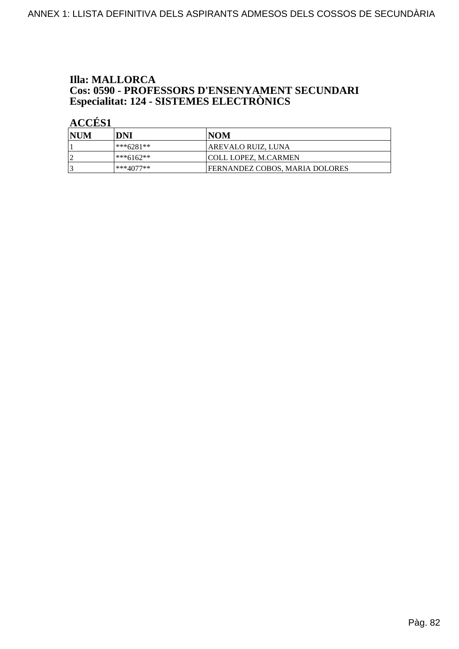# **Illa: MALLORCA Cos: 0590 - PROFESSORS D'ENSENYAMENT SECUNDARI<br>Especialitat: 124 - SISTEMES ELECTRÒNICS**

| NUM | DNI         | INOM                           |
|-----|-------------|--------------------------------|
|     | $***6281**$ | AREVALO RUIZ, LUNA             |
| n   | $***6162**$ | <b>COLL LOPEZ, M.CARMEN</b>    |
|     | $***4077**$ | FERNANDEZ COBOS, MARIA DOLORES |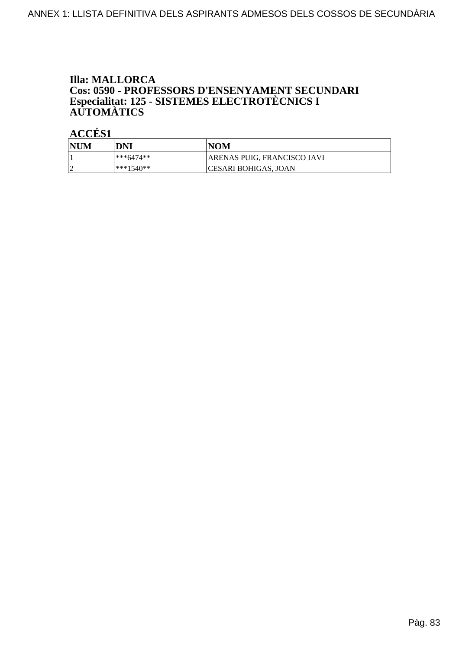# **Illa: MALLORCA** Cos: 0590 - PROFESSORS D'ENSENYAMENT SECUNDARI<br>Especialitat: 125 - SISTEMES ELECTROTÈCNICS I<br>AUTOMÀTICS

| <b>NUM</b> | DNI       | NOM                         |
|------------|-----------|-----------------------------|
|            | ***6474** | ARENAS PUIG, FRANCISCO JAVI |
|            | ***1540** | CESARI BOHIGAS, JOAN        |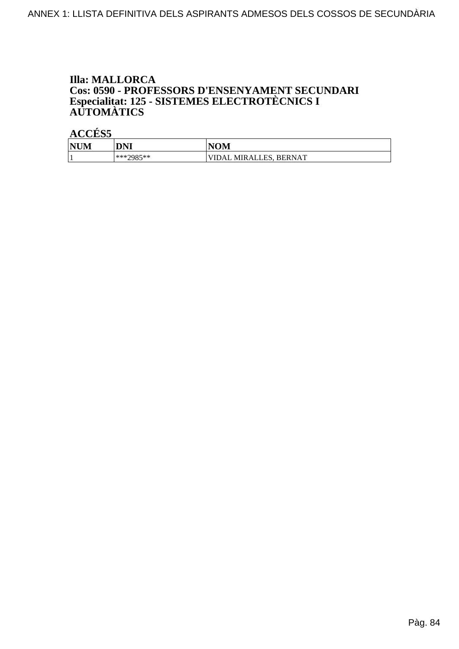# **Illa: MALLORCA** Cos: 0590 - PROFESSORS D'ENSENYAMENT SECUNDARI<br>Especialitat: 125 - SISTEMES ELECTROTÈCNICS I<br>AUTOMÀTICS

| <b>NUM</b> | DNI                 | <b>IOM</b><br>NI                                            |
|------------|---------------------|-------------------------------------------------------------|
|            | ***?085**<br>رن ر پ | <b>BERNAT</b><br>FС<br>ΊL<br>MIR AI<br>$'$ ) $A1$<br>טשבער. |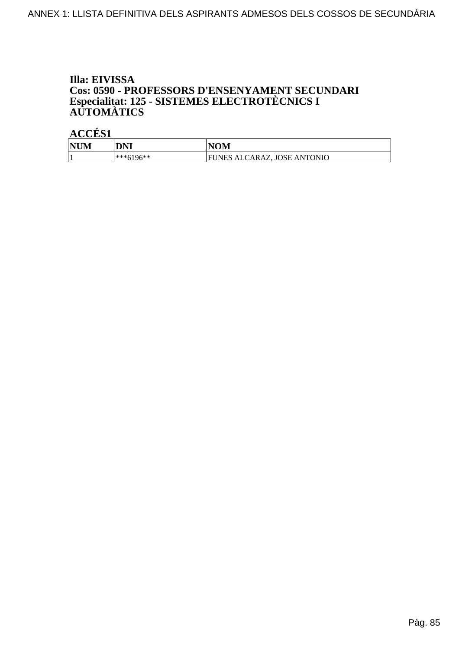# Illa: EIVISSA Cos: 0590 - PROFESSORS D'ENSENYAMENT SECUNDARI<br>Especialitat: 125 - SISTEMES ELECTROTÈCNICS I<br>AUTOMÀTICS

| <b>NUM</b> | DNI           | <b>NOM</b>                         |
|------------|---------------|------------------------------------|
|            | $ ***6196***$ | UNES ALCARAZ, JOSE ANTONIO<br>l FI |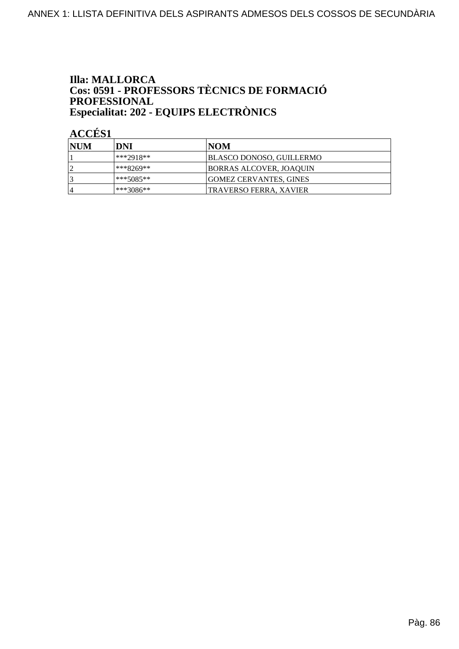# **Illa: MALLORCA Cos: 0591 - PROFESSORS TÈCNICS DE FORMACIÓ<br>PROFESSIONAL** Especialitat: 202 - EQUIPS ELECTRÒNICS

| <b>NUM</b>     | DNI         | INOM                            |
|----------------|-------------|---------------------------------|
|                | ***2918**   | <b>BLASCO DONOSO, GUILLERMO</b> |
|                | ***8269**   | BORRAS ALCOVER, JOAQUIN         |
|                | ***5085**   | <b>GOMEZ CERVANTES, GINES</b>   |
| $\overline{4}$ | $***3086**$ | TRAVERSO FERRA, XAVIER          |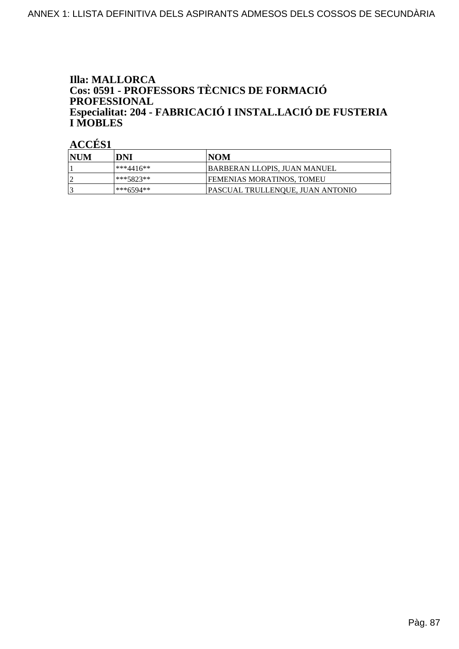## **Illa: MALLORCA** Cos: 0591 - PROFESSORS TÈCNICS DE FORMACIÓ **PROFESSIONAL** Especialitat: 204 - FABRICACIÓ I INSTAL.LACIÓ DE FUSTERIA **I MOBLES**

| <b>INUM</b> | DNI        | <b>NOM</b>                       |
|-------------|------------|----------------------------------|
|             | l***4416** | BARBERAN LLOPIS, JUAN MANUEL     |
|             | ***5823**  | <b>FEMENIAS MORATINOS, TOMEU</b> |
|             | ***6594**  | PASCUAL TRULLENQUE, JUAN ANTONIO |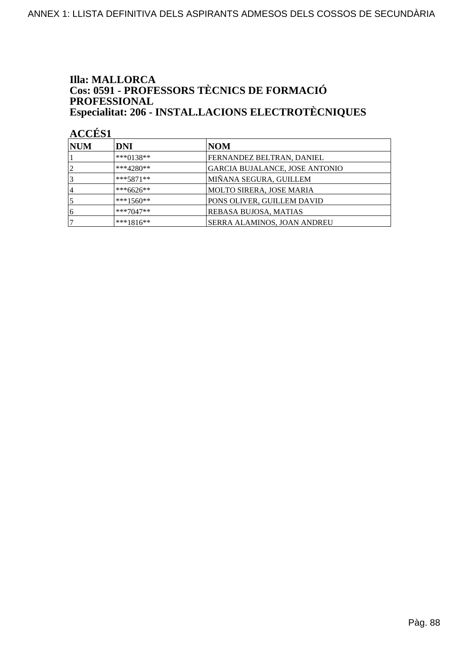## **Illa: MALLORCA** Cos: 0591 - PROFESSORS TÈCNICS DE FORMACIÓ **PROFESSIONAL** Especialitat: 206 - INSTAL.LACIONS ELECTROTÈCNIQUES

| <b>NUM</b>     | DNI          | NOM                            |
|----------------|--------------|--------------------------------|
|                | ***0138**    | FERNANDEZ BELTRAN, DANIEL      |
| $\overline{2}$ | $***4280**$  | GARCIA BUJALANCE, JOSE ANTONIO |
| 3              | $***5871**$  | MIÑANA SEGURA, GUILLEM         |
| 14             | ***6626**    | MOLTO SIRERA, JOSE MARIA       |
|                | ***1560**    | PONS OLIVER, GUILLEM DAVID     |
| 6              | $***7047**$  | REBASA BUJOSA, MATIAS          |
|                | $***1816***$ | SERRA ALAMINOS, JOAN ANDREU    |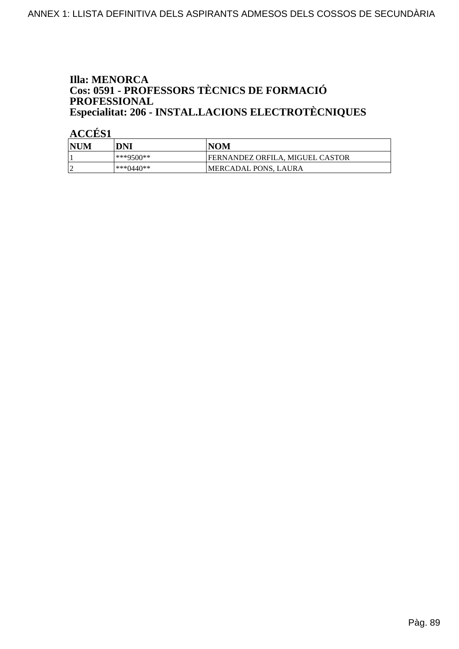## **Illa: MENORCA** Cos: 0591 - PROFESSORS TÈCNICS DE FORMACIÓ PROFESSIONAL Especialitat: 206 - INSTAL.LACIONS ELECTROTÈCNIQUES

| NUM | DNI       | <b>NOM</b>                      |
|-----|-----------|---------------------------------|
|     | ***9500** | FERNANDEZ ORFILA. MIGUEL CASTOR |
|     | ***0440** | MERCADAL PONS, LAURA            |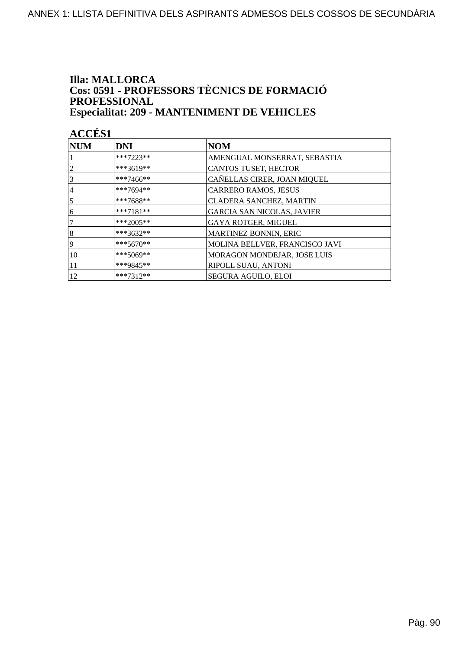#### **Illa: MALLORCA** Cos: 0591 - PROFESSORS TÈCNICS DE FORMACIÓ PROFESSIONAL **Especialitat: 209 - MANTENIMENT DE VEHICLES**

| NUM            | <b>DNI</b>  | <b>NOM</b>                        |
|----------------|-------------|-----------------------------------|
|                | $***7223**$ | AMENGUAL MONSERRAT, SEBASTIA      |
| 2              | ***3619**   | CANTOS TUSET, HECTOR              |
| 3              | ***7466**   | CAÑELLAS CIRER, JOAN MIQUEL       |
| $\overline{4}$ | ***7694**   | <b>CARRERO RAMOS, JESUS</b>       |
| 5              | ***7688**   | <b>CLADERA SANCHEZ, MARTIN</b>    |
| 6              | $***7181**$ | <b>GARCIA SAN NICOLAS, JAVIER</b> |
| 7              | ***2005**   | GAYA ROTGER, MIGUEL               |
| 8              | ***3632**   | MARTINEZ BONNIN, ERIC             |
| 9              | $***5670**$ | MOLINA BELLVER, FRANCISCO JAVI    |
| 10             | $***5069**$ | MORAGON MONDEJAR, JOSE LUIS       |
| 11             | ***9845**   | RIPOLL SUAU, ANTONI               |
| 12             | $***7312**$ | <b>SEGURA AGUILO, ELOI</b>        |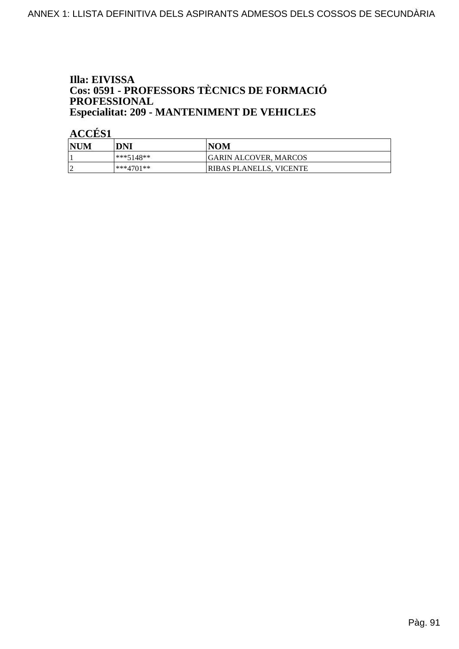# Illa: EIVISSA **Cos: 0591 - PROFESSORS TÈCNICS DE FORMACIÓ<br>PROFESSIONAL Especialitat: 209 - MANTENIMENT DE VEHICLES**

| <b>NUM</b>      | DNI         | <b>NOM</b>                   |
|-----------------|-------------|------------------------------|
|                 | $***5148**$ | <b>GARIN ALCOVER, MARCOS</b> |
| $\sqrt{ }$<br>∼ | ***4701**   | RIBAS PLANELLS, VICENTE      |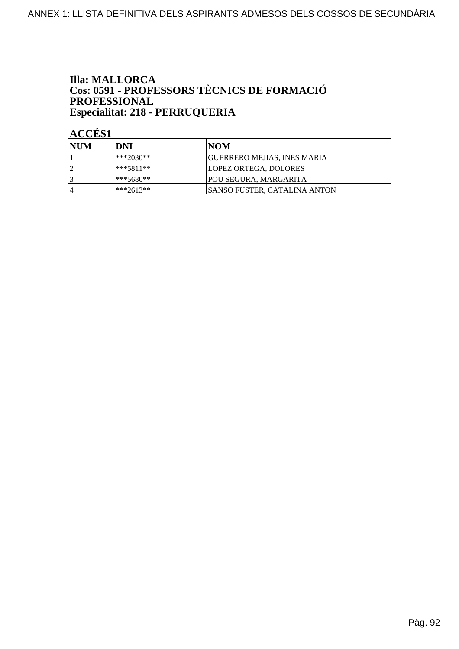# **Illa: MALLORCA Cos: 0591 - PROFESSORS TÈCNICS DE FORMACIÓ<br>PROFESSIONAL** Especialitat: 218 - PERRUQUERIA

| <b>NUM</b> | DNI         | INOM                                |
|------------|-------------|-------------------------------------|
|            | ***2030**   | <b>GUERRERO MEJIAS, INES MARIA</b>  |
|            | ***5811**   | LOPEZ ORTEGA, DOLORES               |
|            | ***5680**   | <b>POU SEGURA, MARGARITA</b>        |
| 4          | $***2613**$ | <b>SANSO FUSTER, CATALINA ANTON</b> |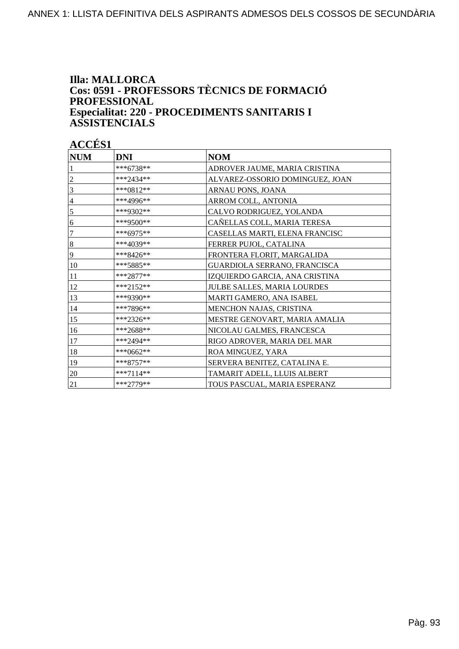### **Illa: MALLORCA** Cos: 0591 - PROFESSORS TÈCNICS DE FORMACIÓ **PROFESSIONAL** Especialitat: 220 - PROCEDIMENTS SANITARIS I **ASSISTENCIALS**

| <b>NUM</b>       | <b>DNI</b>  | <b>NOM</b>                      |
|------------------|-------------|---------------------------------|
|                  | ***6738**   | ADROVER JAUME, MARIA CRISTINA   |
| 2                | $***2434**$ | ALVAREZ-OSSORIO DOMINGUEZ, JOAN |
| 3                | ***0812**   | ARNAU PONS, JOANA               |
| $\overline{4}$   | ***4996**   | ARROM COLL, ANTONIA             |
| 5                | ***9302**   | CALVO RODRIGUEZ, YOLANDA        |
| 6                | ***9500**   | CAÑELLAS COLL, MARIA TERESA     |
| 7                | ***6975**   | CASELLAS MARTI, ELENA FRANCISC  |
| $\boldsymbol{8}$ | ***4039**   | FERRER PUJOL, CATALINA          |
| 9                | ***8426**   | FRONTERA FLORIT, MARGALIDA      |
| 10               | ***5885**   | GUARDIOLA SERRANO, FRANCISCA    |
| 11               | $***2877**$ | IZQUIERDO GARCIA, ANA CRISTINA  |
| 12               | $***2152**$ | JULBE SALLES, MARIA LOURDES     |
| 13               | ***9390**   | MARTI GAMERO, ANA ISABEL        |
| 14               | ***7896**   | MENCHON NAJAS, CRISTINA         |
| 15               | $***2326**$ | MESTRE GENOVART, MARIA AMALIA   |
| 16               | ***2688**   | NICOLAU GALMES, FRANCESCA       |
| 17               | ***2494**   | RIGO ADROVER, MARIA DEL MAR     |
| 18               | ***0662**   | ROA MINGUEZ, YARA               |
| 19               | $***8757**$ | SERVERA BENITEZ, CATALINA E.    |
| 20               | $***7114**$ | TAMARIT ADELL, LLUIS ALBERT     |
| 21               | ***2779**   | TOUS PASCUAL, MARIA ESPERANZ    |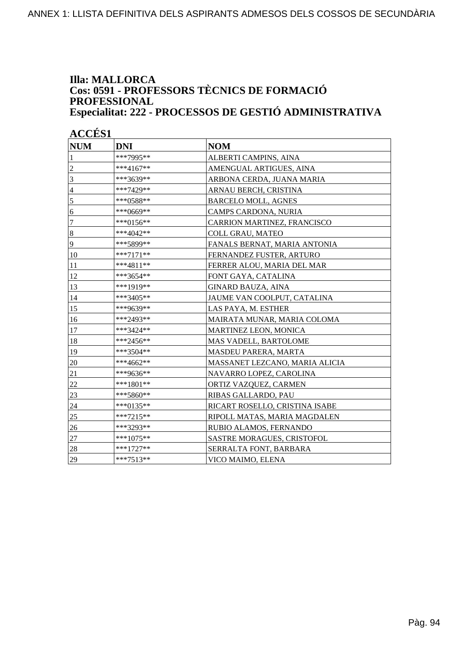### **Illa: MALLORCA Cos: 0591 - PROFESSORS TÈCNICS DE FORMACIÓ PROFESSIONAL Especialitat: 222 - PROCESSOS DE GESTIÓ ADMINISTRATIVA**

| <b>NUM</b>               | <b>DNI</b>  | <b>NOM</b>                          |
|--------------------------|-------------|-------------------------------------|
| 1                        | ***7995**   | ALBERTI CAMPINS, AINA               |
| $\overline{c}$           | ***4167**   | AMENGUAL ARTIGUES, AINA             |
| $\overline{\mathbf{3}}$  | ***3639**   | ARBONA CERDA, JUANA MARIA           |
| $\overline{\mathcal{A}}$ | ***7429**   | ARNAU BERCH, CRISTINA               |
| 5                        | ***0588**   | <b>BARCELO MOLL, AGNES</b>          |
| 6                        | ***0669**   | CAMPS CARDONA, NURIA                |
| $\overline{7}$           | ***0156**   | CARRION MARTINEZ, FRANCISCO         |
| $\vert 8$                | ***4042**   | <b>COLL GRAU, MATEO</b>             |
| 9                        | ***5899**   | <b>FANALS BERNAT, MARIA ANTONIA</b> |
| 10                       | $***7171**$ | FERNANDEZ FUSTER, ARTURO            |
| 11                       | ***4811**   | FERRER ALOU, MARIA DEL MAR          |
| 12                       | ***3654**   | FONT GAYA, CATALINA                 |
| 13                       | ***1919**   | <b>GINARD BAUZA, AINA</b>           |
| 14                       | ***3405**   | JAUME VAN COOLPUT, CATALINA         |
| 15                       | ***9639**   | LAS PAYA, M. ESTHER                 |
| 16                       | ***2493**   | MAIRATA MUNAR, MARIA COLOMA         |
| 17                       | ***3424**   | MARTINEZ LEON, MONICA               |
| 18                       | ***2456**   | MAS VADELL, BARTOLOME               |
| 19                       | ***3504**   | MASDEU PARERA, MARTA                |
| 20                       | ***4662**   | MASSANET LEZCANO, MARIA ALICIA      |
| 21                       | ***9636**   | NAVARRO LOPEZ, CAROLINA             |
| 22                       | ***1801**   | ORTIZ VAZQUEZ, CARMEN               |
| 23                       | ***5860**   | RIBAS GALLARDO, PAU                 |
| 24                       | ***0135**   | RICART ROSELLO, CRISTINA ISABE      |
| 25                       | ***7215**   | RIPOLL MATAS, MARIA MAGDALEN        |
| 26                       | ***3293**   | RUBIO ALAMOS, FERNANDO              |
| $27\,$                   | ***1075**   | <b>SASTRE MORAGUES, CRISTOFOL</b>   |
| 28                       | $***1727**$ | SERRALTA FONT, BARBARA              |
| 29                       | ***7513**   | VICO MAIMO, ELENA                   |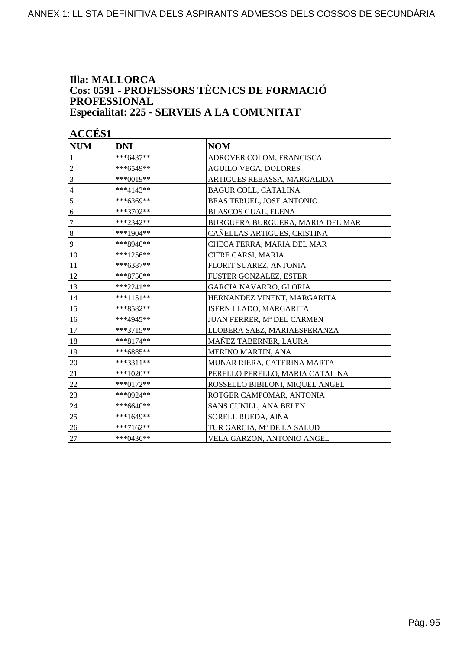#### **Illa: MALLORCA Cos: 0591 - PROFESSORS TÈCNICS DE FORMACIÓ PROFESSIONAL Especialitat: 225 - SERVEIS A LA COMUNITAT**

| <b>NUM</b>       | <b>DNI</b>  | <b>NOM</b>                        |
|------------------|-------------|-----------------------------------|
| $\mathbf{1}$     | ***6437**   | ADROVER COLOM, FRANCISCA          |
| $\overline{2}$   | ***6549**   | <b>AGUILO VEGA, DOLORES</b>       |
| 3                | ***0019**   | ARTIGUES REBASSA, MARGALIDA       |
| $\overline{4}$   | ***4143**   | <b>BAGUR COLL, CATALINA</b>       |
| 5                | ***6369**   | BEAS TERUEL, JOSE ANTONIO         |
| 6                | ***3702**   | <b>BLASCOS GUAL, ELENA</b>        |
| $\overline{7}$   | ***2342**   | BURGUERA BURGUERA, MARIA DEL MAR  |
| $\boldsymbol{8}$ | ***1904**   | CAÑELLAS ARTIGUES, CRISTINA       |
| 9                | ***8940**   | CHECA FERRA, MARIA DEL MAR        |
| 10               | ***1256**   | CIFRE CARSI, MARIA                |
| 11               | ***6387**   | FLORIT SUAREZ, ANTONIA            |
| 12               | ***8756**   | FUSTER GONZALEZ, ESTER            |
| 13               | ***2241**   | <b>GARCIA NAVARRO, GLORIA</b>     |
| 14               | ***1151**   | HERNANDEZ VINENT, MARGARITA       |
| 15               | ***8582**   | ISERN LLADO, MARGARITA            |
| 16               | ***4945**   | JUAN FERRER, Mª DEL CARMEN        |
| 17               | ***3715**   | LLOBERA SAEZ, MARIAESPERANZA      |
| 18               | ***8174**   | MAÑEZ TABERNER, LAURA             |
| 19               | ***6885**   | MERINO MARTIN, ANA                |
| 20               | ***3311**   | MUNAR RIERA, CATERINA MARTA       |
| 21               | ***1020**   | PERELLO PERELLO, MARIA CATALINA   |
| $22\,$           | ***0172**   | ROSSELLO BIBILONI, MIQUEL ANGEL   |
| 23               | ***0924**   | ROTGER CAMPOMAR, ANTONIA          |
| 24               | ***6640**   | SANS CUNILL, ANA BELEN            |
| 25               | ***1649**   | SORELL RUEDA, AINA                |
| 26               | ***7162**   | TUR GARCIA, Mª DE LA SALUD        |
| 27               | $***0436**$ | <b>VELA GARZON, ANTONIO ANGEL</b> |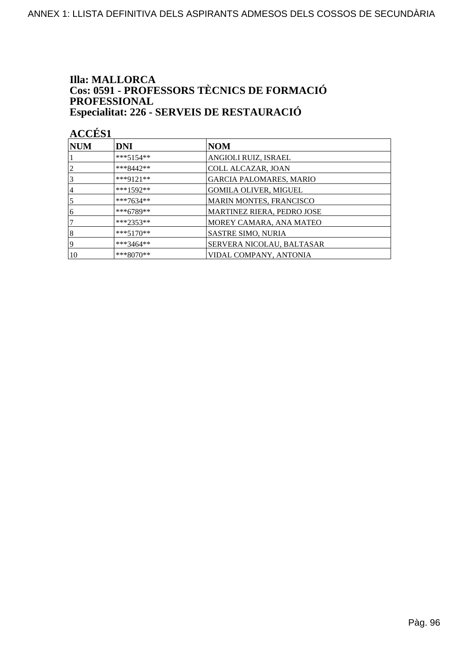## **Illa: MALLORCA** Cos: 0591 - PROFESSORS TÈCNICS DE FORMACIÓ PROFESSIONAL Especialitat: 226 - SERVEIS DE RESTAURACIÓ

| <b>NUM</b>     | <b>DNI</b>  | <b>NOM</b>                        |
|----------------|-------------|-----------------------------------|
|                | $***5154**$ | ANGIOLI RUIZ, ISRAEL              |
| $\overline{2}$ | $***8442**$ | <b>COLL ALCAZAR, JOAN</b>         |
| 3              | ***9121**   | <b>GARCIA PALOMARES, MARIO</b>    |
| 4              | $***1592**$ | <b>GOMILA OLIVER, MIGUEL</b>      |
| 5              | ***7634**   | MARIN MONTES, FRANCISCO           |
| 6              | $***6789**$ | <b>MARTINEZ RIERA, PEDRO JOSE</b> |
|                | $***2353**$ | MOREY CAMARA, ANA MATEO           |
| 8              | $***5170**$ | <b>SASTRE SIMO, NURIA</b>         |
| 19             | ***3464**   | SERVERA NICOLAU, BALTASAR         |
| 10             | $***8070**$ | VIDAL COMPANY, ANTONIA            |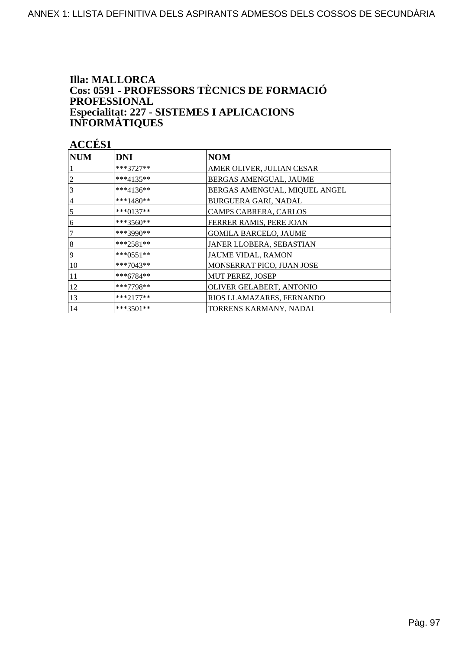## **Illa: MALLORCA** Cos: 0591 - PROFESSORS TÈCNICS DE FORMACIÓ **PROFESSIONAL** Especialitat: 227 - SISTEMES I APLICACIONS<br>INFORMÀTIQUES

| <b>NUM</b> | <b>DNI</b>  | <b>NOM</b>                    |
|------------|-------------|-------------------------------|
|            | $***3727**$ | AMER OLIVER, JULIAN CESAR     |
|            | ***4135**   | BERGAS AMENGUAL, JAUME        |
| 3          | ***4136**   | BERGAS AMENGUAL, MIQUEL ANGEL |
| 4          | ***1480**   | BURGUERA GARI, NADAL          |
| 5          | ***0137**   | CAMPS CABRERA, CARLOS         |
| 6          | ***3560**   | FERRER RAMIS, PERE JOAN       |
|            | ***3990**   | <b>GOMILA BARCELO, JAUME</b>  |
| 8          | $***2581**$ | JANER LLOBERA, SEBASTIAN      |
| 9          | ***0551**   | JAUME VIDAL, RAMON            |
| 10         | ***7043**   | MONSERRAT PICO, JUAN JOSE     |
| 11         | $***6784**$ | MUT PEREZ, JOSEP              |
| 12         | $***7798**$ | OLIVER GELABERT, ANTONIO      |
| 13         | $***2177**$ | RIOS LLAMAZARES, FERNANDO     |
| 14         | $***3501**$ | TORRENS KARMANY, NADAL        |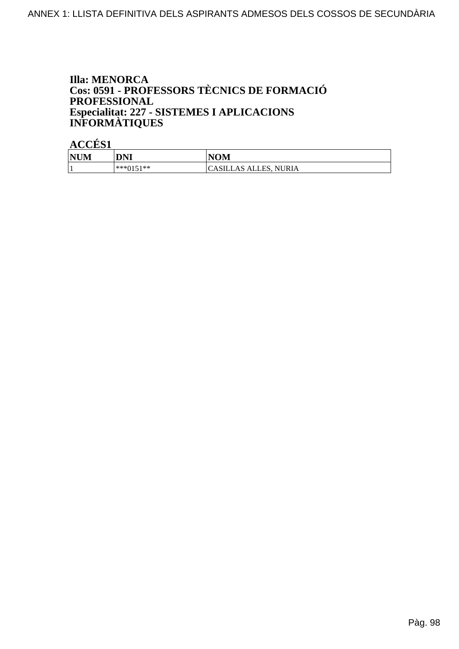## **Illa: MENORCA** Cos: 0591 - PROFESSORS TÈCNICS DE FORMACIÓ **PROFESSIONAL** Especialitat: 227 - SISTEMES I APLICACIONS<br>INFORMÀTIQUES

| --------   |           |                       |
|------------|-----------|-----------------------|
| <b>NUM</b> | DNI       | <b>NOM</b>            |
| л.         | ***0151** | CASILLAS ALLES, NURIA |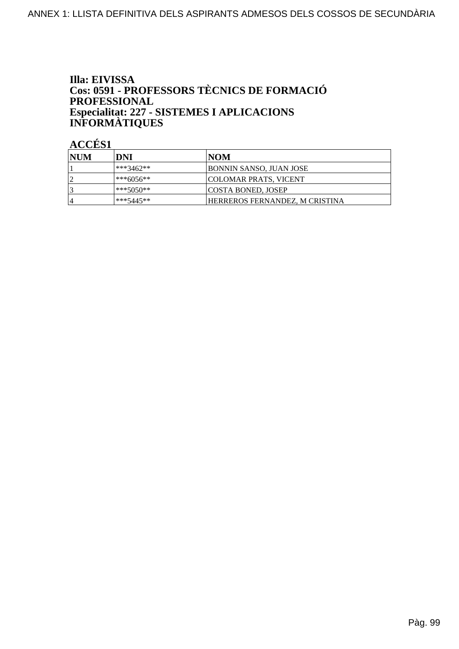## Illa: EIVISSA Cos: 0591 - PROFESSORS TÈCNICS DE FORMACIÓ PROFESSIONAL Especialitat: 227 - SISTEMES I APLICACIONS<br>INFORMÀTIQUES

| <b>INUM</b>    | DNI       | NOM                            |
|----------------|-----------|--------------------------------|
|                | ***3462** | <b>BONNIN SANSO, JUAN JOSE</b> |
|                | ***6056** | COLOMAR PRATS, VICENT          |
|                | ***5050** | <b>COSTA BONED, JOSEP</b>      |
| $\overline{4}$ | ***5445** | HERREROS FERNANDEZ, M CRISTINA |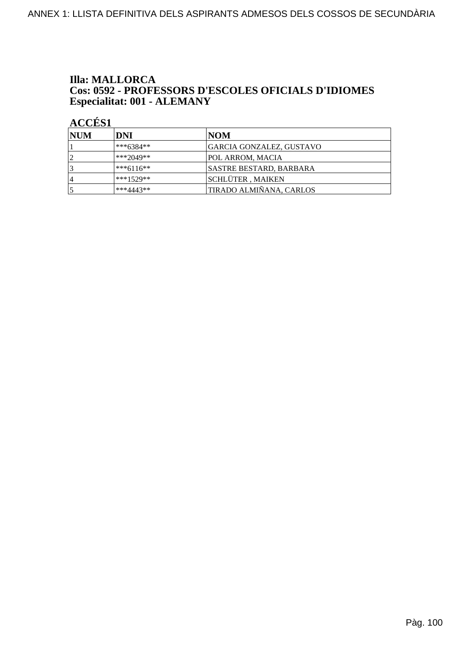#### **Illa: MALLORCA** Cos: 0592 - PROFESSORS D'ESCOLES OFICIALS D'IDIOMES Especialitat: 001 - ALEMANY

| <b>NUM</b>     | DNI         | NOM                             |
|----------------|-------------|---------------------------------|
|                | ***6384**   | <b>GARCIA GONZALEZ, GUSTAVO</b> |
| $\overline{2}$ | ***2049**   | POL ARROM, MACIA                |
| 3              | $***6116**$ | SASTRE BESTARD, BARBARA         |
| 14             | $***1529**$ | SCHLÜTER, MAIKEN                |
|                | $***4443**$ | TIRADO ALMIÑANA, CARLOS         |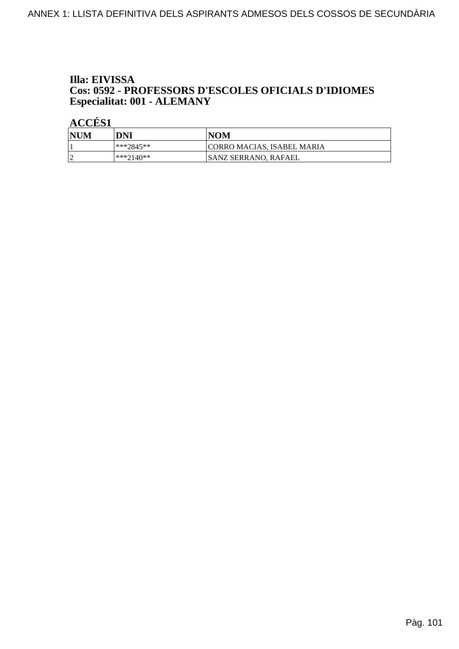# Illa: EIVISSA Cos: 0592 - PROFESSORS D'ESCOLES OFICIALS D'IDIOMES<br>Especialitat: 001 - ALEMANY

| <b>NUM</b> | DNI          | NOM                               |
|------------|--------------|-----------------------------------|
|            | ***2845**    | <b>CORRO MACIAS, ISABEL MARIA</b> |
| $\sim$     | $ ***2140**$ | ISANZ SERRANO. RAFAEL             |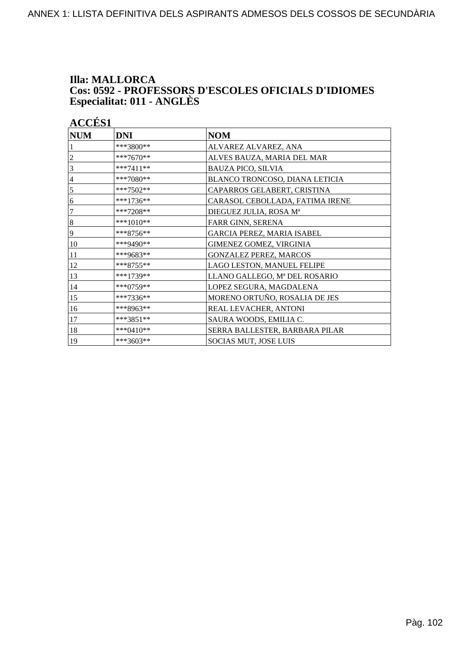# **Illa: MALLORCA** Cos: 0592 - PROFESSORS D'ESCOLES OFICIALS D'IDIOMES<br>Especialitat: 011 - ANGLÈS

| <b>ACCÉS 1</b> |             |                                 |
|----------------|-------------|---------------------------------|
| <b>NUM</b>     | <b>DNI</b>  | $\bf NOM$                       |
|                | ***3800**   | ALVAREZ ALVAREZ, ANA            |
| 2              | ***7670**   | ALVES BAUZA, MARIA DEL MAR      |
| 3              | $***7411**$ | <b>BAUZA PICO, SILVIA</b>       |
| 4              | ***7080**   | BLANCO TRONCOSO, DIANA LETICIA  |
| 5              | ***7502**   | CAPARROS GELABERT, CRISTINA     |
| 6              | $***1736**$ | CARASOL CEBOLLADA, FATIMA IRENE |
| 7              | $***7208**$ | DIEGUEZ JULIA, ROSA Mª          |
| 8              | ***1010**   | FARR GINN, SERENA               |
| 9              | $***8756**$ | GARCIA PEREZ, MARIA ISABEL      |
| 10             | ***9490**   | GIMENEZ GOMEZ, VIRGINIA         |
| 11             | ***9683**   | GONZALEZ PEREZ, MARCOS          |
| 12             | ***8755**   | LAGO LESTON, MANUEL FELIPE      |
| 13             | ***1739**   | LLANO GALLEGO, Mª DEL ROSARIO   |
| 14             | ***0759**   | LOPEZ SEGURA, MAGDALENA         |
| 15             | $***7336**$ | MORENO ORTUÑO, ROSALIA DE JES   |
| 16             | ***8963**   | REAL LEVACHER, ANTONI           |
| 17             | ***3851**   | SAURA WOODS, EMILIA C.          |
| 18             | ***0410**   | SERRA BALLESTER, BARBARA PILAR  |
| 19             | $***3603**$ | SOCIAS MUT, JOSE LUIS           |